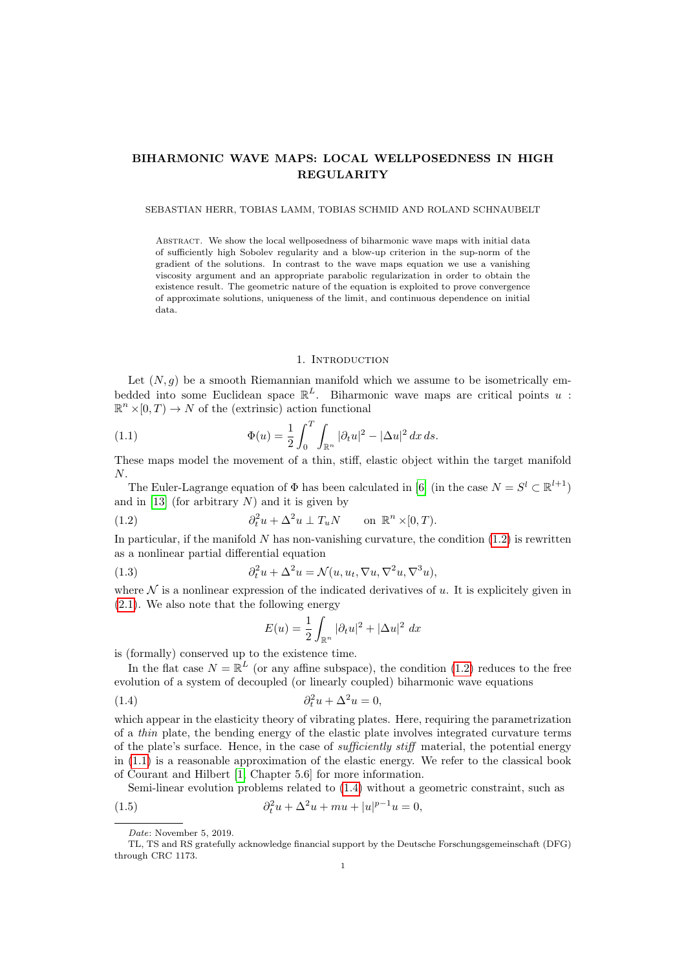# BIHARMONIC WAVE MAPS: LOCAL WELLPOSEDNESS IN HIGH REGULARITY

### SEBASTIAN HERR, TOBIAS LAMM, TOBIAS SCHMID AND ROLAND SCHNAUBELT

Abstract. We show the local wellposedness of biharmonic wave maps with initial data of sufficiently high Sobolev regularity and a blow-up criterion in the sup-norm of the gradient of the solutions. In contrast to the wave maps equation we use a vanishing viscosity argument and an appropriate parabolic regularization in order to obtain the existence result. The geometric nature of the equation is exploited to prove convergence of approximate solutions, uniqueness of the limit, and continuous dependence on initial data.

### <span id="page-0-1"></span>1. INTRODUCTION

Let  $(N, g)$  be a smooth Riemannian manifold which we assume to be isometrically embedded into some Euclidean space  $\mathbb{R}^L$ . Biharmonic wave maps are critical points u:  $\mathbb{R}^n \times [0, T) \to N$  of the (extrinsic) action functional

(1.1) 
$$
\Phi(u) = \frac{1}{2} \int_0^T \int_{\mathbb{R}^n} |\partial_t u|^2 - |\Delta u|^2 dx ds.
$$

These maps model the movement of a thin, stiff, elastic object within the target manifold N.

The Euler-Lagrange equation of  $\Phi$  has been calculated in [\[6\]](#page-28-0) (in the case  $N = S^l \subset \mathbb{R}^{l+1}$ ) and in  $[13]$  (for arbitrary N) and it is given by

<span id="page-0-0"></span>(1.2) 
$$
\partial_t^2 u + \Delta^2 u \perp T_u N \quad \text{on } \mathbb{R}^n \times [0, T).
$$

In particular, if the manifold  $N$  has non-vanishing curvature, the condition  $(1.2)$  is rewritten as a nonlinear partial differential equation

(1.3) 
$$
\partial_t^2 u + \Delta^2 u = \mathcal{N}(u, u_t, \nabla u, \nabla^2 u, \nabla^3 u),
$$

where  $\mathcal N$  is a nonlinear expression of the indicated derivatives of u. It is explicitely given in [\(2.1\)](#page-3-0). We also note that the following energy

$$
E(u) = \frac{1}{2} \int_{\mathbb{R}^n} |\partial_t u|^2 + |\Delta u|^2 dx
$$

is (formally) conserved up to the existence time.

In the flat case  $N = \mathbb{R}^L$  (or any affine subspace), the condition [\(1.2\)](#page-0-0) reduces to the free evolution of a system of decoupled (or linearly coupled) biharmonic wave equations

<span id="page-0-2"></span>
$$
(1.4) \qquad \qquad \partial_t^2 u + \Delta^2 u = 0,
$$

which appear in the elasticity theory of vibrating plates. Here, requiring the parametrization of a thin plate, the bending energy of the elastic plate involves integrated curvature terms of the plate's surface. Hence, in the case of sufficiently stiff material, the potential energy in [\(1.1\)](#page-0-1) is a reasonable approximation of the elastic energy. We refer to the classical book of Courant and Hilbert [\[1,](#page-28-1) Chapter 5.6] for more information.

<span id="page-0-3"></span>Semi-linear evolution problems related to [\(1.4\)](#page-0-2) without a geometric constraint, such as (1.5)  $\partial_t^2 u + \Delta^2 u + m u + |u|^{p-1} u = 0,$ 

Date: November 5, 2019.

TL, TS and RS gratefully acknowledge financial support by the Deutsche Forschungsgemeinschaft (DFG) through CRC 1173.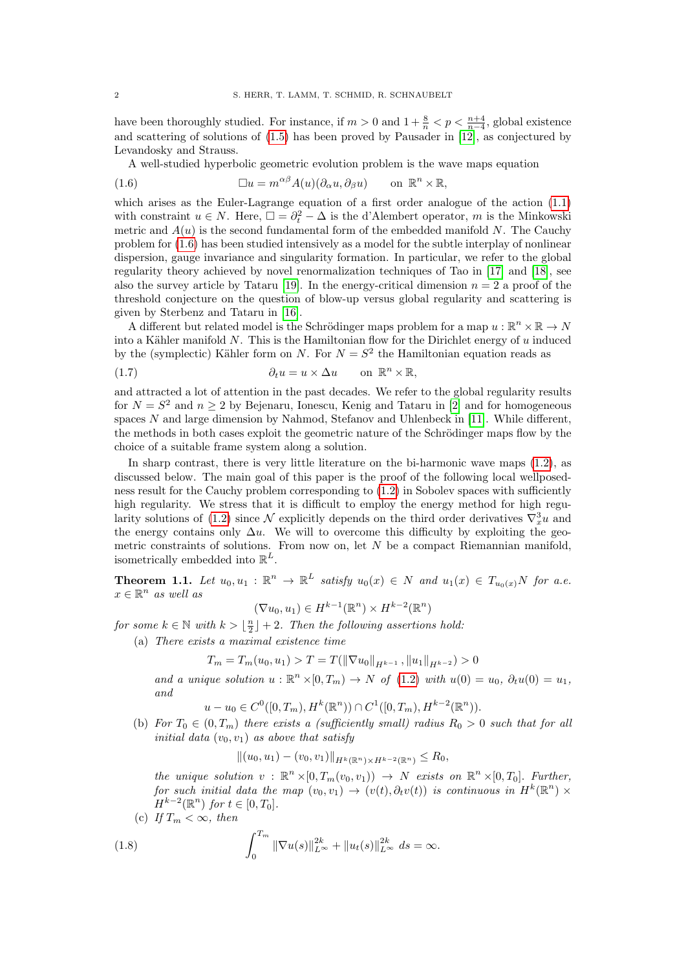have been thoroughly studied. For instance, if  $m > 0$  and  $1 + \frac{8}{n} < p < \frac{n+4}{n-4}$ , global existence and scattering of solutions of [\(1.5\)](#page-0-3) has been proved by Pausader in [\[12\]](#page-29-1), as conjectured by Levandosky and Strauss.

A well-studied hyperbolic geometric evolution problem is the wave maps equation

<span id="page-1-0"></span>(1.6) 
$$
\Box u = m^{\alpha\beta} A(u) (\partial_{\alpha} u, \partial_{\beta} u) \quad \text{on } \mathbb{R}^n \times \mathbb{R},
$$

which arises as the Euler-Lagrange equation of a first order analogue of the action [\(1.1\)](#page-0-1) with constraint  $u \in N$ . Here,  $\Box = \partial_t^2 - \Delta$  is the d'Alembert operator, m is the Minkowski metric and  $A(u)$  is the second fundamental form of the embedded manifold N. The Cauchy problem for [\(1.6\)](#page-1-0) has been studied intensively as a model for the subtle interplay of nonlinear dispersion, gauge invariance and singularity formation. In particular, we refer to the global regularity theory achieved by novel renormalization techniques of Tao in [\[17\]](#page-29-2) and [\[18\]](#page-29-3), see also the survey article by Tataru [\[19\]](#page-29-4). In the energy-critical dimension  $n = 2$  a proof of the threshold conjecture on the question of blow-up versus global regularity and scattering is given by Sterbenz and Tataru in [\[16\]](#page-29-5).

A different but related model is the Schrödinger maps problem for a map  $u : \mathbb{R}^n \times \mathbb{R} \to N$ into a Kähler manifold  $N$ . This is the Hamiltonian flow for the Dirichlet energy of  $u$  induced by the (symplectic) Kähler form on N. For  $N = S^2$  the Hamiltonian equation reads as

(1.7) 
$$
\partial_t u = u \times \Delta u \quad \text{on } \mathbb{R}^n \times \mathbb{R},
$$

and attracted a lot of attention in the past decades. We refer to the global regularity results for  $N = S^2$  and  $n \geq 2$  by Bejenaru, Ionescu, Kenig and Tataru in [\[2\]](#page-28-2) and for homogeneous spaces  $N$  and large dimension by Nahmod, Stefanov and Uhlenbeck in [\[11\]](#page-28-3). While different, the methods in both cases exploit the geometric nature of the Schrödinger maps flow by the choice of a suitable frame system along a solution.

In sharp contrast, there is very little literature on the bi-harmonic wave maps  $(1.2)$ , as discussed below. The main goal of this paper is the proof of the following local wellposedness result for the Cauchy problem corresponding to  $(1.2)$  in Sobolev spaces with sufficiently high regularity. We stress that it is difficult to employ the energy method for high regu-larity solutions of [\(1.2\)](#page-0-0) since  $\mathcal N$  explicitly depends on the third order derivatives  $\nabla_x^3 u$  and the energy contains only  $\Delta u$ . We will to overcome this difficulty by exploiting the geometric constraints of solutions. From now on, let  $N$  be a compact Riemannian manifold, isometrically embedded into  $\mathbb{R}^L$ .

<span id="page-1-2"></span>**Theorem 1.1.** Let  $u_0, u_1 : \mathbb{R}^n \to \mathbb{R}^L$  satisfy  $u_0(x) \in N$  and  $u_1(x) \in T_{u_0(x)}N$  for a.e.  $x \in \mathbb{R}^n$  as well as

$$
(\nabla u_0, u_1) \in H^{k-1}(\mathbb{R}^n) \times H^{k-2}(\mathbb{R}^n)
$$

for some  $k \in \mathbb{N}$  with  $k > \lfloor \frac{n}{2} \rfloor + 2$ . Then the following assertions hold:

(a) There exists a maximal existence time

$$
T_m = T_m(u_0, u_1) > T = T(||\nabla u_0||_{H^{k-1}}, ||u_1||_{H^{k-2}}) > 0
$$

and a unique solution  $u : \mathbb{R}^n \times [0, T_m) \to N$  of [\(1.2\)](#page-0-0) with  $u(0) = u_0, \partial_t u(0) = u_1$ , and

 $u - u_0 \in C^0([0, T_m), H^k(\mathbb{R}^n)) \cap C^1([0, T_m), H^{k-2}(\mathbb{R}^n)).$ 

(b) For  $T_0 \in (0, T_m)$  there exists a (sufficiently small) radius  $R_0 > 0$  such that for all initial data  $(v_0, v_1)$  as above that satisfy

$$
||(u_0, u_1) - (v_0, v_1)||_{H^k(\mathbb{R}^n) \times H^{k-2}(\mathbb{R}^n)} \le R_0,
$$

the unique solution  $v : \mathbb{R}^n \times [0, T_m(v_0, v_1)) \to N$  exists on  $\mathbb{R}^n \times [0, T_0]$ . Further, for such initial data the map  $(v_0, v_1) \rightarrow (v(t), \partial_t v(t))$  is continuous in  $H^k(\mathbb{R}^n) \times$  $H^{k-2}(\mathbb{R}^n)$  for  $t \in [0, T_0]$ .

(c) If  $T_m < \infty$ , then

<span id="page-1-1"></span>(1.8) 
$$
\int_0^{T_m} \|\nabla u(s)\|_{L^\infty}^{2k} + \|u_t(s)\|_{L^\infty}^{2k} ds = \infty.
$$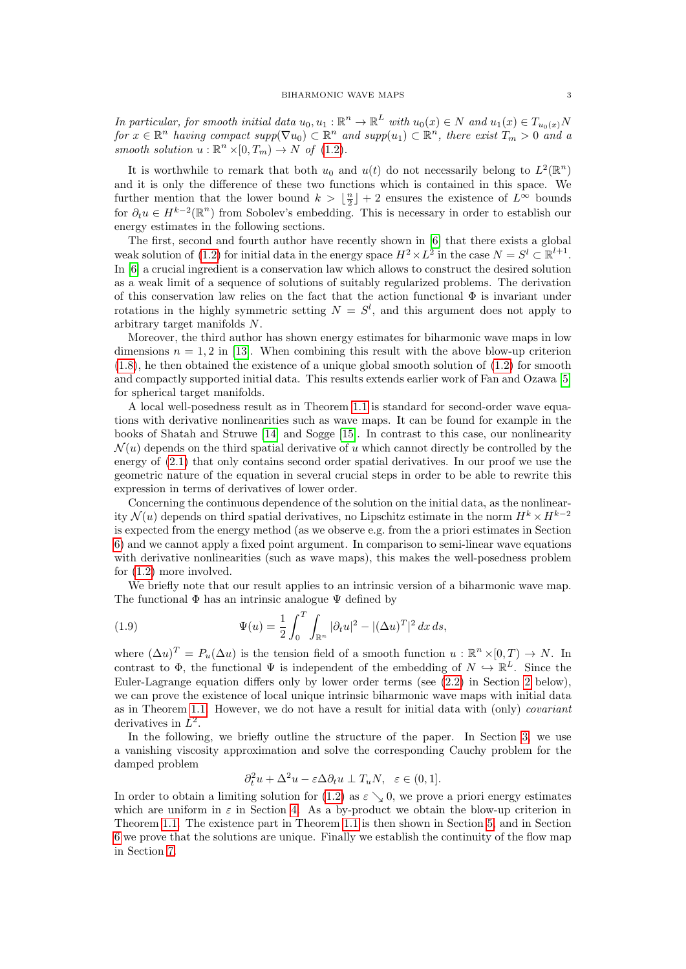In particular, for smooth initial data  $u_0, u_1 : \mathbb{R}^n \to \mathbb{R}^L$  with  $u_0(x) \in N$  and  $u_1(x) \in T_{u_0(x)}N$ for  $x \in \mathbb{R}^n$  having compact  $supp(\nabla u_0) \subset \mathbb{R}^n$  and  $supp(u_1) \subset \mathbb{R}^n$ , there exist  $T_m > 0$  and a smooth solution  $u : \mathbb{R}^n \times [0, T_m) \to N$  of  $(1.2)$ .

It is worthwhile to remark that both  $u_0$  and  $u(t)$  do not necessarily belong to  $L^2(\mathbb{R}^n)$ and it is only the difference of these two functions which is contained in this space. We further mention that the lower bound  $k > \lfloor \frac{n}{2} \rfloor + 2$  ensures the existence of  $L^{\infty}$  bounds for  $\partial_t u \in H^{k-2}(\mathbb{R}^n)$  from Sobolev's embedding. This is necessary in order to establish our energy estimates in the following sections.

The first, second and fourth author have recently shown in [\[6\]](#page-28-0) that there exists a global weak solution of [\(1.2\)](#page-0-0) for initial data in the energy space  $H^2 \times L^2$  in the case  $N = S^l \subset \mathbb{R}^{l+1}$ . In [\[6\]](#page-28-0) a crucial ingredient is a conservation law which allows to construct the desired solution as a weak limit of a sequence of solutions of suitably regularized problems. The derivation of this conservation law relies on the fact that the action functional  $\Phi$  is invariant under rotations in the highly symmetric setting  $N = S<sup>l</sup>$ , and this argument does not apply to arbitrary target manifolds N.

Moreover, the third author has shown energy estimates for biharmonic wave maps in low dimensions  $n = 1, 2$  in [\[13\]](#page-29-0). When combining this result with the above blow-up criterion [\(1.8\)](#page-1-1), he then obtained the existence of a unique global smooth solution of [\(1.2\)](#page-0-0) for smooth and compactly supported initial data. This results extends earlier work of Fan and Ozawa [\[5\]](#page-28-4) for spherical target manifolds.

A local well-posedness result as in Theorem [1.1](#page-1-2) is standard for second-order wave equations with derivative nonlinearities such as wave maps. It can be found for example in the books of Shatah and Struwe [\[14\]](#page-29-6) and Sogge [\[15\]](#page-29-7). In contrast to this case, our nonlinearity  $\mathcal{N}(u)$  depends on the third spatial derivative of u which cannot directly be controlled by the energy of  $(2.1)$  that only contains second order spatial derivatives. In our proof we use the geometric nature of the equation in several crucial steps in order to be able to rewrite this expression in terms of derivatives of lower order.

Concerning the continuous dependence of the solution on the initial data, as the nonlinearity  $\mathcal{N}(u)$  depends on third spatial derivatives, no Lipschitz estimate in the norm  $H^k \times H^{k-2}$ is expected from the energy method (as we observe e.g. from the a priori estimates in Section [6\)](#page-16-0) and we cannot apply a fixed point argument. In comparison to semi-linear wave equations with derivative nonlinearities (such as wave maps), this makes the well-posedness problem for [\(1.2\)](#page-0-0) more involved.

We briefly note that our result applies to an intrinsic version of a biharmonic wave map. The functional  $\Phi$  has an intrinsic analogue  $\Psi$  defined by

<span id="page-2-0"></span>(1.9) 
$$
\Psi(u) = \frac{1}{2} \int_0^T \int_{\mathbb{R}^n} |\partial_t u|^2 - |(\Delta u)^T|^2 dx ds,
$$

where  $(\Delta u)^T = P_u(\Delta u)$  is the tension field of a smooth function  $u : \mathbb{R}^n \times [0, T) \to N$ . In contrast to  $\Phi$ , the functional  $\Psi$  is independent of the embedding of  $N \hookrightarrow \mathbb{R}^L$ . Since the Euler-Lagrange equation differs only by lower order terms (see [\(2.2\)](#page-3-1) in Section [2](#page-3-2) below), we can prove the existence of local unique intrinsic biharmonic wave maps with initial data as in Theorem [1.1.](#page-1-2) However, we do not have a result for initial data with (only) covariant derivatives in  $L^2$ .

In the following, we briefly outline the structure of the paper. In Section [3,](#page-4-0) we use a vanishing viscosity approximation and solve the corresponding Cauchy problem for the damped problem

$$
\partial_t^2 u + \Delta^2 u - \varepsilon \Delta \partial_t u \perp T_u N, \quad \varepsilon \in (0, 1].
$$

In order to obtain a limiting solution for [\(1.2\)](#page-0-0) as  $\varepsilon \searrow 0$ , we prove a priori energy estimates which are uniform in  $\varepsilon$  in Section [4.](#page-9-0) As a by-product we obtain the blow-up criterion in Theorem [1.1.](#page-1-2) The existence part in Theorem [1.1](#page-1-2) is then shown in Section [5,](#page-14-0) and in Section [6](#page-16-0) we prove that the solutions are unique. Finally we establish the continuity of the flow map in Section [7.](#page-18-0)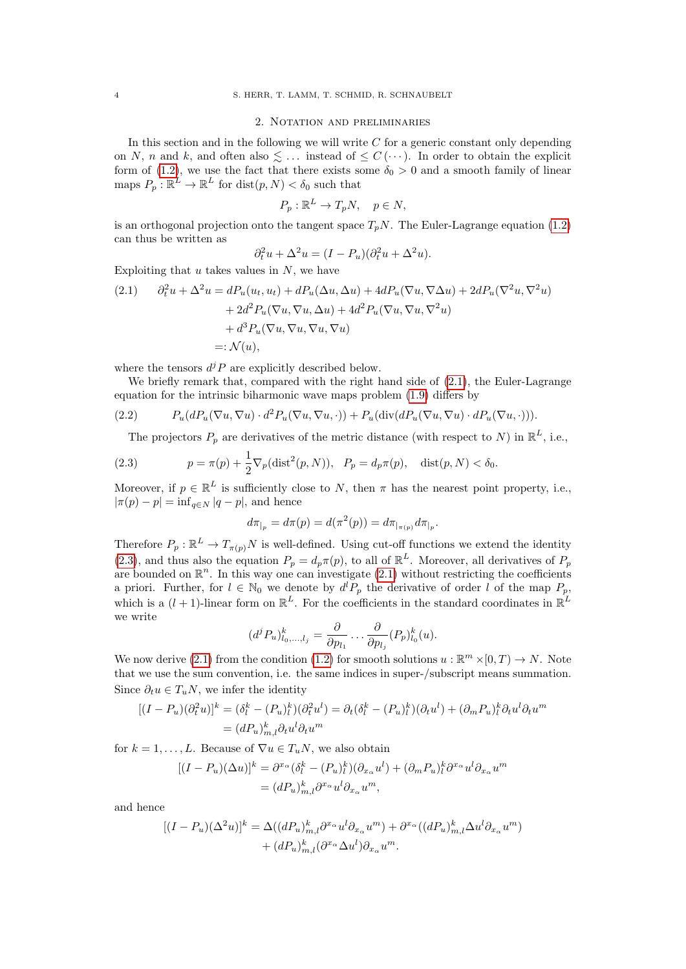### 2. Notation and preliminaries

<span id="page-3-2"></span>In this section and in the following we will write  $C$  for a generic constant only depending on N, n and k, and often also  $\leq \ldots$  instead of  $\leq C(\cdots)$ . In order to obtain the explicit form of [\(1.2\)](#page-0-0), we use the fact that there exists some  $\delta_0 > 0$  and a smooth family of linear maps  $P_p : \mathbb{R}^L \to \mathbb{R}^L$  for  $dist(p, N) < \delta_0$  such that

$$
P_p: \mathbb{R}^L \to T_p N, \quad p \in N,
$$

is an orthogonal projection onto the tangent space  $T_pN$ . The Euler-Lagrange equation [\(1.2\)](#page-0-0) can thus be written as

$$
\partial_t^2 u + \Delta^2 u = (I - P_u)(\partial_t^2 u + \Delta^2 u).
$$

Exploiting that  $u$  takes values in  $N$ , we have

<span id="page-3-0"></span>(2.1) 
$$
\partial_t^2 u + \Delta^2 u = dP_u(u_t, u_t) + dP_u(\Delta u, \Delta u) + 4dP_u(\nabla u, \nabla \Delta u) + 2dP_u(\nabla^2 u, \nabla^2 u)
$$

$$
+ 2d^2 P_u(\nabla u, \nabla u, \Delta u) + 4d^2 P_u(\nabla u, \nabla u, \nabla^2 u)
$$

$$
+ d^3 P_u(\nabla u, \nabla u, \nabla u, \nabla u)
$$

$$
=: \mathcal{N}(u),
$$

where the tensors  $d^{j}P$  are explicitly described below.

We briefly remark that, compared with the right hand side of  $(2.1)$ , the Euler-Lagrange equation for the intrinsic biharmonic wave maps problem [\(1.9\)](#page-2-0) differs by

<span id="page-3-1"></span>(2.2) 
$$
P_u(dP_u(\nabla u, \nabla u) \cdot d^2 P_u(\nabla u, \nabla u, \cdot)) + P_u(\text{div}(dP_u(\nabla u, \nabla u) \cdot dP_u(\nabla u, \cdot))).
$$

The projectors  $P_p$  are derivatives of the metric distance (with respect to N) in  $\mathbb{R}^L$ , i.e.,

<span id="page-3-3"></span>(2.3) 
$$
p = \pi(p) + \frac{1}{2} \nabla_p (\text{dist}^2(p, N)), \quad P_p = d_p \pi(p), \quad \text{dist}(p, N) < \delta_0.
$$

Moreover, if  $p \in \mathbb{R}^L$  is sufficiently close to N, then  $\pi$  has the nearest point property, i.e.,  $|\pi(p) - p| = \inf_{q \in N} |q - p|$ , and hence

$$
d\pi_{|_{p}} = d\pi(p) = d(\pi^{2}(p)) = d\pi_{|_{\pi(p)}} d\pi_{|_{p}}.
$$

Therefore  $P_p : \mathbb{R}^L \to T_{\pi(p)}N$  is well-defined. Using cut-off functions we extend the identity [\(2.3\)](#page-3-3), and thus also the equation  $P_p = d_p \pi(p)$ , to all of  $\mathbb{R}^L$ . Moreover, all derivatives of  $P_p$ are bounded on  $\mathbb{R}^n$ . In this way one can investigate [\(2.1\)](#page-3-0) without restricting the coefficients a priori. Further, for  $l \in \mathbb{N}_0$  we denote by  $d^l P_p$  the derivative of order l of the map  $P_p$ , which is a  $(l + 1)$ -linear form on  $\mathbb{R}^L$ . For the coefficients in the standard coordinates in  $\mathbb{R}^L$ we write

$$
(d^j P_u)_{l_0,\dots,l_j}^k = \frac{\partial}{\partial p_{l_1}} \dots \frac{\partial}{\partial p_{l_j}} (P_p)_{l_0}^k(u).
$$

We now derive [\(2.1\)](#page-3-0) from the condition [\(1.2\)](#page-0-0) for smooth solutions  $u : \mathbb{R}^m \times [0, T) \to N$ . Note that we use the sum convention, i.e. the same indices in super-/subscript means summation. Since  $\partial_t u \in T_u N$ , we infer the identity

$$
[(I - P_u)(\partial_t^2 u)]^k = (\delta_l^k - (P_u)_l^k)(\partial_t^2 u^l) = \partial_t(\delta_l^k - (P_u)_l^k)(\partial_t u^l) + (\partial_m P_u)_l^k \partial_t u^l \partial_t u^m
$$
  
=  $(dP_u)_{m,l}^k \partial_t u^l \partial_t u^m$ 

for  $k = 1, ..., L$ . Because of  $\nabla u \in T_uN$ , we also obtain

$$
[(I - P_u)(\Delta u)]^k = \partial^{x_\alpha} (\delta_l^k - (P_u)_l^k)(\partial_{x_\alpha} u^l) + (\partial_m P_u)_l^k \partial^{x_\alpha} u^l \partial_{x_\alpha} u^m
$$
  
=  $(dP_u)_{m,l}^k \partial^{x_\alpha} u^l \partial_{x_\alpha} u^m$ ,

and hence

$$
[(I - P_u)(\Delta^2 u)]^k = \Delta ((dP_u)_{m,l}^k \partial^{x_\alpha} u^l \partial_{x_\alpha} u^m) + \partial^{x_\alpha} ((dP_u)_{m,l}^k \Delta u^l \partial_{x_\alpha} u^m) + (dP_u)_{m,l}^k (\partial^{x_\alpha} \Delta u^l) \partial_{x_\alpha} u^m.
$$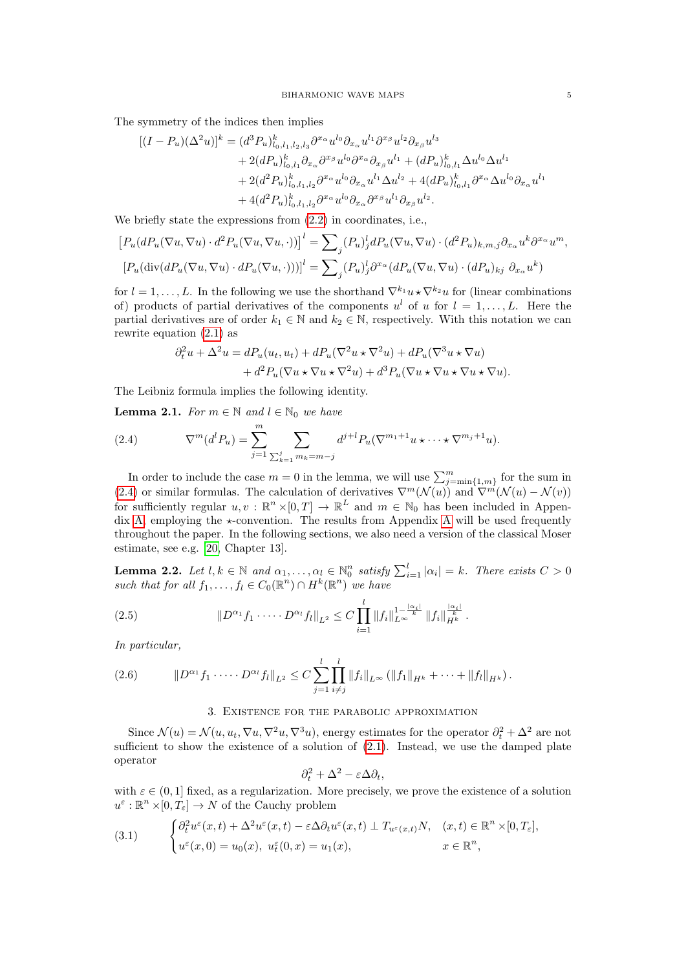The symmetry of the indices then implies

$$
[(I - P_u)(\Delta^2 u)]^k = (d^3 P_u)_{l_0, l_1, l_2, l_3}^k \partial^{x_\alpha} u^{l_0} \partial_{x_\alpha} u^{l_1} \partial^{x_\beta} u^{l_2} \partial_{x_\beta} u^{l_3} + 2(dP_u)_{l_0, l_1}^k \partial_{x_\alpha} \partial^{x_\beta} u^{l_0} \partial^{x_\alpha} \partial_{x_\beta} u^{l_1} + (dP_u)_{l_0, l_1}^k \Delta u^{l_0} \Delta u^{l_1} + 2(d^2 P_u)_{l_0, l_1, l_2}^k \partial^{x_\alpha} u^{l_0} \partial_{x_\alpha} u^{l_1} \Delta u^{l_2} + 4(dP_u)_{l_0, l_1}^k \partial^{x_\alpha} \Delta u^{l_0} \partial_{x_\alpha} u^{l_1} + 4(d^2 P_u)_{l_0, l_1, l_2}^k \partial^{x_\alpha} u^{l_0} \partial_{x_\alpha} \partial^{x_\beta} u^{l_1} \partial_{x_\beta} u^{l_2}.
$$

We briefly state the expressions from [\(2.2\)](#page-3-1) in coordinates, i.e.,

$$
[P_u(dP_u(\nabla u, \nabla u) \cdot d^2 P_u(\nabla u, \nabla u, \cdot))]^l = \sum_j (P_u)_j^l dP_u(\nabla u, \nabla u) \cdot (d^2 P_u)_{k,m,j} \partial_{x_\alpha} u^k \partial^{x_\alpha} u^m,
$$
  

$$
[P_u(\text{div}(dP_u(\nabla u, \nabla u) \cdot dP_u(\nabla u, \cdot))))]^l = \sum_j (P_u)_j^l \partial^{x_\alpha} (dP_u(\nabla u, \nabla u) \cdot (dP_u)_{kj} \partial_{x_\alpha} u^k)
$$

for  $l = 1, \ldots, L$ . In the following we use the shorthand  $\nabla^{k_1} u \star \nabla^{k_2} u$  for (linear combinations of) products of partial derivatives of the components  $u^l$  of u for  $l = 1, \ldots, L$ . Here the partial derivatives are of order  $k_1 \in \mathbb{N}$  and  $k_2 \in \mathbb{N}$ , respectively. With this notation we can rewrite equation [\(2.1\)](#page-3-0) as

$$
\partial_t^2 u + \Delta^2 u = dP_u(u_t, u_t) + dP_u(\nabla^2 u \star \nabla^2 u) + dP_u(\nabla^3 u \star \nabla u) + d^2 P_u(\nabla u \star \nabla u \star \nabla^2 u) + d^3 P_u(\nabla u \star \nabla u \star \nabla u \star \nabla u).
$$

The Leibniz formula implies the following identity.

<span id="page-4-4"></span>**Lemma 2.1.** For  $m \in \mathbb{N}$  and  $l \in \mathbb{N}_0$  we have

<span id="page-4-1"></span>(2.4) 
$$
\nabla^{m}(d^{l}P_{u}) = \sum_{j=1}^{m} \sum_{\sum_{k=1}^{j} m_{k}=m-j} d^{j+l}P_{u}(\nabla^{m_{1}+1}u \star \cdots \star \nabla^{m_{j}+1}u).
$$

In order to include the case  $m = 0$  in the lemma, we will use  $\sum_{j=\min\{1,m\}}^m$  for the sum in [\(2.4\)](#page-4-1) or similar formulas. The calculation of derivatives  $\nabla^m(\mathcal{N}(u))$  and  $\nabla^m(\mathcal{N}(u) - \mathcal{N}(v))$ for sufficiently regular  $u, v : \mathbb{R}^n \times [0, T] \to \mathbb{R}^L$  and  $m \in \mathbb{N}_0$  has been included in Appen-dix [A,](#page-22-0) employing the  $\star$ -convention. The results from [A](#page-22-0)ppendix A will be used frequently throughout the paper. In the following sections, we also need a version of the classical Moser estimate, see e.g. [\[20,](#page-29-8) Chapter 13].

<span id="page-4-3"></span>**Lemma 2.2.** Let  $l, k \in \mathbb{N}$  and  $\alpha_1, \ldots, \alpha_l \in \mathbb{N}_0^n$  satisfy  $\sum_{i=1}^l |\alpha_i| = k$ . There exists  $C > 0$ such that for all  $f_1, \ldots, f_l \in C_0(\mathbb{R}^n) \cap H^k(\mathbb{R}^n)$  we have

$$
(2.5) \t\t\t ||D^{\alpha_1} f_1 \cdots D^{\alpha_l} f_l||_{L^2} \leq C \prod_{i=1}^l ||f_i||_{L^{\infty}}^{1-\frac{|\alpha_i|}{k}} ||f_i||_{H^k}^{\frac{|\alpha_i|}{k}}.
$$

In particular,

$$
(2.6) \t ||D^{\alpha_1} f_1 \cdots D^{\alpha_l} f_l||_{L^2} \leq C \sum_{j=1}^l \prod_{i \neq j}^l ||f_i||_{L^{\infty}} (||f_1||_{H^k} + \cdots + ||f_l||_{H^k}).
$$

## 3. Existence for the parabolic approximation

<span id="page-4-0"></span>Since  $\mathcal{N}(u) = \mathcal{N}(u, u_t, \nabla u, \nabla^2 u, \nabla^3 u)$ , energy estimates for the operator  $\partial_t^2 + \Delta^2$  are not sufficient to show the existence of a solution of  $(2.1)$ . Instead, we use the damped plate operator

$$
\partial_t^2 + \Delta^2 - \varepsilon \Delta \partial_t,
$$

with  $\varepsilon \in (0,1]$  fixed, as a regularization. More precisely, we prove the existence of a solution  $u^{\varepsilon}: \mathbb{R}^n \times [0, T_{\varepsilon}] \to N$  of the Cauchy problem

<span id="page-4-2"></span>(3.1) 
$$
\begin{cases} \partial_t^2 u^{\varepsilon}(x,t) + \Delta^2 u^{\varepsilon}(x,t) - \varepsilon \Delta \partial_t u^{\varepsilon}(x,t) \perp T_{u^{\varepsilon}(x,t)} N, & (x,t) \in \mathbb{R}^n \times [0,T_{\varepsilon}], \\ u^{\varepsilon}(x,0) = u_0(x), & u^{\varepsilon}_t(0,x) = u_1(x), & x \in \mathbb{R}^n, \end{cases}
$$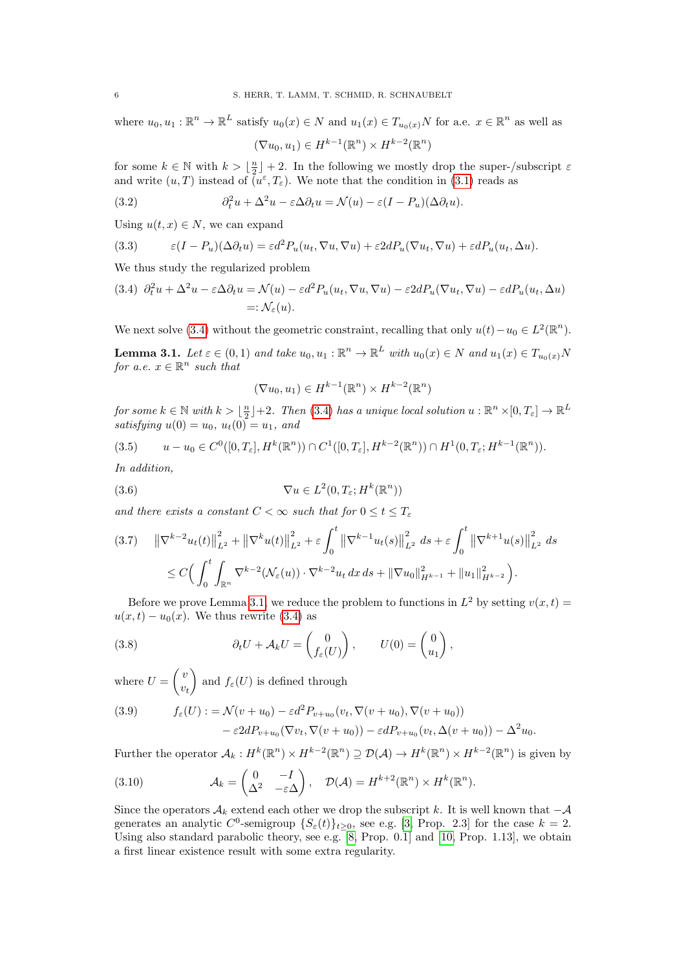where  $u_0, u_1 : \mathbb{R}^n \to \mathbb{R}^L$  satisfy  $u_0(x) \in N$  and  $u_1(x) \in T_{u_0(x)}N$  for a.e.  $x \in \mathbb{R}^n$  as well as

$$
(\nabla u_0, u_1) \in H^{k-1}(\mathbb{R}^n) \times H^{k-2}(\mathbb{R}^n)
$$

for some  $k \in \mathbb{N}$  with  $k > \lfloor \frac{n}{2} \rfloor + 2$ . In the following we mostly drop the super-/subscript  $\varepsilon$ and write  $(u, T)$  instead of  $\overline{(u^{\varepsilon}, T_{\varepsilon})}$ . We note that the condition in [\(3.1\)](#page-4-2) reads as

(3.2) 
$$
\partial_t^2 u + \Delta^2 u - \varepsilon \Delta \partial_t u = \mathcal{N}(u) - \varepsilon (I - P_u)(\Delta \partial_t u).
$$

Using  $u(t, x) \in N$ , we can expand

<span id="page-5-4"></span>(3.3) 
$$
\epsilon (I - P_u)(\Delta \partial_t u) = \epsilon d^2 P_u(u_t, \nabla u, \nabla u) + \epsilon 2d P_u(\nabla u_t, \nabla u) + \epsilon d P_u(u_t, \Delta u).
$$

We thus study the regularized problem

<span id="page-5-0"></span>(3.4) 
$$
\partial_t^2 u + \Delta^2 u - \varepsilon \Delta \partial_t u = \mathcal{N}(u) - \varepsilon d^2 P_u(u_t, \nabla u, \nabla u) - \varepsilon 2d P_u(\nabla u_t, \nabla u) - \varepsilon d P_u(u_t, \Delta u)
$$
  
=:  $\mathcal{N}_{\varepsilon}(u)$ .

We next solve [\(3.4\)](#page-5-0) without the geometric constraint, recalling that only  $u(t) - u_0 \in L^2(\mathbb{R}^n)$ .

<span id="page-5-1"></span>**Lemma 3.1.** Let  $\varepsilon \in (0,1)$  and take  $u_0, u_1 : \mathbb{R}^n \to \mathbb{R}^L$  with  $u_0(x) \in N$  and  $u_1(x) \in T_{u_0(x)}N$ for a.e.  $x \in \mathbb{R}^n$  such that

$$
(\nabla u_0, u_1) \in H^{k-1}(\mathbb{R}^n) \times H^{k-2}(\mathbb{R}^n)
$$

 $\emph{for some $k\in\mathbb{N}$ with $k>[\frac{n}{2}]+2$. Then (3.4) has a unique local solution $u:\mathbb{R}^n\times[0,T_\varepsilon]\rightarrow\mathbb{R}^L$}$  $\emph{for some $k\in\mathbb{N}$ with $k>[\frac{n}{2}]+2$. Then (3.4) has a unique local solution $u:\mathbb{R}^n\times[0,T_\varepsilon]\rightarrow\mathbb{R}^L$}$  $\emph{for some $k\in\mathbb{N}$ with $k>[\frac{n}{2}]+2$. Then (3.4) has a unique local solution $u:\mathbb{R}^n\times[0,T_\varepsilon]\rightarrow\mathbb{R}^L$}$ satisfying  $u(0) = u_0$ ,  $u_t(0) = u_1$ , and

$$
(3.5) \qquad u - u_0 \in C^0([0, T_\varepsilon], H^k(\mathbb{R}^n)) \cap C^1([0, T_\varepsilon], H^{k-2}(\mathbb{R}^n)) \cap H^1(0, T_\varepsilon; H^{k-1}(\mathbb{R}^n)).
$$

In addition,

(3.6) 
$$
\nabla u \in L^2(0, T_\varepsilon; H^k(\mathbb{R}^n))
$$

and there exists a constant  $C < \infty$  such that for  $0 \le t \le T_{\varepsilon}$ 

<span id="page-5-3"></span>
$$
(3.7) \quad \left\| \nabla^{k-2} u_t(t) \right\|_{L^2}^2 + \left\| \nabla^k u(t) \right\|_{L^2}^2 + \varepsilon \int_0^t \left\| \nabla^{k-1} u_t(s) \right\|_{L^2}^2 ds + \varepsilon \int_0^t \left\| \nabla^{k+1} u(s) \right\|_{L^2}^2 ds
$$
  

$$
\leq C \Big( \int_0^t \int_{\mathbb{R}^n} \nabla^{k-2} (\mathcal{N}_{\varepsilon}(u)) \cdot \nabla^{k-2} u_t dx ds + \left\| \nabla u_0 \right\|_{H^{k-1}}^2 + \left\| u_1 \right\|_{H^{k-2}}^2 \Big).
$$

Before we prove Lemma [3.1,](#page-5-1) we reduce the problem to functions in  $L^2$  by setting  $v(x,t) =$  $u(x,t) - u_0(x)$ . We thus rewrite [\(3.4\)](#page-5-0) as

<span id="page-5-2"></span>(3.8) 
$$
\partial_t U + \mathcal{A}_k U = \begin{pmatrix} 0 \\ f_\varepsilon(U) \end{pmatrix}, \qquad U(0) = \begin{pmatrix} 0 \\ u_1 \end{pmatrix},
$$

where  $U = \begin{pmatrix} v \\ v \end{pmatrix}$  $v_t$ ) and  $f_{\varepsilon}(U)$  is defined through

(3.9) 
$$
f_{\varepsilon}(U) := \mathcal{N}(v + u_0) - \varepsilon d^2 P_{v + u_0}(v_t, \nabla(v + u_0), \nabla(v + u_0))
$$

$$
- \varepsilon 2d P_{v + u_0}(\nabla v_t, \nabla(v + u_0)) - \varepsilon d P_{v + u_0}(v_t, \Delta(v + u_0)) - \Delta^2 u_0.
$$

Further the operator  $\mathcal{A}_k : H^k(\mathbb{R}^n) \times H^{k-2}(\mathbb{R}^n) \supseteq \mathcal{D}(\mathcal{A}) \to H^k(\mathbb{R}^n) \times H^{k-2}(\mathbb{R}^n)$  is given by

(3.10) 
$$
\mathcal{A}_k = \begin{pmatrix} 0 & -I \\ \Delta^2 & -\varepsilon \Delta \end{pmatrix}, \quad \mathcal{D}(\mathcal{A}) = H^{k+2}(\mathbb{R}^n) \times H^k(\mathbb{R}^n).
$$

Since the operators  $A_k$  extend each other we drop the subscript k. It is well known that  $-\mathcal{A}$ generates an analytic  $C^0$ -semigroup  $\{S_\varepsilon(t)\}_{t\geq0}$ , see e.g. [\[3,](#page-28-5) Prop. 2.3] for the case  $k=2$ . Using also standard parabolic theory, see e.g.  $[8,$  Prop. 0.1 and [\[10,](#page-28-7) Prop. 1.13], we obtain a first linear existence result with some extra regularity.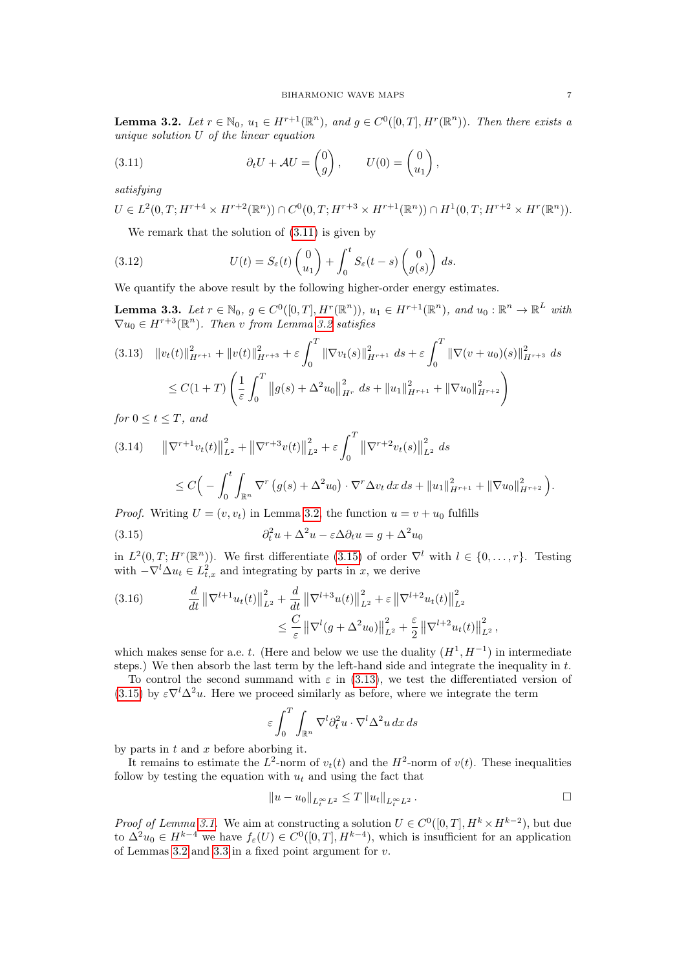<span id="page-6-1"></span>**Lemma 3.2.** Let  $r \in \mathbb{N}_0$ ,  $u_1 \in H^{r+1}(\mathbb{R}^n)$ , and  $g \in C^0([0,T], H^r(\mathbb{R}^n))$ . Then there exists a unique solution U of the linear equation

<span id="page-6-0"></span>(3.11) 
$$
\partial_t U + \mathcal{A}U = \begin{pmatrix} 0 \\ g \end{pmatrix}, \qquad U(0) = \begin{pmatrix} 0 \\ u_1 \end{pmatrix},
$$

satisfying

$$
U \in L^{2}(0,T; H^{r+4} \times H^{r+2}(\mathbb{R}^{n})) \cap C^{0}(0,T; H^{r+3} \times H^{r+1}(\mathbb{R}^{n})) \cap H^{1}(0,T; H^{r+2} \times H^{r}(\mathbb{R}^{n})).
$$

We remark that the solution of [\(3.11\)](#page-6-0) is given by

(3.12) 
$$
U(t) = S_{\varepsilon}(t) \begin{pmatrix} 0 \\ u_1 \end{pmatrix} + \int_0^t S_{\varepsilon}(t-s) \begin{pmatrix} 0 \\ g(s) \end{pmatrix} ds.
$$

We quantify the above result by the following higher-order energy estimates.

<span id="page-6-4"></span>**Lemma 3.3.** Let  $r \in \mathbb{N}_0$ ,  $g \in C^0([0,T], H^r(\mathbb{R}^n))$ ,  $u_1 \in H^{r+1}(\mathbb{R}^n)$ , and  $u_0 : \mathbb{R}^n \to \mathbb{R}^L$  with  $\nabla u_0 \in H^{r+3}(\mathbb{R}^n)$ . Then v from Lemma [3.2](#page-6-1) satisfies

<span id="page-6-3"></span>
$$
(3.13) \quad ||v_t(t)||_{H^{r+1}}^2 + ||v(t)||_{H^{r+3}}^2 + \varepsilon \int_0^T ||\nabla v_t(s)||_{H^{r+1}}^2 ds + \varepsilon \int_0^T ||\nabla (v + u_0)(s)||_{H^{r+3}}^2 ds
$$
  

$$
\leq C(1+T) \left( \frac{1}{\varepsilon} \int_0^T ||g(s) + \Delta^2 u_0||_{H^r}^2 ds + ||u_1||_{H^{r+1}}^2 + ||\nabla u_0||_{H^{r+2}}^2 \right)
$$

for  $0 \le t \le T$ , and

$$
(3.14) \qquad \left\| \nabla^{r+1} v_t(t) \right\|_{L^2}^2 + \left\| \nabla^{r+3} v(t) \right\|_{L^2}^2 + \varepsilon \int_0^T \left\| \nabla^{r+2} v_t(s) \right\|_{L^2}^2 ds
$$
  

$$
\leq C \Big( - \int_0^t \int_{\mathbb{R}^n} \nabla^r \left( g(s) + \Delta^2 u_0 \right) \cdot \nabla^r \Delta v_t \, dx \, ds + \left\| u_1 \right\|_{H^{r+1}}^2 + \left\| \nabla u_0 \right\|_{H^{r+2}}^2 \Big).
$$

*Proof.* Writing  $U = (v, v_t)$  in Lemma [3.2,](#page-6-1) the function  $u = v + u_0$  fulfills

<span id="page-6-2"></span>(3.15) 
$$
\partial_t^2 u + \Delta^2 u - \varepsilon \Delta \partial_t u = g + \Delta^2 u_0
$$

in  $L^2(0,T;H^r(\mathbb{R}^n))$ . We first differentiate [\(3.15\)](#page-6-2) of order  $\nabla^l$  with  $l \in \{0,\ldots,r\}$ . Testing with  $-\nabla^l \Delta u_t \in L^2_{t,x}$  and integrating by parts in x, we derive

(3.16) 
$$
\frac{d}{dt} \left\| \nabla^{l+1} u_t(t) \right\|_{L^2}^2 + \frac{d}{dt} \left\| \nabla^{l+3} u(t) \right\|_{L^2}^2 + \varepsilon \left\| \nabla^{l+2} u_t(t) \right\|_{L^2}^2 \n\leq \frac{C}{\varepsilon} \left\| \nabla^l (g + \Delta^2 u_0) \right\|_{L^2}^2 + \frac{\varepsilon}{2} \left\| \nabla^{l+2} u_t(t) \right\|_{L^2}^2,
$$

which makes sense for a.e. t. (Here and below we use the duality  $(H<sup>1</sup>, H<sup>-1</sup>)$  in intermediate steps.) We then absorb the last term by the left-hand side and integrate the inequality in  $t$ .

To control the second summand with  $\varepsilon$  in [\(3.13\)](#page-6-3), we test the differentiated version of [\(3.15\)](#page-6-2) by  $\varepsilon \nabla^l \Delta^2 u$ . Here we proceed similarly as before, where we integrate the term

$$
\varepsilon \int_0^T \int_{\mathbb{R}^n} \nabla^l \partial_t^2 u \cdot \nabla^l \Delta^2 u \, dx \, ds
$$

by parts in  $t$  and  $x$  before aborbing it.

It remains to estimate the  $L^2$ -norm of  $v_t(t)$  and the  $H^2$ -norm of  $v(t)$ . These inequalities follow by testing the equation with  $u_t$  and using the fact that

$$
||u - u_0||_{L_t^{\infty}L^2} \le T ||u_t||_{L_t^{\infty}L^2}.
$$

*Proof of Lemma [3.1.](#page-5-1)* We aim at constructing a solution  $U \in C^0([0,T], H^k \times H^{k-2})$ , but due to  $\Delta^2 u_0 \in H^{k-4}$  we have  $f_\varepsilon(U) \in C^0([0,T], H^{k-4})$ , which is insufficient for an application of Lemmas [3.2](#page-6-1) and [3.3](#page-6-4) in a fixed point argument for  $v$ .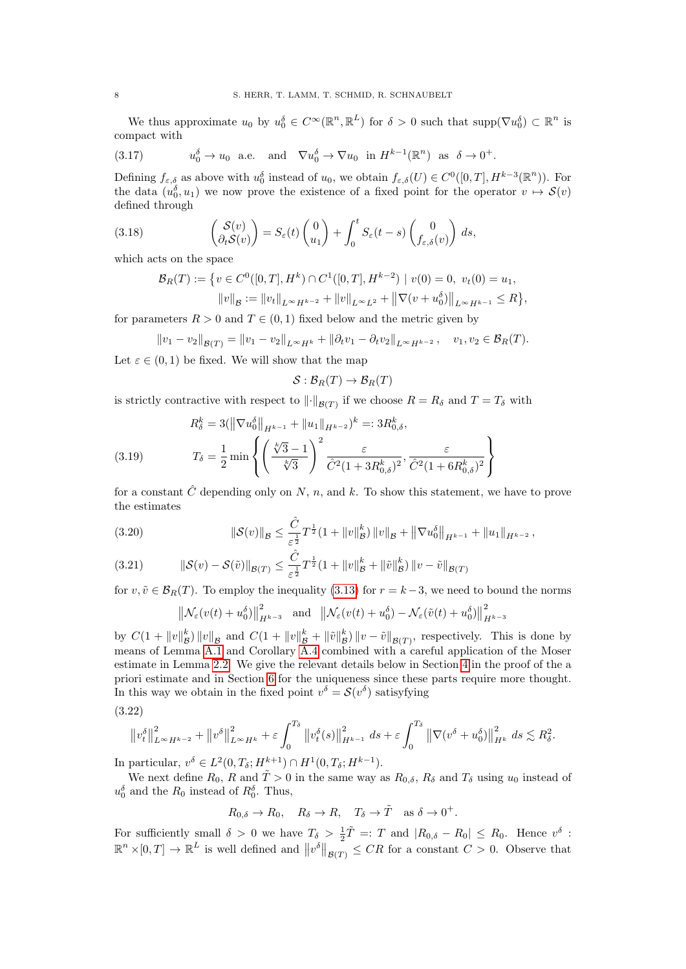We thus approximate  $u_0$  by  $u_0^{\delta} \in C^{\infty}(\mathbb{R}^n, \mathbb{R}^L)$  for  $\delta > 0$  such that  $\text{supp}(\nabla u_0^{\delta}) \subset \mathbb{R}^n$  is compact with

(3.17) 
$$
u_0^{\delta} \to u_0
$$
 a.e. and  $\nabla u_0^{\delta} \to \nabla u_0$  in  $H^{k-1}(\mathbb{R}^n)$  as  $\delta \to 0^+$ .

Defining  $f_{\varepsilon,\delta}$  as above with  $u_0^{\delta}$  instead of  $u_0$ , we obtain  $f_{\varepsilon,\delta}(U) \in C^0([0,T], H^{k-3}(\mathbb{R}^n))$ . For the data  $(u_0, \delta, u_1)$  we now prove the existence of a fixed point for the operator  $v \mapsto \mathcal{S}(v)$ defined through

(3.18) 
$$
\begin{pmatrix} S(v) \\ \partial_t S(v) \end{pmatrix} = S_{\varepsilon}(t) \begin{pmatrix} 0 \\ u_1 \end{pmatrix} + \int_0^t S_{\varepsilon}(t-s) \begin{pmatrix} 0 \\ f_{\varepsilon,\delta}(v) \end{pmatrix} ds,
$$

which acts on the space

$$
\mathcal{B}_R(T) := \{ v \in C^0([0, T], H^k) \cap C^1([0, T], H^{k-2}) \mid v(0) = 0, \ v_t(0) = u_1, ||v||_B := ||v_t||_{L^{\infty} H^{k-2}} + ||v||_{L^{\infty} L^2} + ||\nabla(v + u_0^{\delta})||_{L^{\infty} H^{k-1}} \le R \},
$$

for parameters  $R > 0$  and  $T \in (0, 1)$  fixed below and the metric given by

 $||v_1 - v_2||_{\mathcal{B}(T)} = ||v_1 - v_2||_{L^{\infty}H^k} + ||\partial_t v_1 - \partial_t v_2||_{L^{\infty}H^{k-2}}$ ,  $v_1, v_2 \in \mathcal{B}_R(T)$ .

Let  $\varepsilon \in (0, 1)$  be fixed. We will show that the map  $S : \mathcal{B}_R(T) \to \mathcal{B}_R(T)$ 

is strictly contractive with respect to  $\|\cdot\|_{\mathcal{B}(T)}$  if we choose  $R = R_{\delta}$  and  $T = T_{\delta}$  with

<span id="page-7-2"></span>(3.19) 
$$
R_{\delta}^{k} = 3(\|\nabla u_{0}^{\delta}\|_{H^{k-1}} + \|u_{1}\|_{H^{k-2}})^{k} =: 3R_{0,\delta}^{k},
$$

$$
T_{\delta} = \frac{1}{2} \min \left\{ \left(\frac{\sqrt[k]{3} - 1}{\sqrt[k]{3}}\right)^{2} \frac{\varepsilon}{\hat{C}^{2}(1 + 3R_{0,\delta}^{k})^{2}}, \frac{\varepsilon}{\hat{C}^{2}(1 + 6R_{0,\delta}^{k})^{2}} \right\}
$$

for a constant  $\hat{C}$  depending only on N, n, and k. To show this statement, we have to prove the estimates

$$
(3.20) \t\t\t ||\mathcal{S}(v)||_{\mathcal{B}} \leq \frac{\hat{C}}{\varepsilon^{\frac{1}{2}}} T^{\frac{1}{2}} (1 + ||v||_{\mathcal{B}}^{k}) ||v||_{\mathcal{B}} + ||\nabla u_{0}^{\delta}||_{H^{k-1}} + ||u_{1}||_{H^{k-2}},
$$

<span id="page-7-0"></span>
$$
(3.21) \t\t ||\mathcal{S}(v) - \mathcal{S}(\tilde{v})||_{\mathcal{B}(T)} \leq \frac{\hat{C}}{\varepsilon^{\frac{1}{2}}} T^{\frac{1}{2}} (1 + ||v||_{\mathcal{B}}^{k} + ||\tilde{v}||_{\mathcal{B}}^{k}) ||v - \tilde{v}||_{\mathcal{B}(T)}
$$

for  $v, \tilde{v} \in \mathcal{B}_R(T)$ . To employ the inequality [\(3.13\)](#page-6-3) for  $r = k-3$ , we need to bound the norms

$$
\left\|\mathcal{N}_{\varepsilon}(v(t) + u_0^{\delta})\right\|_{H^{k-3}}^2 \quad \text{and} \quad \left\|\mathcal{N}_{\varepsilon}(v(t) + u_0^{\delta}) - \mathcal{N}_{\varepsilon}(\tilde{v}(t) + u_0^{\delta})\right\|_{H^{k-3}}^2
$$

by  $C(1 + ||v||_B^k) ||v||_B$  and  $C(1 + ||v||_B^k + ||\tilde{v}||_B^k) ||v - \tilde{v}||_{B(T)}$ , respectively. This is done by means of Lemma [A.1](#page-22-1) and Corollary [A.4](#page-24-0) combined with a careful application of the Moser estimate in Lemma [2.2.](#page-4-3) We give the relevant details below in Section [4](#page-9-0) in the proof of the a priori estimate and in Section [6](#page-16-0) for the uniqueness since these parts require more thought. In this way we obtain in the fixed point  $v^{\delta} = \mathcal{S}(v^{\delta})$  satisyfying (3.22)

<span id="page-7-1"></span>
$$
\left\|v_{t}^{\delta}\right\|_{L^{\infty}H^{k-2}}^{2} + \left\|v^{\delta}\right\|_{L^{\infty}H^{k}}^{2} + \varepsilon \int_{0}^{T_{\delta}}\left\|v_{t}^{\delta}(s)\right\|_{H^{k-1}}^{2} ds + \varepsilon \int_{0}^{T_{\delta}}\left\|\nabla(v^{\delta}+u_{0}^{\delta})\right\|_{H^{k}}^{2} ds \lesssim R_{\delta}^{2}.
$$

In particular,  $v^{\delta} \in L^2(0, T_{\delta}; H^{k+1}) \cap H^1(0, T_{\delta}; H^{k-1}).$ 

We next define  $R_0$ , R and  $\tilde{T} > 0$  in the same way as  $R_{0,\delta}$ ,  $R_{\delta}$  and  $T_{\delta}$  using  $u_0$  instead of  $u_0^{\delta}$  and the  $R_0$  instead of  $R_0^{\delta}$ . Thus,

$$
R_{0,\delta} \to R_0
$$
,  $R_{\delta} \to R$ ,  $T_{\delta} \to \tilde{T}$  as  $\delta \to 0^+$ .

For sufficiently small  $\delta > 0$  we have  $T_{\delta} > \frac{1}{2}\tilde{T} =: T$  and  $|R_{0,\delta} - R_0| \le R_0$ . Hence  $v^{\delta}$ :  $\mathbb{R}^n \times [0,T] \to \mathbb{R}^L$  is well defined and  $||v^{\delta}||_{\mathcal{B}(T)} \leq CR$  for a constant  $C > 0$ . Observe that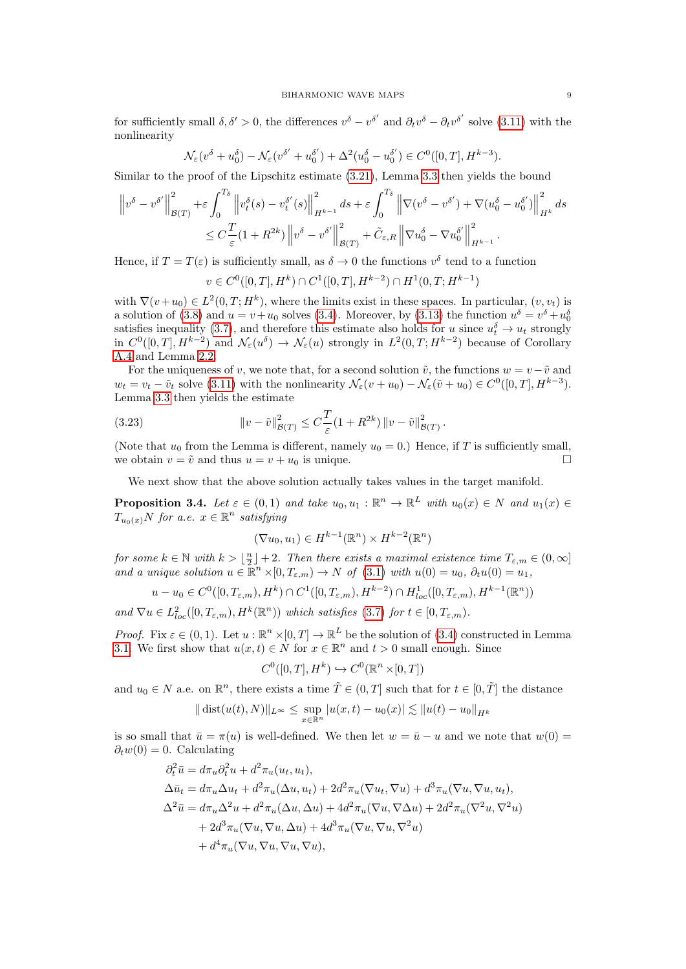for sufficiently small  $\delta, \delta' > 0$ , the differences  $v^{\delta} - v^{\delta'}$  and  $\partial_t v^{\delta} - \partial_t v^{\delta'}$  solve [\(3.11\)](#page-6-0) with the nonlinearity

$$
\mathcal{N}_{\varepsilon}(v^{\delta} + u_0^{\delta}) - \mathcal{N}_{\varepsilon}(v^{\delta'} + u_0^{\delta'}) + \Delta^2(u_0^{\delta} - u_0^{\delta'}) \in C^0([0, T], H^{k-3}).
$$

Similar to the proof of the Lipschitz estimate [\(3.21\)](#page-7-0), Lemma [3.3](#page-6-4) then yields the bound

$$
\left\|v^{\delta} - v^{\delta'}\right\|_{\mathcal{B}(T)}^2 + \varepsilon \int_0^{T_\delta} \left\|v_t^{\delta}(s) - v_t^{\delta'}(s)\right\|_{H^{k-1}}^2 ds + \varepsilon \int_0^{T_\delta} \left\|\nabla(v^{\delta} - v^{\delta'}) + \nabla(u_0^{\delta} - u_0^{\delta'})\right\|_{H^k}^2 ds
$$
  

$$
\leq C \frac{T}{\varepsilon} (1 + R^{2k}) \left\|v^{\delta} - v^{\delta'}\right\|_{\mathcal{B}(T)}^2 + \tilde{C}_{\varepsilon,R} \left\|\nabla u_0^{\delta} - \nabla u_0^{\delta'}\right\|_{H^{k-1}}^2.
$$

Hence, if  $T = T(\varepsilon)$  is sufficiently small, as  $\delta \to 0$  the functions  $v^{\delta}$  tend to a function

$$
v \in C^0([0,T], H^k) \cap C^1([0,T], H^{k-2}) \cap H^1(0,T; H^{k-1})
$$

with  $\nabla(v+u_0) \in L^2(0,T;H^k)$ , where the limits exist in these spaces. In particular,  $(v, v_t)$  is a solution of [\(3.8\)](#page-5-2) and  $u = v + u_0$  solves [\(3.4\)](#page-5-0). Moreover, by [\(3.13\)](#page-6-3) the function  $u^{\delta} = v^{\delta} + u_0^{\delta}$ satisfies inequality [\(3.7\)](#page-5-3), and therefore this estimate also holds for u since  $u_t^{\delta} \to u_t$  strongly in  $C^0([0,T], H^{k-2})$  and  $\mathcal{N}_{\varepsilon}(u^{\delta}) \to \mathcal{N}_{\varepsilon}(u)$  strongly in  $L^2(0,T; H^{k-2})$  because of Corollary [A.4](#page-24-0) and Lemma [2.2.](#page-4-3)

For the uniqueness of v, we note that, for a second solution  $\tilde{v}$ , the functions  $w = v - \tilde{v}$  and  $w_t = v_t - \tilde{v}_t$  solve [\(3.11\)](#page-6-0) with the nonlinearity  $\mathcal{N}_{\varepsilon}(v + u_0) - \mathcal{N}_{\varepsilon}(\tilde{v} + u_0) \in C^0([0, T], H^{k-3}).$ Lemma [3.3](#page-6-4) then yields the estimate

(3.23) 
$$
\|v - \tilde{v}\|_{\mathcal{B}(T)}^2 \leq C \frac{T}{\varepsilon} (1 + R^{2k}) \|v - \tilde{v}\|_{\mathcal{B}(T)}^2.
$$

(Note that  $u_0$  from the Lemma is different, namely  $u_0 = 0$ .) Hence, if T is sufficiently small, we obtain  $v = \tilde{v}$  and thus  $u = v + u_0$  is unique.

We next show that the above solution actually takes values in the target manifold.

<span id="page-8-0"></span>**Proposition 3.4.** Let  $\varepsilon \in (0,1)$  and take  $u_0, u_1 : \mathbb{R}^n \to \mathbb{R}^L$  with  $u_0(x) \in N$  and  $u_1(x) \in$  $T_{u_0(x)}N$  for a.e.  $x \in \mathbb{R}^n$  satisfying

$$
(\nabla u_0, u_1) \in H^{k-1}(\mathbb{R}^n) \times H^{k-2}(\mathbb{R}^n)
$$

for some  $k \in \mathbb{N}$  with  $k > \lfloor \frac{n}{2} \rfloor + 2$ . Then there exists a maximal existence time  $T_{\varepsilon,m} \in (0,\infty]$ and a unique solution  $u \in \mathbb{R}^n \times [0, T_{\varepsilon,m}) \to N$  of  $(3.1)$  with  $u(0) = u_0, \partial_t u(0) = u_1$ ,

$$
u - u_0 \in C^0([0, T_{\varepsilon,m}), H^k) \cap C^1([0, T_{\varepsilon,m}), H^{k-2}) \cap H^1_{loc}([0, T_{\varepsilon,m}), H^{k-1}(\mathbb{R}^n))
$$

and  $\nabla u \in L^2_{loc}([0, T_{\varepsilon,m}), H^k(\mathbb{R}^n))$  which satisfies [\(3.7\)](#page-5-3) for  $t \in [0, T_{\varepsilon,m})$ .

*Proof.* Fix  $\varepsilon \in (0,1)$ . Let  $u : \mathbb{R}^n \times [0,T] \to \mathbb{R}^L$  be the solution of [\(3.4\)](#page-5-0) constructed in Lemma [3.1.](#page-5-1) We first show that  $u(x,t) \in N$  for  $x \in \mathbb{R}^n$  and  $t > 0$  small enough. Since

$$
C^0([0,T],H^k)\hookrightarrow C^0(\mathbb{R}^n\times[0,T])
$$

and  $u_0 \in N$  a.e. on  $\mathbb{R}^n$ , there exists a time  $\tilde{T} \in (0,T]$  such that for  $t \in [0,\tilde{T}]$  the distance

$$
\|\operatorname{dist}(u(t),N)\|_{L^{\infty}} \leq \sup_{x \in \mathbb{R}^n} |u(x,t) - u_0(x)| \lesssim \|u(t) - u_0\|_{H^k}
$$

is so small that  $\bar{u} = \pi(u)$  is well-defined. We then let  $w = \bar{u} - u$  and we note that  $w(0) =$  $\partial_t w(0) = 0$ . Calculating

$$
\partial_t^2 \bar{u} = d\pi_u \partial_t^2 u + d^2 \pi_u(u_t, u_t),
$$
  
\n
$$
\Delta \bar{u}_t = d\pi_u \Delta u_t + d^2 \pi_u(\Delta u, u_t) + 2d^2 \pi_u(\nabla u_t, \nabla u) + d^3 \pi_u(\nabla u, \nabla u, u_t),
$$
  
\n
$$
\Delta^2 \bar{u} = d\pi_u \Delta^2 u + d^2 \pi_u(\Delta u, \Delta u) + 4d^2 \pi_u(\nabla u, \nabla \Delta u) + 2d^2 \pi_u(\nabla^2 u, \nabla^2 u)
$$
  
\n
$$
+ 2d^3 \pi_u(\nabla u, \nabla u, \Delta u) + 4d^3 \pi_u(\nabla u, \nabla u, \nabla^2 u)
$$
  
\n
$$
+ d^4 \pi_u(\nabla u, \nabla u, \nabla u, \nabla u),
$$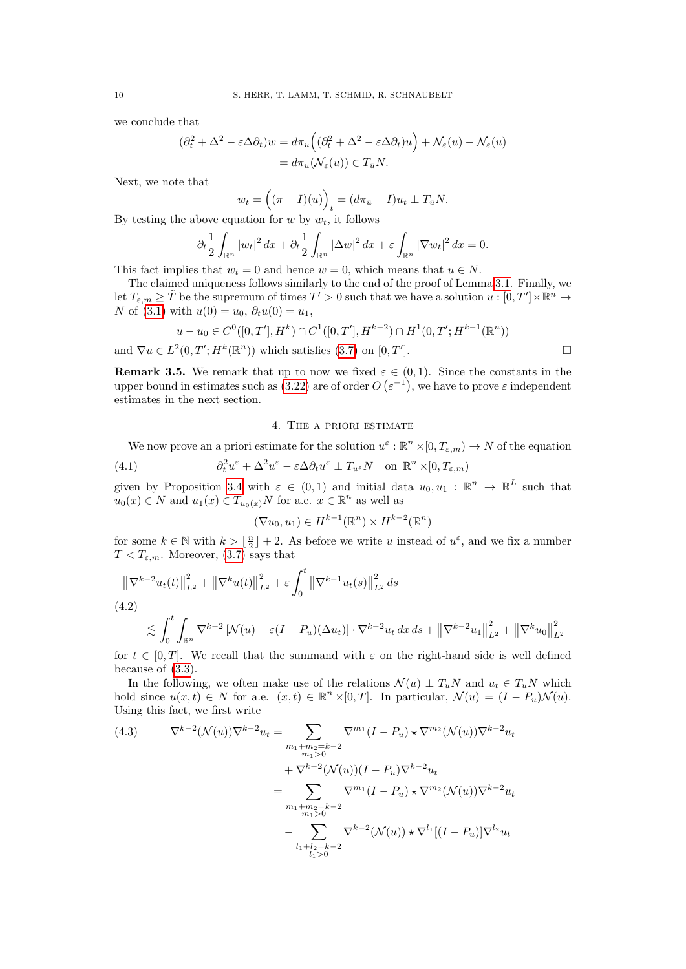we conclude that

$$
(\partial_t^2 + \Delta^2 - \varepsilon \Delta \partial_t) w = d\pi_u \left( (\partial_t^2 + \Delta^2 - \varepsilon \Delta \partial_t) u \right) + \mathcal{N}_{\varepsilon}(u) - \mathcal{N}_{\varepsilon}(u)
$$
  
=  $d\pi_u(\mathcal{N}_{\varepsilon}(u)) \in T_{\bar{u}} N.$ 

Next, we note that

$$
w_t = ((\pi - I)(u))_t = (d\pi_{\bar{u}} - I)u_t \perp T_{\bar{u}}N.
$$

By testing the above equation for  $w$  by  $w_t$ , it follows

$$
\partial_t \frac{1}{2} \int_{\mathbb{R}^n} |w_t|^2 \, dx + \partial_t \frac{1}{2} \int_{\mathbb{R}^n} |\Delta w|^2 \, dx + \varepsilon \int_{\mathbb{R}^n} |\nabla w_t|^2 \, dx = 0.
$$

This fact implies that  $w_t = 0$  and hence  $w = 0$ , which means that  $u \in N$ .

The claimed uniqueness follows similarly to the end of the proof of Lemma [3.1.](#page-5-1) Finally, we let  $T_{\varepsilon,m} \geq \tilde{T}$  be the supremum of times  $T' > 0$  such that we have a solution  $u : [0, T'] \times \mathbb{R}^n \to$ N of [\(3.1\)](#page-4-2) with  $u(0) = u_0, \, \partial_t u(0) = u_1$ ,

$$
u - u_0 \in C^0([0, T'], H^k) \cap C^1([0, T'], H^{k-2}) \cap H^1(0, T'; H^{k-1}(\mathbb{R}^n))
$$
  
and  $\nabla u \in L^2(0, T'; H^k(\mathbb{R}^n))$  which satisfies (3.7) on [0, T'].

**Remark 3.5.** We remark that up to now we fixed  $\varepsilon \in (0,1)$ . Since the constants in the upper bound in estimates such as [\(3.22\)](#page-7-1) are of order  $O(\varepsilon^{-1})$ , we have to prove  $\varepsilon$  independent estimates in the next section.

### <span id="page-9-2"></span>4. The a priori estimate

<span id="page-9-0"></span>We now prove an a priori estimate for the solution  $u^{\varepsilon}: \mathbb{R}^n \times [0, T_{\varepsilon,m}) \to N$  of the equation

(4.1) 
$$
\partial_t^2 u^{\varepsilon} + \Delta^2 u^{\varepsilon} - {\varepsilon} \Delta \partial_t u^{\varepsilon} \perp T_{u^{\varepsilon}} N \quad \text{on } \mathbb{R}^n \times [0, T_{\varepsilon,m})
$$

given by Proposition [3.4](#page-8-0) with  $\varepsilon \in (0,1)$  and initial data  $u_0, u_1 : \mathbb{R}^n \to \mathbb{R}^L$  such that  $u_0(x) \in N$  and  $u_1(x) \in T_{u_0(x)}N$  for a.e.  $x \in \mathbb{R}^n$  as well as

$$
(\nabla u_0, u_1) \in H^{k-1}(\mathbb{R}^n) \times H^{k-2}(\mathbb{R}^n)
$$

for some  $k \in \mathbb{N}$  with  $k > \lfloor \frac{n}{2} \rfloor + 2$ . As before we write u instead of  $u^{\varepsilon}$ , and we fix a number  $T < T_{\varepsilon,m}$ . Moreover, [\(3.7\)](#page-5-3) says that

<span id="page-9-1"></span>
$$
\|\nabla^{k-2} u_t(t)\|_{L^2}^2 + \|\nabla^k u(t)\|_{L^2}^2 + \varepsilon \int_0^t \|\nabla^{k-1} u_t(s)\|_{L^2}^2 ds
$$
  
(4.2)  

$$
\lesssim \int_0^t \int_{\mathbb{R}^n} \nabla^{k-2} \left[\mathcal{N}(u) - \varepsilon (I - P_u)(\Delta u_t)\right] \cdot \nabla^{k-2} u_t dx ds + \left\|\nabla^{k-2} u_1\right\|_{L^2}^2 + \left\|\nabla^k u_0\right\|_{L^2}^2
$$

for  $t \in [0, T]$ . We recall that the summand with  $\varepsilon$  on the right-hand side is well defined because of [\(3.3\)](#page-5-4).

In the following, we often make use of the relations  $\mathcal{N}(u) \perp T_u N$  and  $u_t \in T_u N$  which hold since  $u(x,t) \in N$  for a.e.  $(x,t) \in \mathbb{R}^n \times [0,T]$ . In particular,  $\mathcal{N}(u) = (I - P_u)\mathcal{N}(u)$ . Using this fact, we first write

<span id="page-9-3"></span>(4.3) 
$$
\nabla^{k-2}(\mathcal{N}(u))\nabla^{k-2}u_t = \sum_{\substack{m_1+m_2=k-2\\m_1>0\\m_2=k-2}}\nabla^{m_1}(I-P_u) \star \nabla^{m_2}(\mathcal{N}(u))\nabla^{k-2}u_t \n+ \nabla^{k-2}(\mathcal{N}(u))(I-P_u)\nabla^{k-2}u_t \n= \sum_{\substack{m_1+m_2=k-2\\m_1>0\\l_1+l_2=k-2}}\nabla^{m_1}(I-P_u) \star \nabla^{m_2}(\mathcal{N}(u))\nabla^{k-2}u_t \n- \sum_{l_1+l_2=k-2}\nabla^{k-2}(\mathcal{N}(u)) \star \nabla^{l_1}[(I-P_u)]\nabla^{l_2}u_t
$$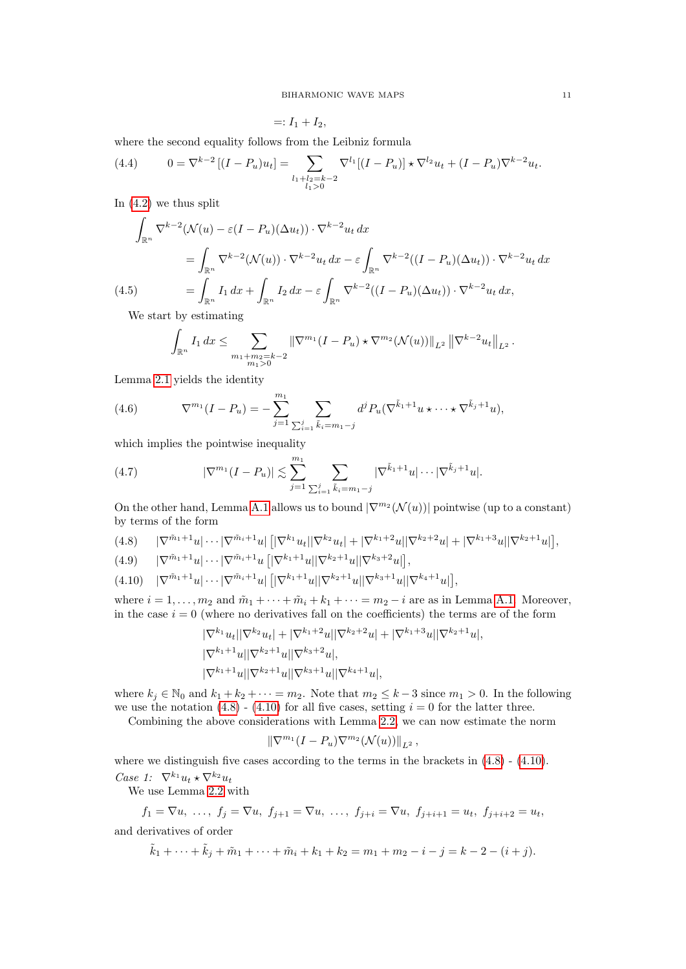$=: I_1 + I_2,$ 

where the second equality follows from the Leibniz formula

<span id="page-10-2"></span>(4.4) 
$$
0 = \nabla^{k-2} \left[ (I - P_u) u_t \right] = \sum_{\substack{l_1 + l_2 = k-2 \\ l_1 > 0}} \nabla^{l_1} \left[ (I - P_u) \right] \star \nabla^{l_2} u_t + (I - P_u) \nabla^{k-2} u_t.
$$

In [\(4.2\)](#page-9-1) we thus split

$$
\int_{\mathbb{R}^n} \nabla^{k-2} (\mathcal{N}(u) - \varepsilon (I - P_u)(\Delta u_t)) \cdot \nabla^{k-2} u_t \, dx
$$
\n
$$
= \int_{\mathbb{R}^n} \nabla^{k-2} (\mathcal{N}(u)) \cdot \nabla^{k-2} u_t \, dx - \varepsilon \int_{\mathbb{R}^n} \nabla^{k-2} ((I - P_u)(\Delta u_t)) \cdot \nabla^{k-2} u_t \, dx
$$
\n(4.5)\n
$$
= \int_{\mathbb{R}^n} I_1 \, dx + \int_{\mathbb{R}^n} I_2 \, dx - \varepsilon \int_{\mathbb{R}^n} \nabla^{k-2} ((I - P_u)(\Delta u_t)) \cdot \nabla^{k-2} u_t \, dx,
$$
\nWe start by estimating

<span id="page-10-4"></span>We start by estimating

$$
\int_{\mathbb{R}^n} I_1 dx \leq \sum_{\substack{m_1 + m_2 = k - 2 \\ m_1 > 0}} \|\nabla^{m_1} (I - P_u) \star \nabla^{m_2} (\mathcal{N}(u))\|_{L^2} \left\| \nabla^{k-2} u_t \right\|_{L^2}.
$$

Lemma [2.1](#page-4-4) yields the identity

<span id="page-10-3"></span>(4.6) 
$$
\nabla^{m_1}(I - P_u) = -\sum_{j=1}^{m_1} \sum_{\sum_{i=1}^j \tilde{k}_i = m_1 - j} d^j P_u(\nabla^{\tilde{k}_1 + 1} u \star \cdots \star \nabla^{\tilde{k}_j + 1} u),
$$

which implies the pointwise inequality

(4.7) 
$$
|\nabla^{m_1}(I - P_u)| \lesssim \sum_{j=1}^{m_1} \sum_{\sum_{i=1}^j \tilde{k}_i = m_1 - j} |\nabla^{\tilde{k}_1 + 1} u| \cdots |\nabla^{\tilde{k}_j + 1} u|.
$$

On the other hand, Lemma [A.1](#page-22-1) allows us to bound  $|\nabla^{m_2}(\mathcal{N}(u))|$  pointwise (up to a constant) by terms of the form

<span id="page-10-0"></span>
$$
(4.8)\qquad |\nabla^{\tilde{m}_1+1}u|\cdots|\nabla^{\tilde{m}_i+1}u|\left[|\nabla^{k_1}u_t||\nabla^{k_2}u_t|+|\nabla^{k_1+2}u||\nabla^{k_2+2}u|+|\nabla^{k_1+3}u||\nabla^{k_2+1}u|\right],
$$

$$
(4.9) \qquad |\nabla^{\tilde{m}_1+1} u| \cdots |\nabla^{\tilde{m}_i+1} u| \left( |\nabla^{k_1+1} u| |\nabla^{k_2+1} u| |\nabla^{k_3+2} u| \right),
$$

<span id="page-10-1"></span>
$$
(4.10) \quad |\nabla^{\tilde{m}_1+1} u| \cdots |\nabla^{\tilde{m}_i+1} u| \left[ |\nabla^{k_1+1} u| |\nabla^{k_2+1} u| |\nabla^{k_3+1} u| |\nabla^{k_4+1} u| \right],
$$

where  $i = 1, \ldots, m_2$  and  $\tilde{m}_1 + \cdots + \tilde{m}_i + k_1 + \cdots = m_2 - i$  are as in Lemma [A.1.](#page-22-1) Moreover, in the case  $i = 0$  (where no derivatives fall on the coefficients) the terms are of the form

$$
\begin{aligned} &|\nabla^{k_1} u_t||\nabla^{k_2} u_t| + |\nabla^{k_1+2} u||\nabla^{k_2+2} u| + |\nabla^{k_1+3} u||\nabla^{k_2+1} u|, \\ &|\nabla^{k_1+1} u||\nabla^{k_2+1} u||\nabla^{k_3+2} u|, \\ &|\nabla^{k_1+1} u||\nabla^{k_2+1} u||\nabla^{k_3+1} u||\nabla^{k_4+1} u|, \end{aligned}
$$

where  $k_j \in \mathbb{N}_0$  and  $k_1 + k_2 + \cdots = m_2$ . Note that  $m_2 \leq k-3$  since  $m_1 > 0$ . In the following we use the notation  $(4.8)$  -  $(4.10)$  for all five cases, setting  $i = 0$  for the latter three.

Combining the above considerations with Lemma [2.2,](#page-4-3) we can now estimate the norm

$$
\|\nabla^{m_1}(I - P_u)\nabla^{m_2}(\mathcal{N}(u))\|_{L^2},
$$

where we distinguish five cases according to the terms in the brackets in  $(4.8)$  -  $(4.10)$ .

Case 1:  $\nabla^{k_1} u_t \star \nabla^{k_2} u_t$ 

We use Lemma [2.2](#page-4-3) with

$$
f_1 = \nabla u, \ldots, f_j = \nabla u, f_{j+1} = \nabla u, \ldots, f_{j+i} = \nabla u, f_{j+i+1} = u_t, f_{j+i+2} = u_t,
$$

and derivatives of order

$$
\tilde{k}_1 + \dots + \tilde{k}_j + \tilde{m}_1 + \dots + \tilde{m}_i + k_1 + k_2 = m_1 + m_2 - i - j = k - 2 - (i + j).
$$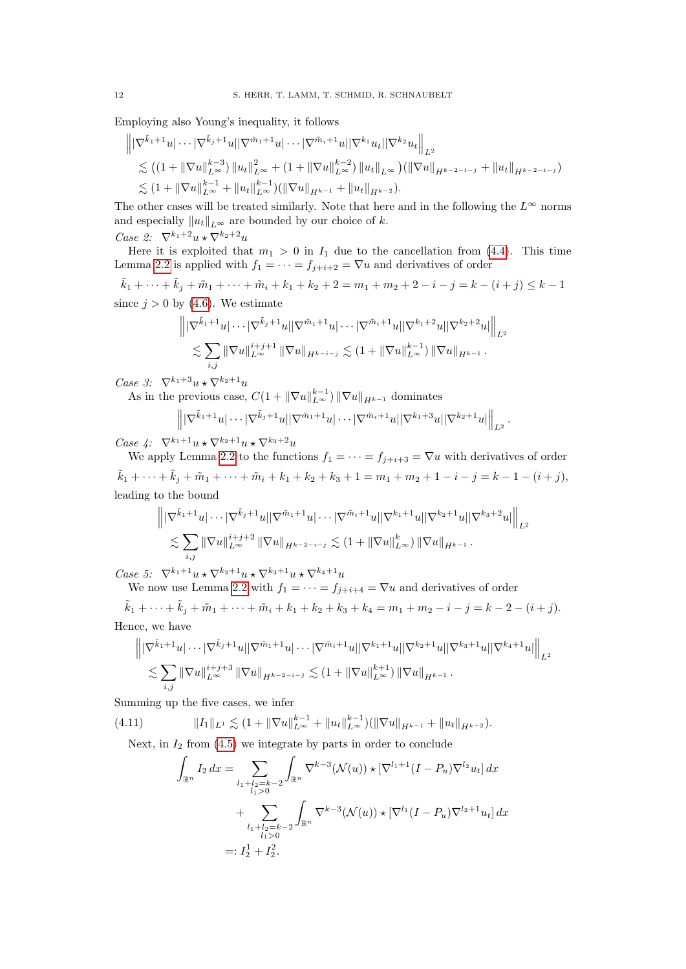Employing also Young's inequality, it follows

$$
\| |\nabla^{\tilde{k}_1+1} u | \cdots |\nabla^{\tilde{k}_j+1} u | |\nabla^{\tilde{m}_1+1} u | \cdots |\nabla^{\tilde{m}_i+1} u | |\nabla^{k_1} u_t| |\nabla^{k_2} u_t \|_{L^2}
$$
  
\n
$$
\lesssim ((1 + ||\nabla u||_{L^{\infty}}^{k-3}) ||u_t||_{L^{\infty}}^2 + (1 + ||\nabla u||_{L^{\infty}}^{k-2}) ||u_t||_{L^{\infty}}) (||\nabla u||_{H^{k-2-i-j}} + ||u_t||_{H^{k-2-i-j}})
$$
  
\n
$$
\lesssim (1 + ||\nabla u||_{L^{\infty}}^{k-1} + ||u_t||_{L^{\infty}}^{k-1}) (||\nabla u||_{H^{k-1}} + ||u_t||_{H^{k-2}}).
$$

The other cases will be treated similarly. Note that here and in the following the  $L^{\infty}$  norms and especially  $||u_t||_{L^{\infty}}$  are bounded by our choice of k. Case 2:  $\nabla^{k_1+2} u \star \nabla^{k_2+2} u$ 

Here it is exploited that  $m_1 > 0$  in  $I_1$  due to the cancellation from [\(4.4\)](#page-10-2). This time Lemma [2.2](#page-4-3) is applied with  $f_1 = \cdots = f_{j+i+2} = \nabla u$  and derivatives of order

 $\tilde{k}_1 + \cdots + \tilde{k}_j + \tilde{m}_1 + \cdots + \tilde{m}_i + k_1 + k_2 + 2 = m_1 + m_2 + 2 - i - j = k - (i + j) \leq k - 1$ since  $j > 0$  by [\(4.6\)](#page-10-3). We estimate

$$
\left\| |\nabla^{\tilde{k}_1+1} u| \cdots |\nabla^{\tilde{k}_j+1} u| |\nabla^{\tilde{m}_1+1} u| \cdots |\nabla^{\tilde{m}_i+1} u| |\nabla^{k_1+2} u| |\nabla^{k_2+2} u| \right\|_{L^2}
$$
  

$$
\lesssim \sum_{i,j} ||\nabla u||_{L^{\infty}}^{i+j+1} ||\nabla u||_{H^{k-i-j}} \lesssim (1 + ||\nabla u||_{L^{\infty}}^{k-1}) ||\nabla u||_{H^{k-1}}.
$$

Case 3:  $\nabla^{k_1+3}u\star\nabla^{k_2+1}u$ 

As in the previous case,  $C(1 + \|\nabla u\|_{L^{\infty}}^{k-1}) \|\nabla u\|_{H^{k-1}}$  dominates

$$
\left\| |\nabla^{\tilde{k}_1+1} u| \cdots |\nabla^{\tilde{k}_j+1} u| |\nabla^{\tilde{m}_1+1} u| \cdots |\nabla^{\tilde{m}_i+1} u| |\nabla^{k_1+3} u| |\nabla^{k_2+1} u| \right\|_{L^2}
$$

.

Case 4:  $\nabla^{k_1+1}u \star \nabla^{k_2+1}u \star \nabla^{k_3+2}u$ 

We apply Lemma [2.2](#page-4-3) to the functions  $f_1 = \cdots = f_{j+i+3} = \nabla u$  with derivatives of order  $\tilde{k}_1 + \cdots + \tilde{k}_i + \tilde{m}_1 + \cdots + \tilde{m}_i + k_1 + k_2 + k_3 + 1 = m_1 + m_2 + 1 - i - j = k - 1 - (i + j),$ leading to the bound

$$
\left\| |\nabla^{\tilde{k}_1+1} u| \cdots |\nabla^{\tilde{k}_j+1} u| |\nabla^{\tilde{m}_1+1} u| \cdots |\nabla^{\tilde{m}_i+1} u| |\nabla^{k_1+1} u| |\nabla^{k_2+1} u| |\nabla^{k_3+2} u| \right\|_{L^2}
$$
  

$$
\lesssim \sum_{i,j} \|\nabla u\|_{L^{\infty}}^{i+j+2} \|\nabla u\|_{H^{k-2-i-j}} \lesssim (1 + \|\nabla u\|_{L^{\infty}}^k) \|\nabla u\|_{H^{k-1}}.
$$

Case 5:  $\nabla^{k_1+1} u \star \nabla^{k_2+1} u \star \nabla^{k_3+1} u \star \nabla^{k_4+1} u$ 

We now use Lemma [2.2](#page-4-3) with  $f_1 = \cdots = f_{j+i+4} = \nabla u$  and derivatives of order

 $\tilde{k}_1 + \cdots + \tilde{k}_j + \tilde{m}_1 + \cdots + \tilde{m}_i + k_1 + k_2 + k_3 + k_4 = m_1 + m_2 - i - j = k - 2 - (i + j).$ Hence, we have

$$
\| |\nabla^{\tilde{k}_1+1} u| \cdots |\nabla^{\tilde{k}_j+1} u| |\nabla^{\tilde{m}_1+1} u| \cdots |\nabla^{\tilde{m}_i+1} u| |\nabla^{k_1+1} u| |\nabla^{k_2+1} u| |\nabla^{k_3+1} u| |\nabla^{k_4+1} u| \Big\|_{L^2}
$$
  

$$
\lesssim \sum_{i,j} ||\nabla u||_{L^{\infty}}^{i+j+3} ||\nabla u||_{H^{k-2-i-j}} \lesssim (1 + ||\nabla u||_{L^{\infty}}^{k+1}) ||\nabla u||_{H^{k-1}}.
$$

Summing up the five cases, we infer

(4.11) 
$$
||I_1||_{L^1} \lesssim (1 + ||\nabla u||_{L^{\infty}}^{k-1} + ||u_t||_{L^{\infty}}^{k-1})(||\nabla u||_{H^{k-1}} + ||u_t||_{H^{k-2}}).
$$
  
Next, in  $I_2$  from (4.5) we integrate by parts in order to conclude

<span id="page-11-0"></span>
$$
\int_{\mathbb{R}^n} I_2 dx = \sum_{\substack{l_1 + l_2 = k-2 \\ l_1 > 0}} \int_{\mathbb{R}^n} \nabla^{k-3} (\mathcal{N}(u)) \star [\nabla^{l_1+1} (I - P_u) \nabla^{l_2} u_t] dx \n+ \sum_{\substack{l_1 + l_2 = k-2 \\ l_1 > 0}} \int_{\mathbb{R}^n} \nabla^{k-3} (\mathcal{N}(u)) \star [\nabla^{l_1} (I - P_u) \nabla^{l_2+1} u_t] dx \n=: I_2^1 + I_2^2.
$$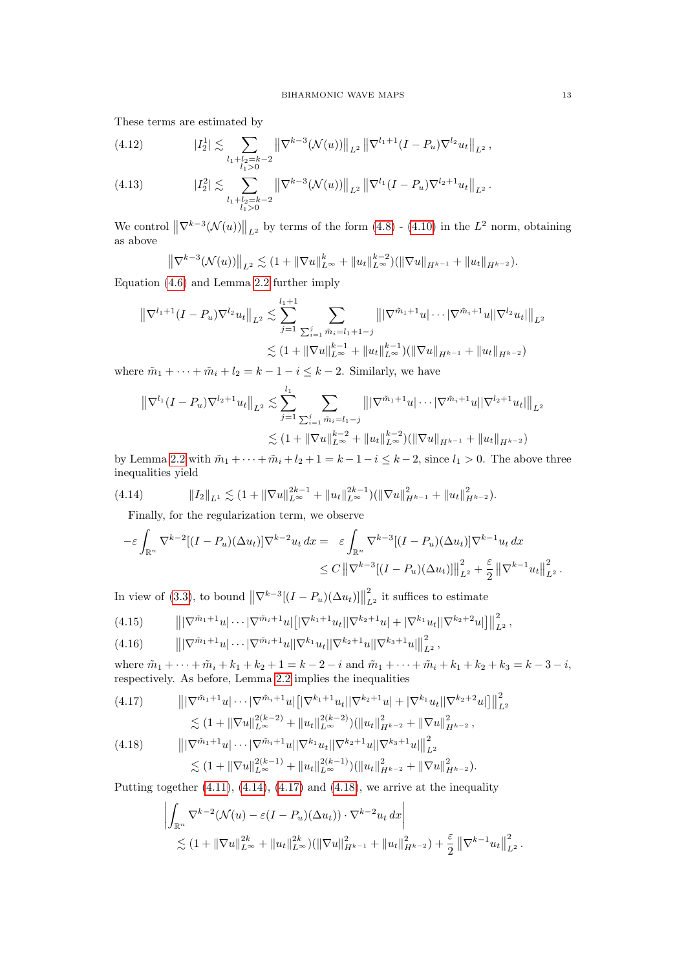These terms are estimated by

(4.12) 
$$
|I_2^1| \lesssim \sum_{\substack{l_1+l_2=k-2\\l_1>0}} \left\| \nabla^{k-3} (\mathcal{N}(u)) \right\|_{L^2} \left\| \nabla^{l_1+1} (I-P_u) \nabla^{l_2} u_t \right\|_{L^2},
$$

(4.13) 
$$
|I_2^2| \lesssim \sum_{\substack{l_1+l_2=k-2\\l_1>0}} \left\| \nabla^{k-3} (\mathcal{N}(u)) \right\|_{L^2} \left\| \nabla^{l_1} (I-P_u) \nabla^{l_2+1} u_t \right\|_{L^2}.
$$

We control  $\left\|\nabla^{k-3}(\mathcal{N}(u))\right\|_{L^2}$  by terms of the form  $(4.8)$  -  $(4.10)$  in the  $L^2$  norm, obtaining as above

$$
\left\|\nabla^{k-3}(\mathcal{N}(u))\right\|_{L^2} \lesssim (1 + \|\nabla u\|_{L^\infty}^k + \|u_t\|_{L^\infty}^{k-2}) (\|\nabla u\|_{H^{k-1}} + \|u_t\|_{H^{k-2}}).
$$

Equation [\(4.6\)](#page-10-3) and Lemma [2.2](#page-4-3) further imply

$$
\|\nabla^{l_1+1}(I - P_u)\nabla^{l_2} u_t\|_{L^2} \lesssim \sum_{j=1}^{l_1+1} \sum_{\sum_{i=1}^j \tilde{m}_i = l_1+1-j} \|\|\nabla^{\tilde{m}_1+1} u\| \cdots |\nabla^{\tilde{m}_i+1} u\| \|\nabla^{l_2} u_t\|_{L^2}
$$
  

$$
\lesssim (1 + \|\nabla u\|_{L^\infty}^{k-1} + \|u_t\|_{L^\infty}^{k-1}) (\|\nabla u\|_{H^{k-1}} + \|u_t\|_{H^{k-2}})
$$

where  $\tilde{m}_1 + \cdots + \tilde{m}_i + l_2 = k - 1 - i \leq k - 2$ . Similarly, we have

$$
\|\nabla^{l_1}(I - P_u)\nabla^{l_2+1}u_t\|_{L^2} \lesssim \sum_{j=1}^{l_1} \sum_{\sum_{i=1}^j \tilde{m}_i = l_1 - j} \|\|\nabla^{\tilde{m}_1+1}u\| \cdots |\nabla^{\tilde{m}_i+1}u\| \|\nabla^{l_2+1}u_t\|\|_{L^2}
$$
  

$$
\lesssim (1 + \|\nabla u\|_{L^\infty}^{k-2} + \|u_t\|_{L^\infty}^{k-2}) (\|\nabla u\|_{H^{k-1}} + \|u_t\|_{H^{k-2}})
$$

by Lemma [2.2](#page-4-3) with  $\tilde{m}_1 + \cdots + \tilde{m}_i + l_2 + 1 = k - 1 - i \leq k - 2$ , since  $l_1 > 0$ . The above three inequalities yield

<span id="page-12-0"></span>
$$
(4.14) \t\t\t||I_2||_{L^1} \lesssim (1 + \|\nabla u\|_{L^\infty}^{2k-1} + \|u_t\|_{L^\infty}^{2k-1}) (\|\nabla u\|_{H^{k-1}}^2 + \|u_t\|_{H^{k-2}}^2).
$$

Finally, for the regularization term, we observe

$$
-\varepsilon \int_{\mathbb{R}^n} \nabla^{k-2} [(I - P_u)(\Delta u_t)] \nabla^{k-2} u_t dx = \varepsilon \int_{\mathbb{R}^n} \nabla^{k-3} [(I - P_u)(\Delta u_t)] \nabla^{k-1} u_t dx
$$
  

$$
\leq C ||\nabla^{k-3} [(I - P_u)(\Delta u_t)]||_{L^2}^2 + \frac{\varepsilon}{2} ||\nabla^{k-1} u_t||_{L^2}^2.
$$

In view of [\(3.3\)](#page-5-4), to bound  $\left\|\nabla^{k-3}[(I - P_u)(\Delta u_t)]\right\|$ 2  $\frac{2}{L^2}$  it suffices to estimate

$$
(4.15) \qquad \left\| |\nabla^{\tilde{m}_1+1} u| \cdots |\nabla^{\tilde{m}_i+1} u| \left[ |\nabla^{k_1+1} u_t| |\nabla^{k_2+1} u| + |\nabla^{k_1} u_t| |\nabla^{k_2+2} u| \right] \right\|_{L^2}^2,
$$

$$
(4.16) \t\t ||\nabla^{\tilde{m}_1+1}u|\cdots|\nabla^{\tilde{m}_i+1}u||\nabla^{k_1}u_i||\nabla^{k_2+1}u||\nabla^{k_3+1}u||_{L^2}^2,
$$

where  $\tilde{m}_1 + \cdots + \tilde{m}_i + k_1 + k_2 + 1 = k - 2 - i$  and  $\tilde{m}_1 + \cdots + \tilde{m}_i + k_1 + k_2 + k_3 = k - 3 - i$ , respectively. As before, Lemma [2.2](#page-4-3) implies the inequalities

<span id="page-12-1"></span>
$$
(4.17) \qquad \|\|\nabla^{\tilde{m}_1+1}u\|\cdots|\nabla^{\tilde{m}_i+1}u\| \big[|\nabla^{k_1+1}u_t||\nabla^{k_2+1}u| + |\nabla^{k_1}u_t||\nabla^{k_2+2}u|\big]\|_{L^2}^2
$$
  

$$
\lesssim (1 + \|\nabla u\|_{L^\infty}^{2(k-2)} + \|u_t\|_{L^\infty}^{2(k-2)})(\|u_t\|_{H^{k-2}}^2 + \|\nabla u\|_{H^{k-2}}^2,
$$

<span id="page-12-2"></span>
$$
(4.18) \qquad \qquad |||\nabla^{\tilde{m}_1+1}u|\cdots|\nabla^{\tilde{m}_i+1}u||\nabla^{k_1}u_t||\nabla^{k_2+1}u||\nabla^{k_3+1}u||^2_{L^2} \n\lesssim (1+||\nabla u||_{L^{\infty}}^{2(k-1)}+||u_t||_{L^{\infty}}^{2(k-1)})(||u_t||_{H^{k-2}}^2+||\nabla u||_{H^{k-2}}^2).
$$

Putting together  $(4.11)$ ,  $(4.14)$ ,  $(4.17)$  and  $(4.18)$ , we arrive at the inequality

$$
\left| \int_{\mathbb{R}^n} \nabla^{k-2} (\mathcal{N}(u) - \varepsilon (I - P_u)(\Delta u_t)) \cdot \nabla^{k-2} u_t \, dx \right|
$$
  
\$\lesssim (1 + ||\nabla u||\_{L^{\infty}}^{2k} + ||u\_t||\_{L^{\infty}}^{2k}) (||\nabla u||\_{H^{k-1}}^2 + ||u\_t||\_{H^{k-2}}^2) + \frac{\varepsilon}{2} ||\nabla^{k-1} u\_t||\_{L^2}^2.\$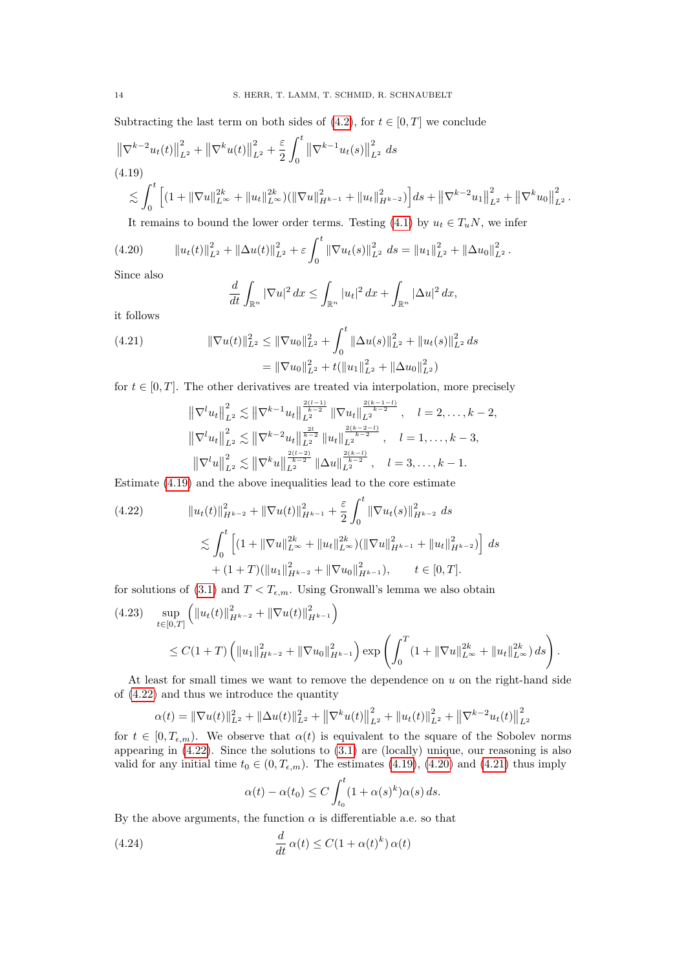Subtracting the last term on both sides of  $(4.2)$ , for  $t \in [0, T]$  we conclude

<span id="page-13-0"></span>
$$
\|\nabla^{k-2} u_t(t)\|_{L^2}^2 + \|\nabla^k u(t)\|_{L^2}^2 + \frac{\varepsilon}{2} \int_0^t \left\|\nabla^{k-1} u_t(s)\right\|_{L^2}^2 ds
$$
\n
$$
(4.19) \leq \int_0^t \left[ (1 + \|\nabla u\|_{L^\infty}^{2k} + \|u_t\|_{L^\infty}^{2k}) (\|\nabla u\|_{H^{k-1}}^2 + \|u_t\|_{H^{k-2}}^2) \right] ds + \left\|\nabla^{k-2} u_1\right\|_{L^2}^2 + \left\|\nabla^k u_0\right\|_{L^2}^2.
$$

It remains to bound the lower order terms. Testing [\(4.1\)](#page-9-2) by  $u_t \in T_uN$ , we infer

<span id="page-13-2"></span>
$$
(4.20) \t\t ||u_t(t)||_{L^2}^2 + ||\Delta u(t)||_{L^2}^2 + \varepsilon \int_0^t ||\nabla u_t(s)||_{L^2}^2 ds = ||u_1||_{L^2}^2 + ||\Delta u_0||_{L^2}^2.
$$

Since also

$$
\frac{d}{dt} \int_{\mathbb{R}^n} |\nabla u|^2 dx \le \int_{\mathbb{R}^n} |u_t|^2 dx + \int_{\mathbb{R}^n} |\Delta u|^2 dx,
$$

it follows

<span id="page-13-3"></span>(4.21) 
$$
\|\nabla u(t)\|_{L^2}^2 \le \|\nabla u_0\|_{L^2}^2 + \int_0^t \|\Delta u(s)\|_{L^2}^2 + \|u_t(s)\|_{L^2}^2 ds
$$

$$
= \|\nabla u_0\|_{L^2}^2 + t(\|u_1\|_{L^2}^2 + \|\Delta u_0\|_{L^2}^2)
$$

for  $t \in [0, T]$ . The other derivatives are treated via interpolation, more precisely

$$
\|\nabla^{l} u_{t}\|_{L^{2}}^{2} \lesssim \|\nabla^{k-1} u_{t}\|_{L^{2}}^{\frac{2(l-1)}{k-2}} \|\nabla u_{t}\|_{L^{2}}^{\frac{2(k-1-l)}{k-2}}, \quad l=2,\ldots,k-2,
$$
  

$$
\|\nabla^{l} u_{t}\|_{L^{2}}^{2} \lesssim \|\nabla^{k-2} u_{t}\|_{L^{2}}^{\frac{2l}{k-2}} \|u_{t}\|_{L^{2}}^{\frac{2(k-2-l)}{k-2}}, \quad l=1,\ldots,k-3,
$$
  

$$
\|\nabla^{l} u\|_{L^{2}}^{2} \lesssim \|\nabla^{k} u\|_{L^{2}}^{\frac{2(l-2)}{k-2}} \|\Delta u\|_{L^{2}}^{\frac{2(k-l)}{k-2}}, \quad l=3,\ldots,k-1.
$$

Estimate [\(4.19\)](#page-13-0) and the above inequalities lead to the core estimate

<span id="page-13-1"></span>
$$
(4.22) \t\t\t ||u_t(t)||_{H^{k-2}}^2 + ||\nabla u(t)||_{H^{k-1}}^2 + \frac{\varepsilon}{2} \int_0^t ||\nabla u_t(s)||_{H^{k-2}}^2 ds
$$
  

$$
\lesssim \int_0^t \left[ (1 + ||\nabla u||_{L^\infty}^{2k} + ||u_t||_{L^\infty}^{2k}) (||\nabla u||_{H^{k-1}}^2 + ||u_t||_{H^{k-2}}^2) \right] ds
$$
  

$$
+ (1+T)(||u_1||_{H^{k-2}}^2 + ||\nabla u_0||_{H^{k-1}}^2), \t t \in [0,T].
$$

for solutions of [\(3.1\)](#page-4-2) and  $T < T_{\epsilon,m}$ . Using Gronwall's lemma we also obtain

$$
(4.23) \quad \sup_{t \in [0,T]} \left( \|u_t(t)\|_{H^{k-2}}^2 + \|\nabla u(t)\|_{H^{k-1}}^2 \right) \leq C(1+T) \left( \|u_1\|_{H^{k-2}}^2 + \|\nabla u_0\|_{H^{k-1}}^2 \right) \exp\left( \int_0^T (1+ \|\nabla u\|_{L^\infty}^{2k} + \|u_t\|_{L^\infty}^{2k}) ds \right).
$$

At least for small times we want to remove the dependence on  $u$  on the right-hand side of [\(4.22\)](#page-13-1) and thus we introduce the quantity

$$
\alpha(t) = \|\nabla u(t)\|_{L^2}^2 + \|\Delta u(t)\|_{L^2}^2 + \|\nabla^k u(t)\|_{L^2}^2 + \|u_t(t)\|_{L^2}^2 + \|\nabla^{k-2} u_t(t)\|_{L^2}^2
$$

for  $t \in [0, T_{\epsilon,m})$ . We observe that  $\alpha(t)$  is equivalent to the square of the Sobolev norms appearing in [\(4.22\)](#page-13-1). Since the solutions to [\(3.1\)](#page-4-2) are (locally) unique, our reasoning is also valid for any initial time  $t_0 \in (0, T_{\epsilon,m})$ . The estimates [\(4.19\)](#page-13-0), [\(4.20\)](#page-13-2) and [\(4.21\)](#page-13-3) thus imply

$$
\alpha(t) - \alpha(t_0) \le C \int_{t_0}^t (1 + \alpha(s)^k) \alpha(s) ds.
$$

By the above arguments, the function  $\alpha$  is differentiable a.e. so that

<span id="page-13-4"></span>(4.24) 
$$
\frac{d}{dt}\alpha(t) \leq C(1+\alpha(t)^k)\,\alpha(t)
$$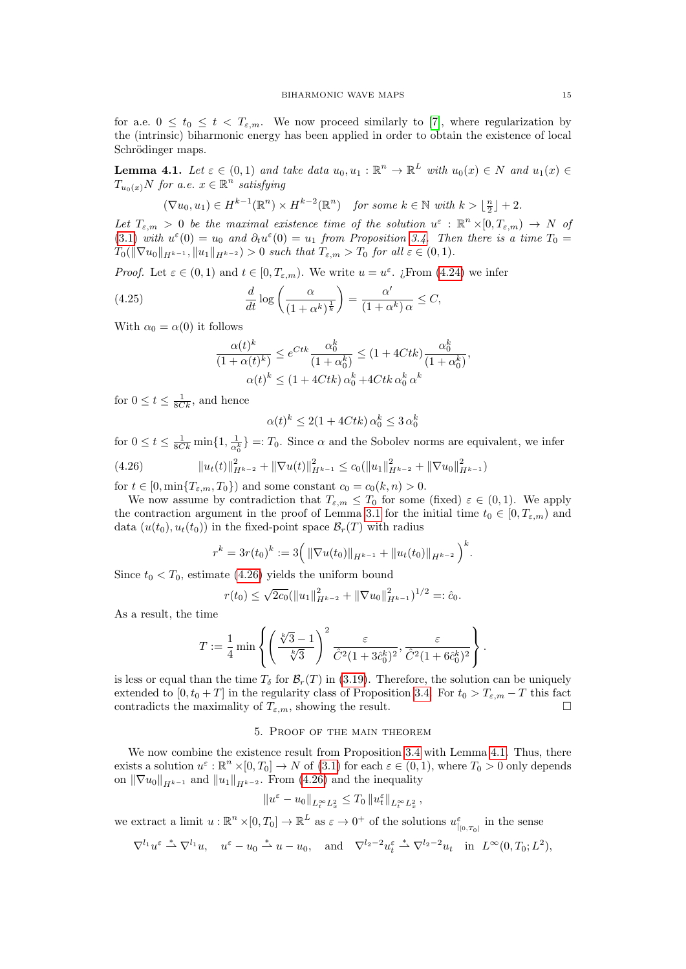for a.e.  $0 \le t_0 \le t < T_{\varepsilon,m}$ . We now proceed similarly to [\[7\]](#page-28-8), where regularization by the (intrinsic) biharmonic energy has been applied in order to obtain the existence of local Schrödinger maps.

<span id="page-14-2"></span>**Lemma 4.1.** Let  $\varepsilon \in (0,1)$  and take data  $u_0, u_1 : \mathbb{R}^n \to \mathbb{R}^L$  with  $u_0(x) \in N$  and  $u_1(x) \in$  $T_{u_0(x)}N$  for a.e.  $x\in\mathbb{R}^n$  satisfying

$$
(\nabla u_0, u_1) \in H^{k-1}(\mathbb{R}^n) \times H^{k-2}(\mathbb{R}^n) \quad \text{for some } k \in \mathbb{N} \text{ with } k > \lfloor \frac{n}{2} \rfloor + 2.
$$

Let  $T_{\varepsilon,m} > 0$  be the maximal existence time of the solution  $u^{\varepsilon}: \mathbb{R}^n \times [0,T_{\varepsilon,m}) \to N$  of [\(3.1\)](#page-4-2) with  $u^{\varepsilon}(0) = u_0$  and  $\partial_t u^{\varepsilon}(0) = u_1$  from Proposition [3.4.](#page-8-0) Then there is a time  $T_0 =$  $T_0(\|\nabla u_0\|_{H^{k-1}}, \|u_1\|_{H^{k-2}}) > 0$  such that  $T_{\varepsilon,m} > T_0$  for all  $\varepsilon \in (0,1)$ .

*Proof.* Let  $\varepsilon \in (0,1)$  and  $t \in [0,T_{\varepsilon,m})$ . We write  $u = u^{\varepsilon}$ . ¿From [\(4.24\)](#page-13-4) we infer

(4.25) 
$$
\frac{d}{dt}\log\left(\frac{\alpha}{(1+\alpha^k)^{\frac{1}{k}}}\right) = \frac{\alpha'}{(1+\alpha^k)\alpha} \leq C,
$$

 $\overline{c}$ 

With  $\alpha_0 = \alpha(0)$  it follows

$$
\frac{\alpha(t)^k}{(1+\alpha(t)^k)} \le e^{Ctk} \frac{\alpha_0^k}{(1+\alpha_0^k)} \le (1+4Ctk) \frac{\alpha_0^k}{(1+\alpha_0^k)},
$$

$$
\alpha(t)^k \le (1+4Ctk) \alpha_0^k + 4Ctk \alpha_0^k \alpha^k
$$

for  $0 \le t \le \frac{1}{8Ck}$ , and hence

$$
u(t)^k \le 2(1 + 4Ctk) \alpha_0^k \le 3 \alpha_0^k
$$

for  $0 \le t \le \frac{1}{8Ck} \min\{1, \frac{1}{\alpha_0^k}\} =: T_0$ . Since  $\alpha$  and the Sobolev norms are equivalent, we infer

<span id="page-14-1"></span>
$$
(4.26) \t\t ||u_t(t)||_{H^{k-2}}^2 + ||\nabla u(t)||_{H^{k-1}}^2 \le c_0(||u_1||_{H^{k-2}}^2 + ||\nabla u_0||_{H^{k-1}}^2)
$$
  
for  $t \in [0, \min\{T_{\varepsilon,m}, T_0\})$  and some constant  $c_0 = c_0(k, n) > 0$ .

We now assume by contradiction that  $T_{\varepsilon,m} \leq T_0$  for some (fixed)  $\varepsilon \in (0,1)$ . We apply the contraction argument in the proof of Lemma [3.1](#page-5-1) for the initial time  $t_0 \in [0, T_{\varepsilon,m})$  and data  $(u(t_0), u_t(t_0))$  in the fixed-point space  $\mathcal{B}_r(T)$  with radius

$$
r^{k} = 3r(t_{0})^{k} := 3\Big(\left\|\nabla u(t_{0})\right\|_{H^{k-1}} + \left\|u_{t}(t_{0})\right\|_{H^{k-2}}\Big)^{k}.
$$

Since  $t_0 < T_0$ , estimate [\(4.26\)](#page-14-1) yields the uniform bound

$$
r(t_0) \le \sqrt{2c_0} (\|u_1\|_{H^{k-2}}^2 + \|\nabla u_0\|_{H^{k-1}}^2)^{1/2} =: \hat{c}_0.
$$

As a result, the time

$$
T:=\frac{1}{4}\min\left\{\left(\frac{\sqrt[k]{3}-1}{\sqrt[k]{3}}\right)^2\frac{\varepsilon}{\hat{C}^2(1+3\hat{c}_0^k)^2},\frac{\varepsilon}{\hat{C}^2(1+6\hat{c}_0^k)^2}\right\}.
$$

is less or equal than the time  $T_\delta$  for  $\mathcal{B}_r(T)$  in [\(3.19\)](#page-7-2). Therefore, the solution can be uniquely extended to  $[0, t_0 + T]$  in the regularity class of Proposition [3.4.](#page-8-0) For  $t_0 > T_{\varepsilon,m} - T$  this fact contradicts the maximality of  $T_{\varepsilon,m}$ , showing the result.

## 5. Proof of the main theorem

<span id="page-14-0"></span>We now combine the existence result from Proposition [3.4](#page-8-0) with Lemma [4.1.](#page-14-2) Thus, there exists a solution  $u^{\varepsilon} : \mathbb{R}^n \times [0, T_0] \to N$  of [\(3.1\)](#page-4-2) for each  $\varepsilon \in (0, 1)$ , where  $T_0 > 0$  only depends on  $\|\nabla u_0\|_{H^{k-1}}$  and  $\|u_1\|_{H^{k-2}}$ . From [\(4.26\)](#page-14-1) and the inequality

$$
\|u^\varepsilon-u_0\|_{L^\infty_tL^2_x}\leq T_0\,\|u^\varepsilon_t\|_{L^\infty_tL^2_x}\,,
$$

we extract a limit  $u : \mathbb{R}^n \times [0, T_0] \to \mathbb{R}^L$  as  $\varepsilon \to 0^+$  of the solutions  $u_{|(0, T_0]}^{\varepsilon}$  in the sense

$$
\nabla^{l_1} u^{\varepsilon} \stackrel{*}{\rightharpoonup} \nabla^{l_1} u, \quad u^{\varepsilon} - u_0 \stackrel{*}{\rightharpoonup} u - u_0, \quad \text{and} \quad \nabla^{l_2 - 2} u^{\varepsilon} \stackrel{*}{\rightharpoonup} \nabla^{l_2 - 2} u_t \quad \text{in} \quad L^{\infty}(0, T_0; L^2),
$$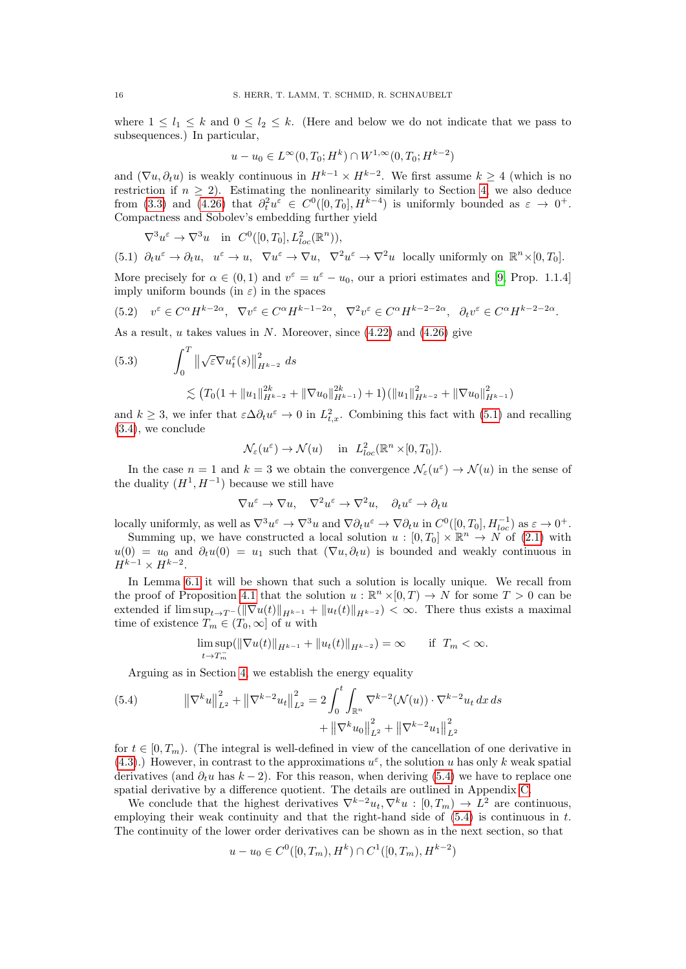where  $1 \leq l_1 \leq k$  and  $0 \leq l_2 \leq k$ . (Here and below we do not indicate that we pass to subsequences.) In particular,

$$
u - u_0 \in L^{\infty}(0, T_0; H^k) \cap W^{1, \infty}(0, T_0; H^{k-2})
$$

and  $(\nabla u, \partial_t u)$  is weakly continuous in  $H^{k-1} \times H^{k-2}$ . We first assume  $k \geq 4$  (which is no restriction if  $n \geq 2$ ). Estimating the nonlinearity similarly to Section [4,](#page-9-0) we also deduce from [\(3.3\)](#page-5-4) and [\(4.26\)](#page-14-1) that  $\partial_t^2 u^{\varepsilon} \in C^0([0,T_0], H^{k-4})$  is uniformly bounded as  $\varepsilon \to 0^+$ . Compactness and Sobolev's embedding further yield

<span id="page-15-0"></span>
$$
\nabla^3 u^{\varepsilon} \to \nabla^3 u \quad \text{in} \quad C^0([0, T_0], L^2_{loc}(\mathbb{R}^n)),
$$
  
(5.1)  $\partial_t u^{\varepsilon} \to \partial_t u, \quad u^{\varepsilon} \to u, \quad \nabla u^{\varepsilon} \to \nabla u, \quad \nabla^2 u^{\varepsilon} \to \nabla^2 u \quad \text{locally uniformly on} \quad \mathbb{R}^n \times [0, T_0].$ 

More precisely for  $\alpha \in (0,1)$  and  $v^{\varepsilon} = u^{\varepsilon} - u_0$ , our a priori estimates and [\[9,](#page-28-9) Prop. 1.1.4] imply uniform bounds (in  $\varepsilon$ ) in the spaces

$$
(5.2) \quad v^{\varepsilon} \in C^{\alpha} H^{k-2\alpha}, \quad \nabla v^{\varepsilon} \in C^{\alpha} H^{k-1-2\alpha}, \quad \nabla^2 v^{\varepsilon} \in C^{\alpha} H^{k-2-2\alpha}, \quad \partial_t v^{\varepsilon} \in C^{\alpha} H^{k-2-2\alpha}.
$$

As a result,  $u$  takes values in  $N$ . Moreover, since  $(4.22)$  and  $(4.26)$  give

(5.3) 
$$
\int_0^T \left\| \sqrt{\varepsilon} \nabla u_t^{\varepsilon}(s) \right\|_{H^{k-2}}^2 ds
$$
  
 
$$
\lesssim (T_0 (1 + \|u_1\|_{H^{k-2}}^{2k} + \|\nabla u_0\|_{H^{k-1}}^{2k}) + 1) (\|u_1\|_{H^{k-2}}^2 + \|\nabla u_0\|_{H^{k-1}}^2)
$$

and  $k \geq 3$ , we infer that  $\varepsilon \Delta \partial_t u^{\varepsilon} \to 0$  in  $L^2_{t,x}$ . Combining this fact with [\(5.1\)](#page-15-0) and recalling [\(3.4\)](#page-5-0), we conclude

$$
\mathcal{N}_{\varepsilon}(u^{\varepsilon})\rightarrow \mathcal{N}(u)\quad \text{ in }\;L^2_{loc}(\mathbb{R}^n\times[0,T_0]).
$$

In the case  $n = 1$  and  $k = 3$  we obtain the convergence  $\mathcal{N}_{\varepsilon}(u^{\varepsilon}) \to \mathcal{N}(u)$  in the sense of the duality  $(H<sup>1</sup>, H<sup>-1</sup>)$  because we still have

$$
\nabla u^{\varepsilon} \to \nabla u, \quad \nabla^2 u^{\varepsilon} \to \nabla^2 u, \quad \partial_t u^{\varepsilon} \to \partial_t u
$$

locally uniformly, as well as  $\nabla^3 u^{\varepsilon} \to \nabla^3 u$  and  $\nabla \partial_t u^{\varepsilon} \to \nabla \partial_t u$  in  $C^0([0, T_0], H_{loc}^{-1})$  as  $\varepsilon \to 0^+$ .

Summing up, we have constructed a local solution  $u : [0, T_0] \times \mathbb{R}^n \to N$  of [\(2.1\)](#page-3-0) with  $u(0) = u_0$  and  $\partial_t u(0) = u_1$  such that  $(\nabla u, \partial_t u)$  is bounded and weakly continuous in  $H^{k-1} \times H^{k-2}$ .

In Lemma [6.1](#page-16-1) it will be shown that such a solution is locally unique. We recall from the proof of Proposition [4.1](#page-14-2) that the solution  $u : \mathbb{R}^n \times [0,T) \to N$  for some  $T > 0$  can be extended if  $\limsup_{t\to T^-} (\|\nabla u(t)\|_{H^{k-1}} + \|u_t(t)\|_{H^{k-2}}) < \infty$ . There thus exists a maximal time of existence  $T_m \in (T_0, \infty]$  of u with

$$
\limsup_{t \to T_m^-} (\|\nabla u(t)\|_{H^{k-1}} + \|u_t(t)\|_{H^{k-2}}) = \infty \quad \text{if } T_m < \infty.
$$

Arguing as in Section [4,](#page-9-0) we establish the energy equality

<span id="page-15-1"></span>(5.4) 
$$
\|\nabla^k u\|_{L^2}^2 + \|\nabla^{k-2} u_t\|_{L^2}^2 = 2 \int_0^t \int_{\mathbb{R}^n} \nabla^{k-2} (\mathcal{N}(u)) \cdot \nabla^{k-2} u_t \, dx \, ds
$$

$$
+ \|\nabla^k u_0\|_{L^2}^2 + \|\nabla^{k-2} u_1\|_{L^2}^2
$$

for  $t \in [0, T_m)$ . (The integral is well-defined in view of the cancellation of one derivative in [\(4.3\)](#page-9-3).) However, in contrast to the approximations  $u^{\varepsilon}$ , the solution u has only k weak spatial derivatives (and  $\partial_t u$  has  $k-2$ ). For this reason, when deriving [\(5.4\)](#page-15-1) we have to replace one spatial derivative by a difference quotient. The details are outlined in Appendix [C.](#page-27-0)

We conclude that the highest derivatives  $\nabla^{k-2} u_t, \nabla^k u : [0, T_m) \to L^2$  are continuous, employing their weak continuity and that the right-hand side of  $(5.4)$  is continuous in t. The continuity of the lower order derivatives can be shown as in the next section, so that

$$
u - u_0 \in C^0([0, T_m), H^k) \cap C^1([0, T_m), H^{k-2})
$$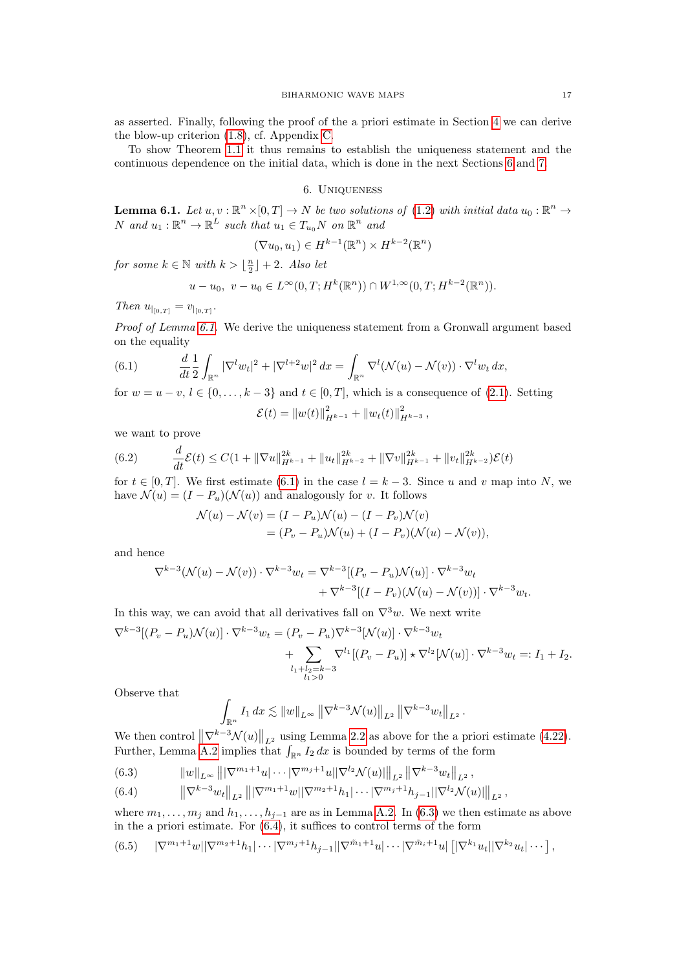as asserted. Finally, following the proof of the a priori estimate in Section [4](#page-9-0) we can derive the blow-up criterion [\(1.8\)](#page-1-1), cf. Appendix [C.](#page-27-0)

To show Theorem [1.1](#page-1-2) it thus remains to establish the uniqueness statement and the continuous dependence on the initial data, which is done in the next Sections [6](#page-16-0) and [7.](#page-18-0)

## 6. Uniqueness

<span id="page-16-1"></span><span id="page-16-0"></span>**Lemma 6.1.** Let  $u, v : \mathbb{R}^n \times [0,T] \to N$  be two solutions of [\(1.2\)](#page-0-0) with initial data  $u_0 : \mathbb{R}^n \to$ N and  $u_1 : \mathbb{R}^n \to \mathbb{R}^L$  such that  $u_1 \in T_{u_0}N$  on  $\mathbb{R}^n$  and

$$
(\nabla u_0, u_1) \in H^{k-1}(\mathbb{R}^n) \times H^{k-2}(\mathbb{R}^n)
$$

for some  $k \in \mathbb{N}$  with  $k > \lfloor \frac{n}{2} \rfloor + 2$ . Also let

$$
u - u_0, \ v - u_0 \in L^{\infty}(0, T; H^k(\mathbb{R}^n)) \cap W^{1, \infty}(0, T; H^{k-2}(\mathbb{R}^n)).
$$

Then  $u_{|_{[0,T]}} = v_{|_{[0,T]}}$ .

Proof of Lemma [6.1.](#page-16-1) We derive the uniqueness statement from a Gronwall argument based on the equality

<span id="page-16-2"></span>(6.1) 
$$
\frac{d}{dt} \frac{1}{2} \int_{\mathbb{R}^n} |\nabla^l w_t|^2 + |\nabla^{l+2} w|^2 dx = \int_{\mathbb{R}^n} \nabla^l (\mathcal{N}(u) - \mathcal{N}(v)) \cdot \nabla^l w_t dx,
$$

for  $w = u - v, l \in \{0, \ldots, k - 3\}$  and  $t \in [0, T]$ , which is a consequence of [\(2.1\)](#page-3-0). Setting

$$
\mathcal{E}(t) = \|w(t)\|_{H^{k-1}}^2 + \|w_t(t)\|_{H^{k-3}}^2,
$$

we want to prove

(6.2) 
$$
\frac{d}{dt}\mathcal{E}(t) \leq C\left(1 + \|\nabla u\|_{H^{k-1}}^{2k} + \|u_t\|_{H^{k-2}}^{2k} + \|\nabla v\|_{H^{k-1}}^{2k} + \|v_t\|_{H^{k-2}}^{2k}\right)\mathcal{E}(t)
$$

for  $t \in [0, T]$ . We first estimate [\(6.1\)](#page-16-2) in the case  $l = k - 3$ . Since u and v map into N, we have  $\mathcal{N}(u) = (I - P_u)(\mathcal{N}(u))$  and analogously for v. It follows

$$
\mathcal{N}(u) - \mathcal{N}(v) = (I - P_u)\mathcal{N}(u) - (I - P_v)\mathcal{N}(v) \n= (P_v - P_u)\mathcal{N}(u) + (I - P_v)(\mathcal{N}(u) - \mathcal{N}(v)),
$$

and hence

$$
\begin{split} \nabla^{k-3}(\mathcal{N}(u)-\mathcal{N}(v))\cdot\nabla^{k-3}w_t&=\nabla^{k-3}[(P_v-P_u)\mathcal{N}(u)]\cdot\nabla^{k-3}w_t\\ &+\nabla^{k-3}[(I-P_v)(\mathcal{N}(u)-\mathcal{N}(v))] \cdot\nabla^{k-3}w_t. \end{split}
$$

In this way, we can avoid that all derivatives fall on  $\nabla^3 w$ . We next write

$$
\nabla^{k-3}[(P_v - P_u)\mathcal{N}(u)] \cdot \nabla^{k-3}w_t = (P_v - P_u)\nabla^{k-3}[\mathcal{N}(u)] \cdot \nabla^{k-3}w_t \n+ \sum_{\substack{l_1 + l_2 = k-3 \\ l_1 > 0}} \nabla^{l_1}[(P_v - P_u)] \star \nabla^{l_2}[\mathcal{N}(u)] \cdot \nabla^{k-3}w_t =: I_1 + I_2.
$$

Observe that

$$
\int_{\mathbb{R}^n} I_1 dx \lesssim ||w||_{L^{\infty}} ||\nabla^{k-3} \mathcal{N}(u)||_{L^2} ||\nabla^{k-3} w_t||_{L^2}.
$$

We then control  $\|\nabla^{k-3}\mathcal{N}(u)\|_{L^2}$  using Lemma [2.2](#page-4-3) as above for the a priori estimate [\(4.22\)](#page-13-1). Further, Lemma [A.2](#page-22-2) implies that  $\int_{\mathbb{R}^n} I_2 dx$  is bounded by terms of the form

<span id="page-16-3"></span>(6.3)  $\|w\|_{L^{\infty}} \|\nabla^{m_1+1}u\| \cdots |\nabla^{m_j+1}u||\nabla^{l_2} \mathcal{N}(u)|\|_{L^2} \|\nabla^{k-3}w_t\|_{L^2},$ 

<span id="page-16-4"></span>(6.4) 
$$
\left\|\nabla^{k-3}w_t\right\|_{L^2}\left\||\nabla^{m_1+1}w||\nabla^{m_2+1}h_1|\cdots|\nabla^{m_j+1}h_{j-1}||\nabla^{l_2}\mathcal{N}(u)|\right\|_{L^2},
$$

where  $m_1, \ldots, m_j$  and  $h_1, \ldots, h_{j-1}$  are as in Lemma [A.2.](#page-22-2) In [\(6.3\)](#page-16-3) we then estimate as above in the a priori estimate. For [\(6.4\)](#page-16-4), it suffices to control terms of the form

<span id="page-16-5"></span>
$$
(6.5) \qquad |\nabla^{m_1+1} w| |\nabla^{m_2+1} h_1| \cdots |\nabla^{m_j+1} h_{j-1}| |\nabla^{\tilde{m}_1+1} w| \cdots |\nabla^{\tilde{m}_i+1} w| \left[ |\nabla^{k_1} u_t| |\nabla^{k_2} u_t| \cdots \right],
$$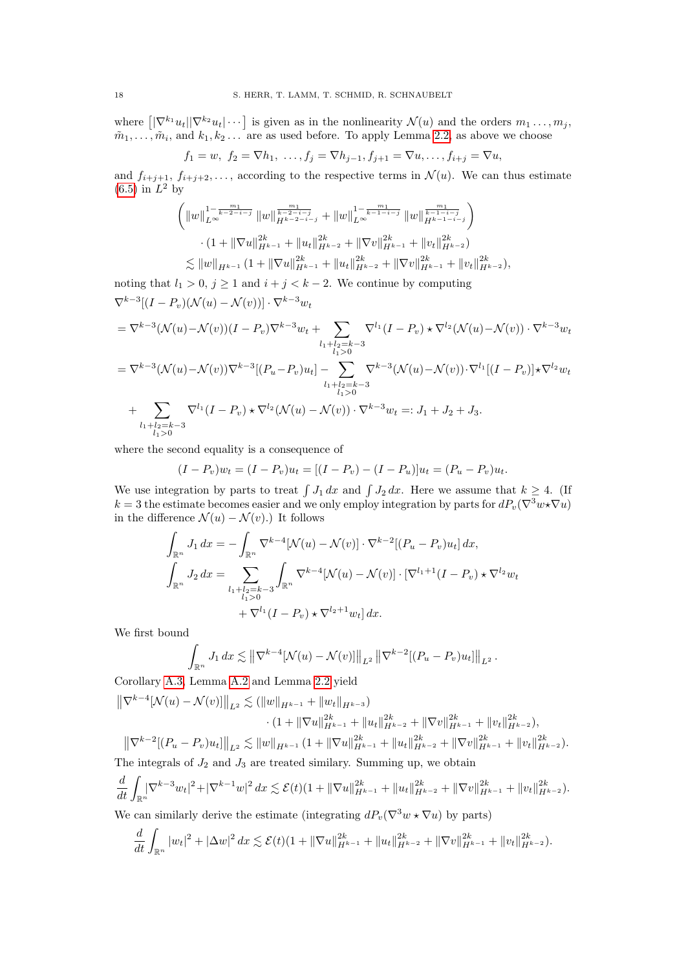where  $\left\{\left|\nabla^{k_1} u_t\right|\left|\nabla^{k_2} u_t\right|\cdots\right\}$  is given as in the nonlinearity  $\mathcal{N}(u)$  and the orders  $m_1 \ldots, m_j$ ,  $\tilde{m}_1, \ldots, \tilde{m}_i$ , and  $k_1, k_2 \ldots$  are as used before. To apply Lemma [2.2,](#page-4-3) as above we choose

$$
f_1 = w, f_2 = \nabla h_1, \ldots, f_j = \nabla h_{j-1}, f_{j+1} = \nabla u, \ldots, f_{i+j} = \nabla u,
$$

and  $f_{i+j+1}, f_{i+j+2}, \ldots$ , according to the respective terms in  $\mathcal{N}(u)$ . We can thus estimate  $(6.5)$  in  $L^2$  by

$$
\left( \|w\|_{L^{\infty}}^{1-\frac{m_1}{k-2-i-j}} \|w\|_{H^{k-2-i-j}}^{\frac{m_1}{k-2-i-j}} + \|w\|_{L^{\infty}}^{1-\frac{m_1}{k-1-i-j}} \|w\|_{H^{k-1-i-j}}^{\frac{m_1}{k-1-i-j}} \right) \times (1 + \|\nabla u\|_{H^{k-1}}^{2k} + \|u_t\|_{H^{k-2}}^{2k} + \|\nabla v\|_{H^{k-1}}^{2k} + \|v_t\|_{H^{k-2}}^{2k}) \leq \|w\|_{H^{k-1}} (1 + \|\nabla u\|_{H^{k-1}}^{2k} + \|u_t\|_{H^{k-2}}^{2k} + \|\nabla v\|_{H^{k-1}}^{2k} + \|v_t\|_{H^{k-2}}^{2k}),
$$

noting that  $l_1 > 0$ ,  $j \ge 1$  and  $i + j < k - 2$ . We continue by computing  $\nabla^{k-3}[(I-P_v)(\mathcal{N}(u)-\mathcal{N}(v))] \cdot \nabla^{k-3}w_t$ 

$$
= \nabla^{k-3} (\mathcal{N}(u) - \mathcal{N}(v))(I - P_v) \nabla^{k-3} w_t + \sum_{\substack{l_1 + l_2 = k-3 \\ l_1 > 0}} \nabla^{l_1} (I - P_v) \star \nabla^{l_2} (\mathcal{N}(u) - \mathcal{N}(v)) \cdot \nabla^{k-3} w_t
$$
  
\n
$$
= \nabla^{k-3} (\mathcal{N}(u) - \mathcal{N}(v)) \nabla^{k-3} [(P_u - P_v) u_t] - \sum_{\substack{l_1 + l_2 = k-3 \\ l_1 > 0}} \nabla^{k-3} (\mathcal{N}(u) - \mathcal{N}(v)) \cdot \nabla^{l_1} [(I - P_v)] \star \nabla^{l_2} w_t
$$
  
\n
$$
+ \sum_{\substack{l_1 + l_2 = k-3 \\ l_1 > 0}} \nabla^{l_1} (I - P_v) \star \nabla^{l_2} (\mathcal{N}(u) - \mathcal{N}(v)) \cdot \nabla^{k-3} w_t =: J_1 + J_2 + J_3.
$$

where the second equality is a consequence of

$$
(I - P_v)w_t = (I - P_v)u_t = [(I - P_v) - (I - P_u)]u_t = (P_u - P_v)u_t.
$$

We use integration by parts to treat  $\int J_1 dx$  and  $\int J_2 dx$ . Here we assume that  $k \geq 4$ . (If k = 3 the estimate becomes easier and we only employ integration by parts for  $dP_v(\nabla^3 w \star \nabla u)$ in the difference  $\mathcal{N}(u) - \mathcal{N}(v)$ .) It follows

$$
\int_{\mathbb{R}^n} J_1 dx = -\int_{\mathbb{R}^n} \nabla^{k-4} [\mathcal{N}(u) - \mathcal{N}(v)] \cdot \nabla^{k-2} [(P_u - P_v)u_t] dx,
$$
  

$$
\int_{\mathbb{R}^n} J_2 dx = \sum_{\substack{l_1 + l_2 = k-3 \\ l_1 > 0}} \int_{\mathbb{R}^n} \nabla^{k-4} [\mathcal{N}(u) - \mathcal{N}(v)] \cdot [\nabla^{l_1+1} (I - P_v) \star \nabla^{l_2} w_t
$$
  

$$
+ \nabla^{l_1} (I - P_v) \star \nabla^{l_2+1} w_t] dx.
$$

We first bound

$$
\int_{\mathbb{R}^n} J_1 dx \lesssim ||\nabla^{k-4}[\mathcal{N}(u) - \mathcal{N}(v)]||_{L^2} ||\nabla^{k-2}[(P_u - P_v)u_t]||_{L^2}.
$$

Corollary [A.3,](#page-23-0) Lemma [A.2](#page-22-2) and Lemma [2.2](#page-4-3) yield

$$
\|\nabla^{k-4}[\mathcal{N}(u) - \mathcal{N}(v)]\|_{L^2} \lesssim (\|w\|_{H^{k-1}} + \|w_t\|_{H^{k-3}})
$$
  
 
$$
\cdot (1 + \|\nabla u\|_{H^{k-1}}^{2k} + \|u_t\|_{H^{k-2}}^{2k} + \|\nabla v\|_{H^{k-1}}^{2k} + \|v_t\|_{H^{k-2}}^{2k}),
$$
  

$$
\|\nabla^{k-2}[(P_u - P_v)u_t]\|_{L^2} \lesssim \|w\|_{H^{k-1}} (1 + \|\nabla u\|_{H^{k-1}}^{2k} + \|u_t\|_{H^{k-2}}^{2k} + \|\nabla v\|_{H^{k-1}}^{2k} + \|v_t\|_{H^{k-2}}^{2k}).
$$

The integrals of 
$$
J_2
$$
 and  $J_3$  are treated similarly. Summing up, we obtain

$$
\frac{d}{dt}\int_{\mathbb{R}^n} \nabla^{k-3} w_t|^2 + |\nabla^{k-1} w|^2 \, dx \lesssim \mathcal{E}(t)(1 + \|\nabla u\|_{H^{k-1}}^{2k} + \|u_t\|_{H^{k-2}}^{2k} + \|\nabla v\|_{H^{k-1}}^{2k} + \|v_t\|_{H^{k-2}}^{2k}).
$$

We can similarly derive the estimate (integrating  $dP_v(\nabla^3 w \star \nabla u)$  by parts)

$$
\frac{d}{dt}\int_{\mathbb{R}^n}|w_t|^2+|\Delta w|^2\,dx\lesssim \mathcal{E}(t)(1+\|\nabla u\|_{H^{k-1}}^{2k}+\|u_t\|_{H^{k-2}}^{2k}+\|\nabla v\|_{H^{k-1}}^{2k}+\|v_t\|_{H^{k-2}}^{2k}).
$$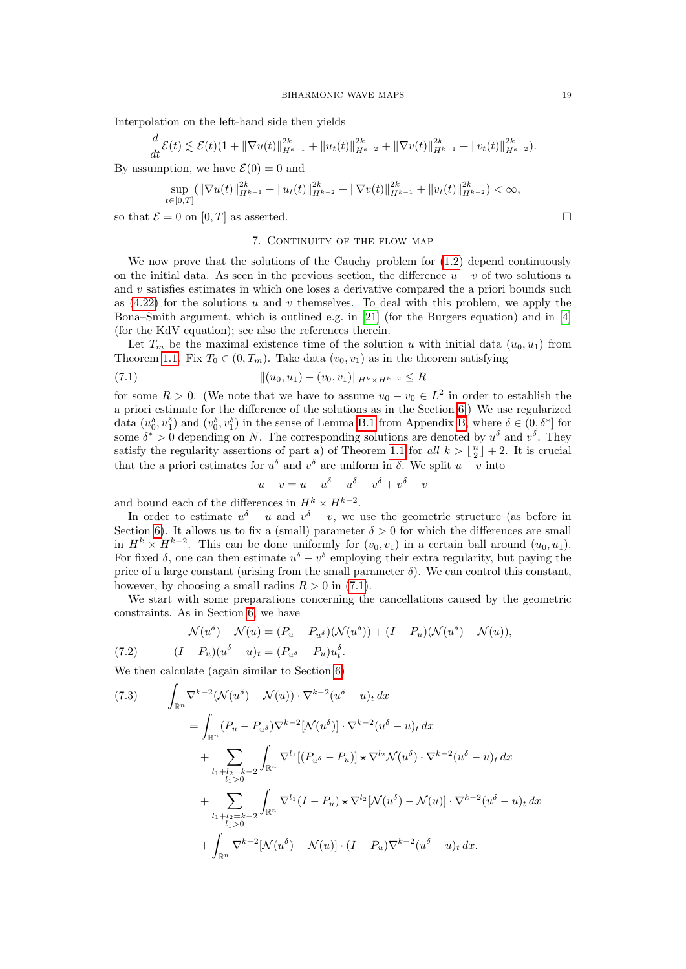Interpolation on the left-hand side then yields

$$
\frac{d}{dt}\mathcal{E}(t) \lesssim \mathcal{E}(t)(1+||\nabla u(t)||_{H^{k-1}}^{2k}+||u_t(t)||_{H^{k-2}}^{2k}+||\nabla v(t)||_{H^{k-1}}^{2k}+||v_t(t)||_{H^{k-2}}^{2k}).
$$

By assumption, we have  $\mathcal{E}(0) = 0$  and

$$
\sup_{t\in[0,T]} (\|\nabla u(t)\|_{H^{k-1}}^{2k} + \|u_t(t)\|_{H^{k-2}}^{2k} + \|\nabla v(t)\|_{H^{k-1}}^{2k} + \|v_t(t)\|_{H^{k-2}}^{2k}) < \infty,
$$

<span id="page-18-0"></span>so that  $\mathcal{E} = 0$  on  $[0, T]$  as asserted.

#### 7. CONTINUITY OF THE FLOW MAP

We now prove that the solutions of the Cauchy problem for  $(1.2)$  depend continuously on the initial data. As seen in the previous section, the difference  $u - v$  of two solutions u and  $v$  satisfies estimates in which one loses a derivative compared the a priori bounds such as  $(4.22)$  for the solutions u and v themselves. To deal with this problem, we apply the Bona–Smith argument, which is outlined e.g. in [\[21\]](#page-29-9) (for the Burgers equation) and in [\[4\]](#page-28-10) (for the KdV equation); see also the references therein.

Let  $T_m$  be the maximal existence time of the solution u with initial data  $(u_0, u_1)$  from Theorem [1.1.](#page-1-2) Fix  $T_0 \in (0, T_m)$ . Take data  $(v_0, v_1)$  as in the theorem satisfying

(7.1) 
$$
\|(u_0, u_1) - (v_0, v_1)\|_{H^k \times H^{k-2}} \le R
$$

for some  $R > 0$ . (We note that we have to assume  $u_0 - v_0 \in L^2$  in order to establish the a priori estimate for the difference of the solutions as in the Section [6.](#page-16-0)) We use regularized data  $(u_0, \delta, u_1)$  and  $(v_0, \delta, v_1)$  in the sense of Lemma [B.1](#page-25-0) from Appendix [B,](#page-25-1) where  $\delta \in (0, \delta^*]$  for some  $\delta^* > 0$  depending on N. The corresponding solutions are denoted by  $u^{\delta}$  and  $v^{\delta}$ . They satisfy the regularity assertions of part a) of Theorem [1.1](#page-1-2) for all  $k > \lfloor \frac{n}{2} \rfloor + 2$ . It is crucial that the a priori estimates for  $u^{\delta}$  and  $v^{\delta}$  are uniform in  $\delta$ . We split  $u - v$  into

<span id="page-18-1"></span>
$$
u - v = u - u^{\delta} + u^{\delta} - v^{\delta} + v^{\delta} - v
$$

and bound each of the differences in  $H^k \times H^{k-2}$ .

In order to estimate  $u^{\delta} - u$  and  $v^{\delta} - v$ , we use the geometric structure (as before in Section [6\)](#page-16-0). It allows us to fix a (small) parameter  $\delta > 0$  for which the differences are small in  $H^k \times H^{k-2}$ . This can be done uniformly for  $(v_0, v_1)$  in a certain ball around  $(u_0, u_1)$ . For fixed  $\delta$ , one can then estimate  $u^{\delta} - v^{\delta}$  employing their extra regularity, but paying the price of a large constant (arising from the small parameter  $\delta$ ). We can control this constant, however, by choosing a small radius  $R > 0$  in [\(7.1\)](#page-18-1).

We start with some preparations concerning the cancellations caused by the geometric constraints. As in Section [6,](#page-16-0) we have

<span id="page-18-2"></span>(7.2) 
$$
\mathcal{N}(u^{\delta}) - \mathcal{N}(u) = (P_u - P_{u^{\delta}})(\mathcal{N}(u^{\delta})) + (I - P_u)(\mathcal{N}(u^{\delta}) - \mathcal{N}(u)),
$$

$$
(I - P_u)(u^{\delta} - u)_t = (P_{u^{\delta}} - P_u)u_t^{\delta}.
$$

We then calculate (again similar to Section [6\)](#page-16-0)

<span id="page-18-3"></span>(7.3) 
$$
\int_{\mathbb{R}^n} \nabla^{k-2} (\mathcal{N}(u^{\delta}) - \mathcal{N}(u)) \cdot \nabla^{k-2} (u^{\delta} - u)_t dx
$$

$$
= \int_{\mathbb{R}^n} (P_u - P_{u^{\delta}}) \nabla^{k-2} [\mathcal{N}(u^{\delta})] \cdot \nabla^{k-2} (u^{\delta} - u)_t dx
$$

$$
+ \sum_{\substack{l_1 + l_2 = k-2 \\ l_1 > 0}} \int_{\mathbb{R}^n} \nabla^{l_1} [(P_{u^{\delta}} - P_u)] \star \nabla^{l_2} \mathcal{N}(u^{\delta}) \cdot \nabla^{k-2} (u^{\delta} - u)_t dx
$$

$$
+ \sum_{\substack{l_1 + l_2 = k-2 \\ l_1 > 0}} \int_{\mathbb{R}^n} \nabla^{l_1} (I - P_u) \star \nabla^{l_2} [\mathcal{N}(u^{\delta}) - \mathcal{N}(u)] \cdot \nabla^{k-2} (u^{\delta} - u)_t dx
$$

$$
+ \int_{\mathbb{R}^n} \nabla^{k-2} [\mathcal{N}(u^{\delta}) - \mathcal{N}(u)] \cdot (I - P_u) \nabla^{k-2} (u^{\delta} - u)_t dx.
$$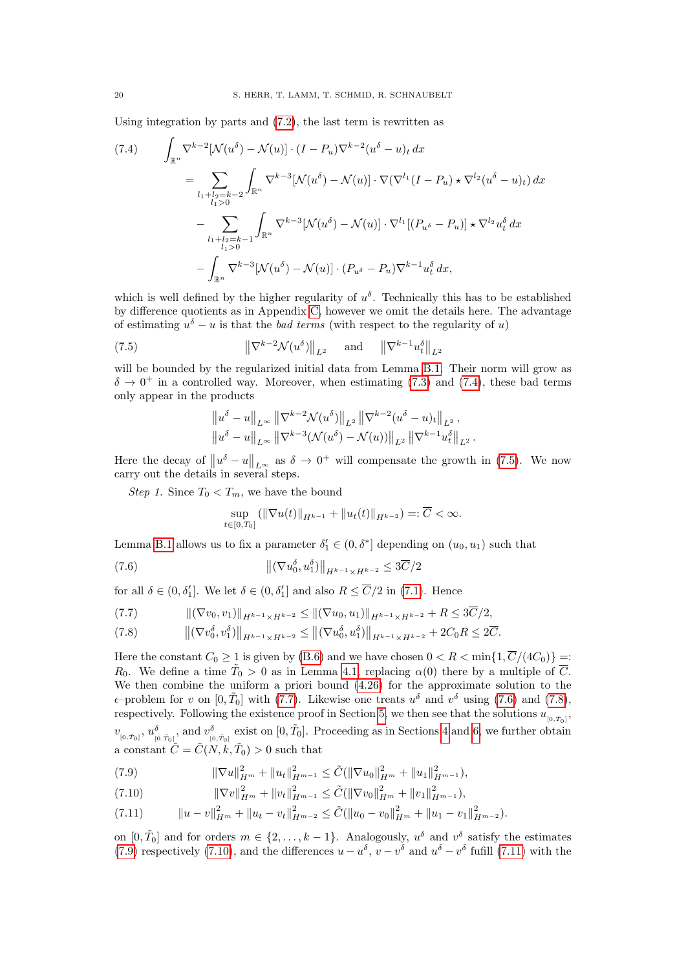Using integration by parts and [\(7.2\)](#page-18-2), the last term is rewritten as

<span id="page-19-0"></span>
$$
(7.4) \qquad \int_{\mathbb{R}^n} \nabla^{k-2} [\mathcal{N}(u^{\delta}) - \mathcal{N}(u)] \cdot (I - P_u) \nabla^{k-2} (u^{\delta} - u)_t \, dx
$$
  
\n
$$
= \sum_{l_1 + l_2 = k-2} \int_{\mathbb{R}^n} \nabla^{k-3} [\mathcal{N}(u^{\delta}) - \mathcal{N}(u)] \cdot \nabla (\nabla^{l_1} (I - P_u) \star \nabla^{l_2} (u^{\delta} - u)_t) \, dx
$$
  
\n
$$
- \sum_{l_1 + l_2 = k-1} \int_{\mathbb{R}^n} \nabla^{k-3} [\mathcal{N}(u^{\delta}) - \mathcal{N}(u)] \cdot \nabla^{l_1} [(P_{u^{\delta}} - P_u)] \star \nabla^{l_2} u_t^{\delta} \, dx
$$
  
\n
$$
- \int_{\mathbb{R}^n} \nabla^{k-3} [\mathcal{N}(u^{\delta}) - \mathcal{N}(u)] \cdot (P_{u^{\delta}} - P_u) \nabla^{k-1} u_t^{\delta} \, dx,
$$

which is well defined by the higher regularity of  $u^{\delta}$ . Technically this has to be established by difference quotients as in Appendix [C,](#page-27-0) however we omit the details here. The advantage of estimating  $u^{\delta} - u$  is that the *bad terms* (with respect to the regularity of u)

(7.5) 
$$
\|\nabla^{k-2}\mathcal{N}(u^{\delta})\|_{L^2} \quad \text{and} \quad \|\nabla^{k-1}u_t^{\delta}\|_{L^2}
$$

will be bounded by the regularized initial data from Lemma [B.1.](#page-25-0) Their norm will grow as  $\delta \to 0^+$  in a controlled way. Moreover, when estimating [\(7.3\)](#page-18-3) and [\(7.4\)](#page-19-0), these bad terms only appear in the products

<span id="page-19-1"></span>
$$
\|u^{\delta} - u\|_{L^{\infty}} \|\nabla^{k-2} \mathcal{N}(u^{\delta})\|_{L^{2}} \|\nabla^{k-2} (u^{\delta} - u)_{t}\|_{L^{2}},
$$
  

$$
\|u^{\delta} - u\|_{L^{\infty}} \|\nabla^{k-3} (\mathcal{N}(u^{\delta}) - \mathcal{N}(u))\|_{L^{2}} \|\nabla^{k-1} u_{t}^{\delta}\|_{L^{2}}.
$$

Here the decay of  $||u^{\delta} - u||_{L^{\infty}}$  as  $\delta \to 0^{+}$  will compensate the growth in [\(7.5\)](#page-19-1). We now carry out the details in several steps.

Step 1. Since  $T_0 < T_m$ , we have the bound

<span id="page-19-3"></span>
$$
\sup_{t\in[0,T_0]} (\|\nabla u(t)\|_{H^{k-1}} + \|u_t(t)\|_{H^{k-2}}) =: \overline{C} < \infty.
$$

Lemma [B.1](#page-25-0) allows us to fix a parameter  $\delta'_1 \in (0, \delta^*]$  depending on  $(u_0, u_1)$  such that

(7.6) 
$$
\left\| (\nabla u_0^{\delta}, u_1^{\delta}) \right\|_{H^{k-1} \times H^{k-2}} \leq 3\overline{C}/2
$$

for all  $\delta \in (0, \delta_1']$ . We let  $\delta \in (0, \delta_1']$  and also  $R \leq \overline{C}/2$  in [\(7.1\)](#page-18-1). Hence

<span id="page-19-2"></span>
$$
(7.7) \t\t\t\t\t\|(\nabla v_0, v_1)\|_{H^{k-1}\times H^{k-2}} \leq \|(\nabla u_0, u_1)\|_{H^{k-1}\times H^{k-2}} + R \leq 3\overline{C}/2,
$$

<span id="page-19-4"></span>
$$
(7.8) \t\t ||(\nabla v_0^{\delta}, v_1^{\delta})||_{H^{k-1} \times H^{k-2}} \le ||(\nabla u_0^{\delta}, u_1^{\delta})||_{H^{k-1} \times H^{k-2}} + 2C_0 R \le 2\overline{C}.
$$

Here the constant  $C_0 \geq 1$  is given by [\(B.6\)](#page-25-2) and we have chosen  $0 < R < \min\{1, \overline{C}/(4C_0)\} =$ :  $R_0$ . We define a time  $\tilde{T}_0 > 0$  as in Lemma [4.1,](#page-14-2) replacing  $\alpha(0)$  there by a multiple of  $\overline{C}$ . We then combine the uniform a priori bound [\(4.26\)](#page-14-1) for the approximate solution to the  $\epsilon$ -problem for v on  $[0, \tilde{T}_0]$  with [\(7.7\)](#page-19-2). Likewise one treats  $u^{\delta}$  and  $v^{\delta}$  using [\(7.6\)](#page-19-3) and [\(7.8\)](#page-19-4), respectively. Following the existence proof in Section [5,](#page-14-0) we then see that the solutions  $u_{[0, \tilde{T}_0]}$ ,  $v_{[0,\tilde{T}_0]}$ ,  $u_{[0,\tilde{T}_0]}^{\delta}$ , and  $v_{[0,\tilde{T}_0]}^{\delta}$  exist on  $[0,\tilde{T}_0]$ . Proceeding as in Sections [4](#page-9-0) and [6,](#page-16-0) we further obtain a constant  $\tilde{C} = \tilde{C}(N, k, \tilde{T}_0) > 0$  such that

<span id="page-19-5"></span>(7.9) 
$$
\|\nabla u\|_{H^m}^2 + \|u_t\|_{H^{m-1}}^2 \leq \tilde{C}(\|\nabla u_0\|_{H^m}^2 + \|u_1\|_{H^{m-1}}^2),
$$

<span id="page-19-6"></span>(7.10) 
$$
\|\nabla v\|_{H^m}^2 + \|v_t\|_{H^{m-1}}^2 \leq \tilde{C}(\|\nabla v_0\|_{H^m}^2 + \|v_1\|_{H^{m-1}}^2),
$$

<span id="page-19-7"></span>
$$
(7.11) \t\t ||u - v||_{H^m}^2 + ||u_t - v_t||_{H^{m-2}}^2 \leq \tilde{C}(||u_0 - v_0||_{H^m}^2 + ||u_1 - v_1||_{H^{m-2}}^2).
$$

on  $[0, \tilde{T}_0]$  and for orders  $m \in \{2, ..., k-1\}$ . Analogously,  $u^{\delta}$  and  $v^{\delta}$  satisfy the estimates [\(7.9\)](#page-19-5) respectively [\(7.10\)](#page-19-6), and the differences  $u - u^{\delta}$ ,  $v - v^{\delta}$  and  $u^{\delta} - v^{\delta}$  fufill [\(7.11\)](#page-19-7) with the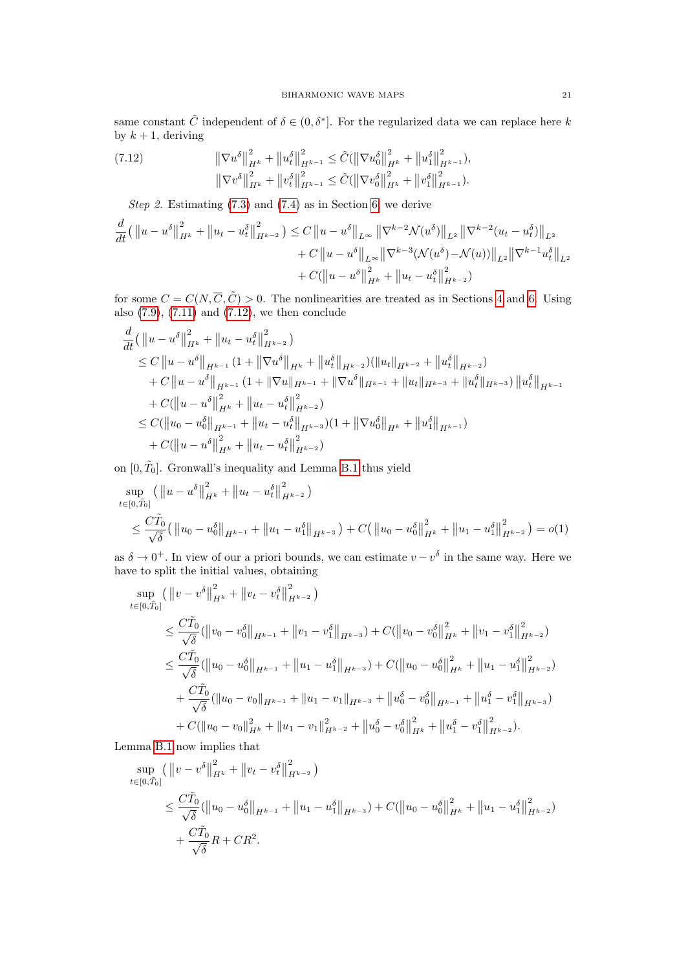same constant  $\tilde{C}$  independent of  $\delta \in (0, \delta^*]$ . For the regularized data we can replace here k by  $k + 1$ , deriving

<span id="page-20-0"></span>(7.12) 
$$
\|\nabla u^{\delta}\|_{H^{k}}^{2} + \|u_{t}^{\delta}\|_{H^{k-1}}^{2} \leq \tilde{C}(\|\nabla u_{0}^{\delta}\|_{H^{k}}^{2} + \|u_{1}^{\delta}\|_{H^{k-1}}^{2}),
$$

$$
\|\nabla v^{\delta}\|_{H^{k}}^{2} + \|v_{t}^{\delta}\|_{H^{k-1}}^{2} \leq \tilde{C}(\|\nabla v_{0}^{\delta}\|_{H^{k}}^{2} + \|v_{1}^{\delta}\|_{H^{k-1}}^{2}).
$$

Step 2. Estimating  $(7.3)$  and  $(7.4)$  as in Section [6,](#page-16-0) we derive

$$
\frac{d}{dt}(\left\|u - u^{\delta}\right\|_{H^{k}}^{2} + \left\|u_{t} - u_{t}^{\delta}\right\|_{H^{k-2}}^{2}) \leq C\left\|u - u^{\delta}\right\|_{L^{\infty}} \left\|\nabla^{k-2} \mathcal{N}(u^{\delta})\right\|_{L^{2}} \left\|\nabla^{k-2}(u_{t} - u_{t}^{\delta})\right\|_{L^{2}} + C\left\|u - u^{\delta}\right\|_{L^{\infty}} \left\|\nabla^{k-3} (\mathcal{N}(u^{\delta}) - \mathcal{N}(u))\right\|_{L^{2}} \left\|\nabla^{k-1} u_{t}^{\delta}\right\|_{L^{2}} + C(\left\|u - u^{\delta}\right\|_{H^{k}}^{2} + \left\|u_{t} - u_{t}^{\delta}\right\|_{H^{k-2}}^{2})
$$

for some  $C = C(N, \overline{C}, \tilde{C}) > 0$ . The nonlinearities are treated as in Sections [4](#page-9-0) and [6.](#page-16-0) Using also  $(7.9)$ ,  $(7.11)$  and  $(7.12)$ , we then conclude

$$
\frac{d}{dt}(\|u-u^{\delta}\|_{H^{k}}^{2} + \|u_{t}-u_{t}^{\delta}\|_{H^{k-2}}^{2})
$$
\n
$$
\leq C\|u-u^{\delta}\|_{H^{k-1}}(1+\|\nabla u^{\delta}\|_{H^{k}}+\|u_{t}^{\delta}\|_{H^{k-2}})(\|u_{t}\|_{H^{k-2}}+\|u_{t}^{\delta}\|_{H^{k-2}})
$$
\n
$$
+ C\|u-u^{\delta}\|_{H^{k-1}}(1+\|\nabla u\|_{H^{k-1}}+\|\nabla u^{\delta}\|_{H^{k-1}}+\|u_{t}\|_{H^{k-3}}+\|u_{t}^{\delta}\|_{H^{k-3}})\|u_{t}^{\delta}\|_{H^{k-1}}
$$
\n
$$
+ C(\|u-u^{\delta}\|_{H^{k}}^{2} + \|u_{t}-u_{t}^{\delta}\|_{H^{k-2}}^{2})
$$
\n
$$
\leq C(\|u_{0}-u_{0}^{\delta}\|_{H^{k-1}}+\|u_{t}-u_{t}^{\delta}\|_{H^{k-3}})(1+\|\nabla u_{0}^{\delta}\|_{H^{k}}+\|u_{1}^{\delta}\|_{H^{k-1}})
$$
\n
$$
+ C(\|u-u^{\delta}\|_{H^{k}}^{2} + \|u_{t}-u_{t}^{\delta}\|_{H^{k-2}}^{2})
$$

on  $[0, \tilde{T}_0]$ . Gronwall's inequality and Lemma [B.1](#page-25-0) thus yield

$$
\sup_{t \in [0, \tilde{T}_0]} (\|u - u^\delta\|_{H^k}^2 + \|u_t - u_t^\delta\|_{H^{k-2}}^2)
$$
\n
$$
\leq \frac{C\tilde{T}_0}{\sqrt{\delta}} (\|u_0 - u_0^\delta\|_{H^{k-1}} + \|u_1 - u_1^\delta\|_{H^{k-3}}) + C (\|u_0 - u_0^\delta\|_{H^k}^2 + \|u_1 - u_1^\delta\|_{H^{k-2}}^2) = o(1)
$$

as  $\delta \to 0^+$ . In view of our a priori bounds, we can estimate  $v - v^{\delta}$  in the same way. Here we have to split the initial values, obtaining

$$
\sup_{t \in [0,\tilde{T}_0]} (\|v - v^\delta\|_{H^k}^2 + \|v_t - v_t^\delta\|_{H^{k-2}}^2)
$$
\n
$$
\leq \frac{C\tilde{T}_0}{\sqrt{\delta}} (\|v_0 - v_0^\delta\|_{H^{k-1}} + \|v_1 - v_1^\delta\|_{H^{k-3}}) + C(\|v_0 - v_0^\delta\|_{H^k}^2 + \|v_1 - v_1^\delta\|_{H^{k-2}}^2)
$$
\n
$$
\leq \frac{C\tilde{T}_0}{\sqrt{\delta}} (\|u_0 - u_0^\delta\|_{H^{k-1}} + \|u_1 - u_1^\delta\|_{H^{k-3}}) + C(\|u_0 - u_0^\delta\|_{H^k}^2 + \|u_1 - u_1^\delta\|_{H^{k-2}}^2)
$$
\n
$$
+ \frac{C\tilde{T}_0}{\sqrt{\delta}} (\|u_0 - v_0\|_{H^{k-1}} + \|u_1 - v_1\|_{H^{k-3}} + \|u_0^\delta - v_0^\delta\|_{H^{k-1}} + \|u_1^\delta - v_1^\delta\|_{H^{k-3}})
$$
\n
$$
+ C(\|u_0 - v_0\|_{H^k}^2 + \|u_1 - v_1\|_{H^{k-2}}^2 + \|u_0^\delta - v_0^\delta\|_{H^k}^2 + \|u_1^\delta - v_1^\delta\|_{H^{k-2}}^2).
$$

Lemma [B.1](#page-25-0) now implies that

$$
\sup_{t \in [0,\tilde{T}_0]} (\|v - v^\delta\|_{H^k}^2 + \|v_t - v_t^\delta\|_{H^{k-2}}^2)
$$
\n
$$
\leq \frac{C\tilde{T}_0}{\sqrt{\delta}} (\|u_0 - u_0^\delta\|_{H^{k-1}} + \|u_1 - u_1^\delta\|_{H^{k-3}}) + C(\|u_0 - u_0^\delta\|_{H^k}^2 + \|u_1 - u_1^\delta\|_{H^{k-2}}^2)
$$
\n
$$
+ \frac{C\tilde{T}_0}{\sqrt{\delta}} R + CR^2.
$$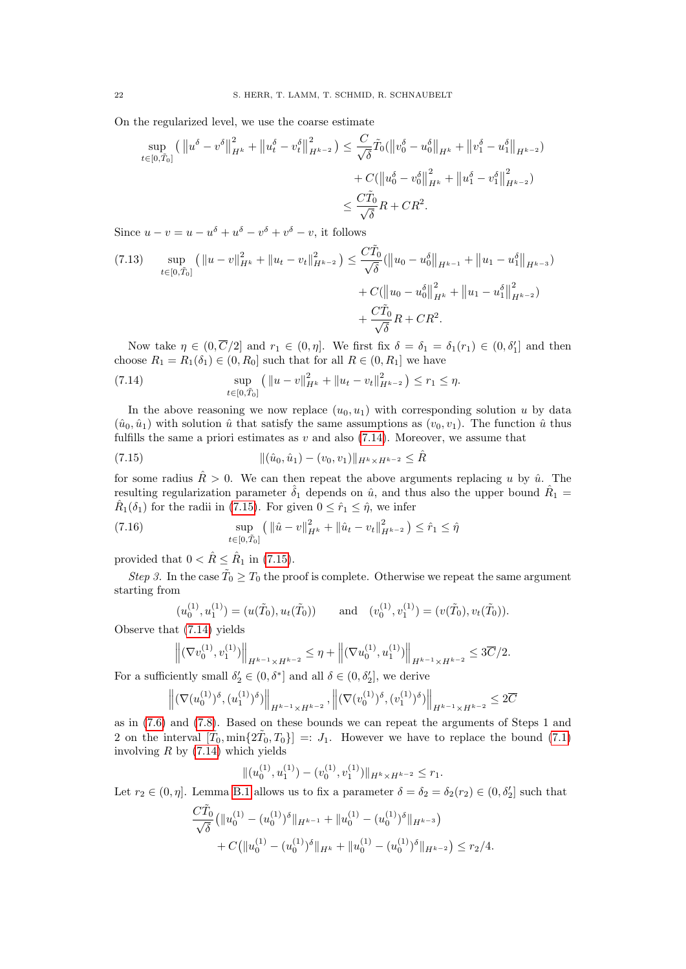On the regularized level, we use the coarse estimate

$$
\sup_{t \in [0,\tilde{T}_0]} \left( \left\| u^{\delta} - v^{\delta} \right\|_{H^k}^2 + \left\| u_t^{\delta} - v_t^{\delta} \right\|_{H^{k-2}}^2 \right) \le \frac{C}{\sqrt{\delta}} \tilde{T}_0 (\left\| v_0^{\delta} - u_0^{\delta} \right\|_{H^k} + \left\| v_1^{\delta} - u_1^{\delta} \right\|_{H^{k-2}}) + C(\left\| u_0^{\delta} - v_0^{\delta} \right\|_{H^k}^2 + \left\| u_1^{\delta} - v_1^{\delta} \right\|_{H^{k-2}}^2) \le \frac{C \tilde{T}_0}{\sqrt{\delta}} R + C R^2.
$$

Since  $u - v = u - u^{\delta} + u^{\delta} - v^{\delta} + v^{\delta} - v$ , it follows

<span id="page-21-2"></span>
$$
(7.13) \quad \sup_{t \in [0,\tilde{T}_0]} \left( \|u - v\|_{H^k}^2 + \|u_t - v_t\|_{H^{k-2}}^2 \right) \le \frac{C\tilde{T}_0}{\sqrt{\delta}} (\|u_0 - u_0^{\delta}\|_{H^{k-1}} + \|u_1 - u_1^{\delta}\|_{H^{k-3}}) + C(\|u_0 - u_0^{\delta}\|_{H^k}^2 + \|u_1 - u_1^{\delta}\|_{H^{k-2}}^2) + \frac{C\tilde{T}_0}{\sqrt{\delta}} R + C R^2.
$$

Now take  $\eta \in (0, \overline{C}/2]$  and  $r_1 \in (0, \eta]$ . We first fix  $\delta = \delta_1 = \delta_1(r_1) \in (0, \delta_1']$  and then choose  $R_1 = R_1(\delta_1) \in (0, R_0]$  such that for all  $R \in (0, R_1]$  we have

<span id="page-21-0"></span>(7.14) 
$$
\sup_{t\in[0,\tilde{T}_0]} (||u-v||_{H^k}^2 + ||u_t-v_t||_{H^{k-2}}^2) \leq r_1 \leq \eta.
$$

In the above reasoning we now replace  $(u_0, u_1)$  with corresponding solution u by data  $(\hat{u}_0, \hat{u}_1)$  with solution  $\hat{u}$  that satisfy the same assumptions as  $(v_0, v_1)$ . The function  $\hat{u}$  thus fulfills the same a priori estimates as  $v$  and also [\(7.14\)](#page-21-0). Moreover, we assume that

<span id="page-21-1"></span>(7.15) 
$$
\|(\hat{u}_0, \hat{u}_1) - (v_0, v_1)\|_{H^k \times H^{k-2}} \leq \hat{R}
$$

for some radius  $\hat{R} > 0$ . We can then repeat the above arguments replacing u by  $\hat{u}$ . The resulting regularization parameter  $\hat{\delta}_1$  depends on  $\hat{u}$ , and thus also the upper bound  $\hat{R}_1$  =  $\hat{R}_1(\delta_1)$  for the radii in [\(7.15\)](#page-21-1). For given  $0 \leq \hat{r}_1 \leq \hat{\eta}$ , we infer

(7.16) 
$$
\sup_{t \in [0,\tilde{T}_0]} (||\hat{u} - v||_{H^k}^2 + ||\hat{u}_t - v_t||_{H^{k-2}}^2) \leq \hat{r}_1 \leq \hat{\eta}
$$

provided that  $0 < \hat{R} \leq \hat{R}_1$  in [\(7.15\)](#page-21-1).

Step 3. In the case  $\tilde{T}_0 \geq T_0$  the proof is complete. Otherwise we repeat the same argument starting from

$$
(u_0^{(1)}, u_1^{(1)}) = (u(\tilde{T}_0), u_t(\tilde{T}_0))
$$
 and  $(v_0^{(1)}, v_1^{(1)}) = (v(\tilde{T}_0), v_t(\tilde{T}_0)).$ 

Observe that [\(7.14\)](#page-21-0) yields

$$
\left\|(\nabla v_0^{(1)}, v_1^{(1)})\right\|_{H^{k-1} \times H^{k-2}} \leq \eta + \left\|(\nabla u_0^{(1)}, u_1^{(1)})\right\|_{H^{k-1} \times H^{k-2}} \leq 3\overline{C}/2.
$$

For a sufficiently small  $\delta_2' \in (0, \delta^*]$  and all  $\delta \in (0, \delta_2']$ , we derive

$$
\left\| (\nabla (u_0^{(1)})^{\delta}, (u_1^{(1)})^{\delta}) \right\|_{H^{k-1} \times H^{k-2}}, \left\| (\nabla (v_0^{(1)})^{\delta}, (v_1^{(1)})^{\delta}) \right\|_{H^{k-1} \times H^{k-2}} \leq 2\overline{C}
$$

as in [\(7.6\)](#page-19-3) and [\(7.8\)](#page-19-4). Based on these bounds we can repeat the arguments of Steps 1 and 2 on the interval  $[\tilde{T}_0, \min\{2\tilde{T}_0, T_0\}] =: J_1$ . However we have to replace the bound [\(7.1\)](#page-18-1) involving  $R$  by  $(7.14)$  which yields

$$
\|(u_0^{(1)}, u_1^{(1)}) - (v_0^{(1)}, v_1^{(1)})\|_{H^k \times H^{k-2}} \le r_1.
$$

Let  $r_2 \in (0, \eta]$ . Lemma [B.1](#page-25-0) allows us to fix a parameter  $\delta = \delta_2 = \delta_2(r_2) \in (0, \delta'_2]$  such that

$$
\frac{C\tilde{T}_0}{\sqrt{\delta}} \left( \|u_0^{(1)} - (u_0^{(1)})^\delta\|_{H^{k-1}} + \|u_0^{(1)} - (u_0^{(1)})^\delta\|_{H^{k-3}} \right) + C \left( \|u_0^{(1)} - (u_0^{(1)})^\delta\|_{H^k} + \|u_0^{(1)} - (u_0^{(1)})^\delta\|_{H^{k-2}} \right) \le r_2/4.
$$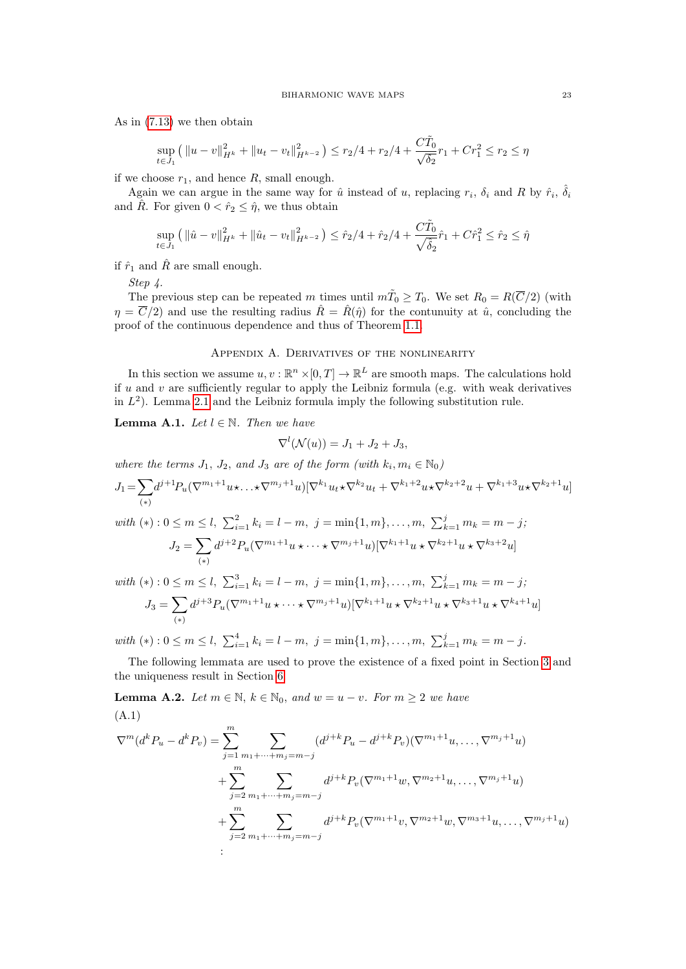As in [\(7.13\)](#page-21-2) we then obtain

$$
\sup_{t \in J_1} (||u - v||_{H^k}^2 + ||u_t - v_t||_{H^{k-2}}^2) \le r_2/4 + r_2/4 + \frac{C\tilde{T}_0}{\sqrt{\delta_2}}r_1 + Cr_1^2 \le r_2 \le \eta
$$

if we choose  $r_1$ , and hence  $R$ , small enough.

Again we can argue in the same way for  $\hat{u}$  instead of u, replacing  $r_i$ ,  $\delta_i$  and R by  $\hat{r}_i$ ,  $\hat{\delta}_i$ and  $\hat{R}$ . For given  $0 < \hat{r}_2 \leq \hat{\eta}$ , we thus obtain

$$
\sup_{t \in J_1} ( \| \hat{u} - v \|_{H^k}^2 + \| \hat{u}_t - v_t \|_{H^{k-2}}^2 ) \leq \hat{r}_2/4 + \hat{r}_2/4 + \frac{C\tilde{T}_0}{\sqrt{\hat{\delta}_2}} \hat{r}_1 + C\hat{r}_1^2 \leq \hat{r}_2 \leq \hat{\eta}
$$

if  $\hat{r}_1$  and  $\hat{R}$  are small enough.

Step 4.

 $with$ 

The previous step can be repeated m times until  $m\tilde{T}_0 \geq T_0$ . We set  $R_0 = R(\overline{C}/2)$  (with  $\eta = \overline{C}/2$  and use the resulting radius  $\hat{R} = \hat{R}(\hat{\eta})$  for the contunuity at  $\hat{u}$ , concluding the proof of the continuous dependence and thus of Theorem [1.1.](#page-1-2)

## Appendix A. Derivatives of the nonlinearity

<span id="page-22-0"></span>In this section we assume  $u, v : \mathbb{R}^n \times [0, T] \to \mathbb{R}^L$  are smooth maps. The calculations hold if u and v are sufficiently regular to apply the Leibniz formula (e.g. with weak derivatives in  $L^2$ ). Lemma [2.1](#page-4-4) and the Leibniz formula imply the following substitution rule.

<span id="page-22-1"></span>**Lemma A.1.** Let  $l \in \mathbb{N}$ . Then we have

$$
\nabla^l(\mathcal{N}(u)) = J_1 + J_2 + J_3,
$$

where the terms  $J_1$ ,  $J_2$ , and  $J_3$  are of the form (with  $k_i, m_i \in \mathbb{N}_0$ )

$$
J_1 = \sum_{(*)} d^{j+1} P_u (\nabla^{m_1+1} u \star \ldots \star \nabla^{m_j+1} u) [\nabla^{k_1} u_t \star \nabla^{k_2} u_t + \nabla^{k_1+2} u \star \nabla^{k_2+2} u + \nabla^{k_1+3} u \star \nabla^{k_2+1} u]
$$

$$
(*): 0 \le m \le l, \sum_{i=1}^{2} k_i = l - m, \ j = \min\{1, m\}, \dots, m, \sum_{k=1}^{j} m_k = m - j;
$$

$$
J_2 = \sum_{(*)} d^{j+2} P_u(\nabla^{m_1+1} u \star \dots \star \nabla^{m_j+1} u)[\nabla^{k_1+1} u \star \nabla^{k_2+1} u \star \nabla^{k_3+2} u]
$$

with (\*) : 
$$
0 \le m \le l
$$
,  $\sum_{i=1}^{3} k_i = l - m$ ,  $j = \min\{1, m\}, \dots, m$ ,  $\sum_{k=1}^{j} m_k = m - j$ ;  
\n
$$
J_3 = \sum_{(*)} d^{j+3} P_u(\nabla^{m_1+1} u \star \dots \star \nabla^{m_j+1} u) [\nabla^{k_1+1} u \star \nabla^{k_2+1} u \star \nabla^{k_3+1} u \star \nabla^{k_4+1} u]
$$

with  $(*)$ :  $0 \le m \le l$ ,  $\sum_{i=1}^{4} k_i = l - m$ ,  $j = \min\{1, m\}, \ldots, m$ ,  $\sum_{k=1}^{j} m_k = m - j$ .

The following lemmata are used to prove the existence of a fixed point in Section [3](#page-4-0) and the uniqueness result in Section [6.](#page-16-0)

<span id="page-22-2"></span>**Lemma A.2.** Let  $m \in \mathbb{N}$ ,  $k \in \mathbb{N}_0$ , and  $w = u - v$ . For  $m \geq 2$  we have (A.1)

$$
\nabla^{m}(d^{k}P_{u} - d^{k}P_{v}) = \sum_{j=1}^{m} \sum_{m_{1}+\cdots+m_{j}=m-j} (d^{j+k}P_{u} - d^{j+k}P_{v})(\nabla^{m_{1}+1}u, \ldots, \nabla^{m_{j}+1}u)
$$
  
+ 
$$
\sum_{j=2}^{m} \sum_{m_{1}+\cdots+m_{j}=m-j} d^{j+k}P_{v}(\nabla^{m_{1}+1}w, \nabla^{m_{2}+1}u, \ldots, \nabla^{m_{j}+1}u)
$$
  
+ 
$$
\sum_{j=2}^{m} \sum_{m_{1}+\cdots+m_{j}=m-j} d^{j+k}P_{v}(\nabla^{m_{1}+1}v, \nabla^{m_{2}+1}w, \nabla^{m_{3}+1}u, \ldots, \nabla^{m_{j}+1}u)
$$
  
: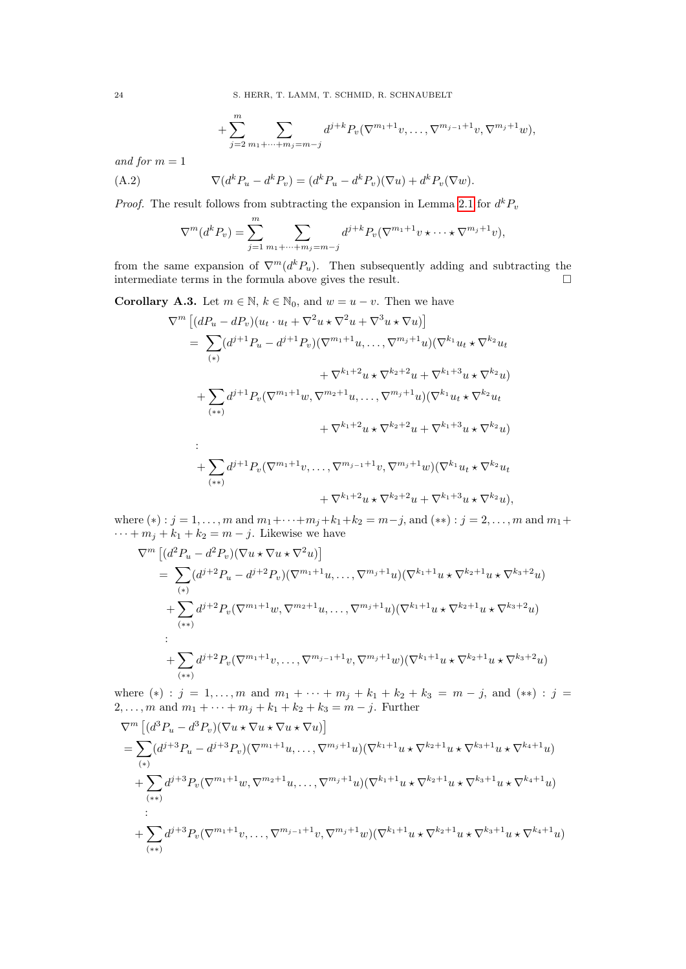24 S. HERR, T. LAMM, T. SCHMID, R. SCHNAUBELT

+ 
$$
\sum_{j=2}^{m} \sum_{m_1+\cdots+m_j=m-j} d^{j+k} P_v(\nabla^{m_1+1}v, \ldots, \nabla^{m_{j-1}+1}v, \nabla^{m_j+1}w),
$$

and for  $m = 1$ 

(A.2) 
$$
\nabla (d^k P_u - d^k P_v) = (d^k P_u - d^k P_v)(\nabla u) + d^k P_v(\nabla w).
$$

*Proof.* The result follows from subtracting the expansion in Lemma [2.1](#page-4-4) for  $d^k P_v$ 

$$
\nabla^{m}(d^{k}P_{v}) = \sum_{j=1}^{m} \sum_{m_{1}+\cdots+m_{j}=m-j} d^{j+k}P_{v}(\nabla^{m_{1}+1}v\star\cdots\star\nabla^{m_{j}+1}v),
$$

from the same expansion of  $\nabla^{m}(d^{k}P_{u})$ . Then subsequently adding and subtracting the intermediate terms in the formula above gives the result.  $\Box$ 

<span id="page-23-0"></span>**Corollary A.3.** Let  $m \in \mathbb{N}$ ,  $k \in \mathbb{N}_0$ , and  $w = u - v$ . Then we have

$$
\nabla^{m} \left[ (dP_{u} - dP_{v})(u_{t} \cdot u_{t} + \nabla^{2} u \star \nabla^{2} u + \nabla^{3} u \star \nabla u) \right]
$$
\n
$$
= \sum_{(*)} (d^{j+1}P_{u} - d^{j+1}P_{v})(\nabla^{m_{1}+1} u, \dots, \nabla^{m_{j}+1} u)(\nabla^{k_{1}} u_{t} \star \nabla^{k_{2}} u_{t} + \nabla^{k_{1}+2} u \star \nabla^{k_{2}+2} u + \nabla^{k_{1}+3} u \star \nabla^{k_{2}} u) + \sum_{(**)} d^{j+1}P_{v}(\nabla^{m_{1}+1} w, \nabla^{m_{2}+1} u, \dots, \nabla^{m_{j}+1} u)(\nabla^{k_{1}} u_{t} \star \nabla^{k_{2}} u_{t} + \nabla^{k_{1}+2} u \star \nabla^{k_{2}+2} u + \nabla^{k_{1}+3} u \star \nabla^{k_{2}} u)
$$
\n
$$
\vdots
$$
\n
$$
+ \sum_{(**)} d^{j+1}P_{v}(\nabla^{m_{1}+1} v, \dots, \nabla^{m_{j-1}+1} v, \nabla^{m_{j}+1} w)(\nabla^{k_{1}} u_{t} \star \nabla^{k_{2}} u_{t} + \nabla^{k_{1}+2} u \star \nabla^{k_{2}+2} u + \nabla^{k_{1}+3} u \star \nabla^{k_{2}} u),
$$

where  $(*)$ :  $j = 1, ..., m$  and  $m_1 + \cdots + m_j + k_1 + k_2 = m - j$ , and  $(**)$ :  $j = 2, ..., m$  and  $m_1 +$  $\cdots + m_j + k_1 + k_2 = m - j$ . Likewise we have

$$
\nabla^{m} \left[ (d^{2} P_{u} - d^{2} P_{v}) (\nabla u \star \nabla u \star \nabla^{2} u) \right]
$$
\n
$$
= \sum_{(*)} (d^{j+2} P_{u} - d^{j+2} P_{v}) (\nabla^{m_{1}+1} u, \dots, \nabla^{m_{j}+1} u) (\nabla^{k_{1}+1} u \star \nabla^{k_{2}+1} u \star \nabla^{k_{3}+2} u)
$$
\n
$$
+ \sum_{(**)} d^{j+2} P_{v} (\nabla^{m_{1}+1} w, \nabla^{m_{2}+1} u, \dots, \nabla^{m_{j}+1} u) (\nabla^{k_{1}+1} u \star \nabla^{k_{2}+1} u \star \nabla^{k_{3}+2} u)
$$
\n
$$
+ \sum_{(**)} d^{j+2} P_{v} (\nabla^{m_{1}+1} v, \dots, \nabla^{m_{j-1}+1} v, \nabla^{m_{j}+1} w) (\nabla^{k_{1}+1} u \star \nabla^{k_{2}+1} u \star \nabla^{k_{3}+2} u)
$$

where  $(*)$ :  $j = 1, ..., m$  and  $m_1 + \cdots + m_j + k_1 + k_2 + k_3 = m - j$ , and  $(**)$ :  $j =$  $2, \ldots, m$  and  $m_1 + \cdots + m_j + k_1 + k_2 + k_3 = m - j$ . Further

$$
\nabla^{m} \left[ (d^{3} P_{u} - d^{3} P_{v}) (\nabla u \star \nabla u \star \nabla u \star \nabla u) \right]
$$
\n
$$
= \sum_{(*)} (d^{j+3} P_{u} - d^{j+3} P_{v}) (\nabla^{m_{1}+1} u, \dots, \nabla^{m_{j}+1} u) (\nabla^{k_{1}+1} u \star \nabla^{k_{2}+1} u \star \nabla^{k_{3}+1} u \star \nabla^{k_{4}+1} u)
$$
\n
$$
+ \sum_{(**)} d^{j+3} P_{v} (\nabla^{m_{1}+1} w, \nabla^{m_{2}+1} u, \dots, \nabla^{m_{j}+1} u) (\nabla^{k_{1}+1} u \star \nabla^{k_{2}+1} u \star \nabla^{k_{3}+1} u \star \nabla^{k_{4}+1} u)
$$
\n
$$
+ \sum_{(**)} d^{j+3} P_{v} (\nabla^{m_{1}+1} v, \dots, \nabla^{m_{j-1}+1} v, \nabla^{m_{j}+1} w) (\nabla^{k_{1}+1} u \star \nabla^{k_{2}+1} u \star \nabla^{k_{3}+1} u \star \nabla^{k_{4}+1} u)
$$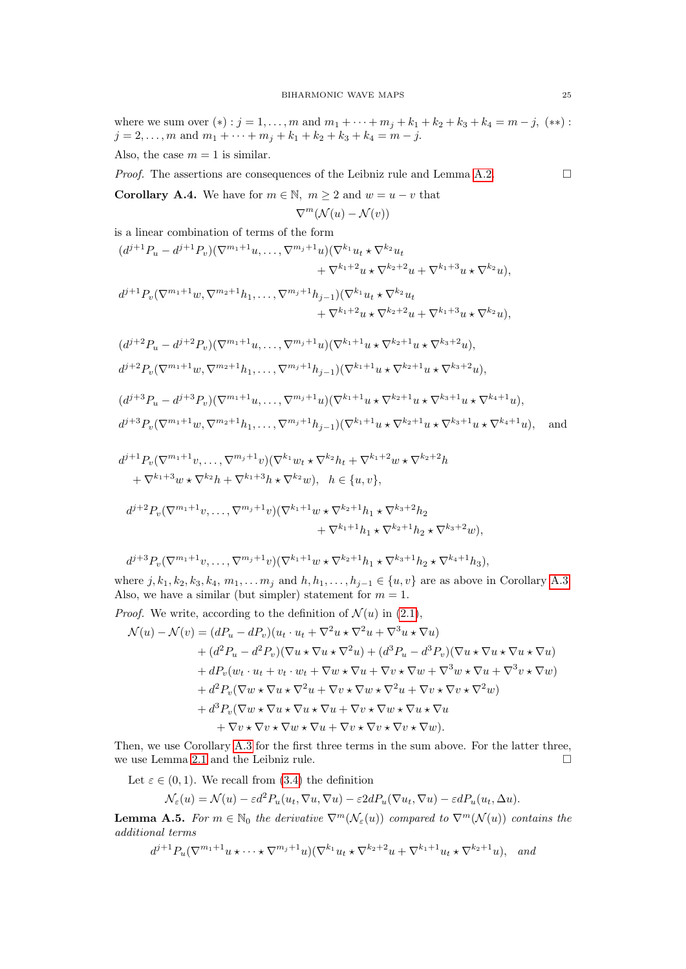where we sum over  $(*)$ :  $j = 1, ..., m$  and  $m_1 + \cdots + m_j + k_1 + k_2 + k_3 + k_4 = m - j$ ,  $(**)$ :  $j = 2, \ldots, m$  and  $m_1 + \cdots + m_j + k_1 + k_2 + k_3 + k_4 = m - j$ . Also, the case  $m = 1$  is similar.

*Proof.* The assertions are consequences of the Leibniz rule and Lemma [A.2.](#page-22-2)  $\Box$ 

<span id="page-24-0"></span>**Corollary A.4.** We have for  $m \in \mathbb{N}$ ,  $m \ge 2$  and  $w = u - v$  that

$$
\nabla^m(\mathcal{N}(u) - \mathcal{N}(v))
$$

is a linear combination of terms of the form

$$
(d^{j+1}P_u - d^{j+1}P_v)(\nabla^{m_1+1}u, \dots, \nabla^{m_j+1}u)(\nabla^{k_1}u_t \star \nabla^{k_2}u_t + \nabla^{k_1+2}u \star \nabla^{k_2+2}u + \nabla^{k_1+3}u \star \nabla^{k_2}u),
$$
  

$$
d^{j+1}P_v(\nabla^{m_1+1}w, \nabla^{m_2+1}h_1, \dots, \nabla^{m_j+1}h_{j-1})(\nabla^{k_1}u_t \star \nabla^{k_2}u_t + \nabla^{k_1+2}u \star \nabla^{k_2+2}u + \nabla^{k_1+3}u \star \nabla^{k_2}u),
$$

$$
(d^{j+2}P_u - d^{j+2}P_v)(\nabla^{m_1+1}u, \dots, \nabla^{m_j+1}u)(\nabla^{k_1+1}u \star \nabla^{k_2+1}u \star \nabla^{k_3+2}u),
$$
  
\n
$$
d^{j+2}P_v(\nabla^{m_1+1}w, \nabla^{m_2+1}h_1, \dots, \nabla^{m_j+1}h_{j-1})(\nabla^{k_1+1}u \star \nabla^{k_2+1}u \star \nabla^{k_3+2}u),
$$
  
\n
$$
(d^{j+3}P_u - d^{j+3}P_v)(\nabla^{m_1+1}u, \dots, \nabla^{m_j+1}u)(\nabla^{k_1+1}u \star \nabla^{k_2+1}u \star \nabla^{k_3+1}u \star \nabla^{k_4+1}u),
$$
  
\n
$$
d^{j+3}P_v(\nabla^{m_1+1}w, \nabla^{m_2+1}h_1, \dots, \nabla^{m_j+1}h_{j-1})(\nabla^{k_1+1}u \star \nabla^{k_2+1}u \star \nabla^{k_3+1}u \star \nabla^{k_4+1}u),
$$
 and

$$
d^{j+1}P_v(\nabla^{m_1+1}v, \dots, \nabla^{m_j+1}v)(\nabla^{k_1}w_t \star \nabla^{k_2}h_t + \nabla^{k_1+2}w \star \nabla^{k_2+2}h
$$
  
+  $\nabla^{k_1+3}w \star \nabla^{k_2}h + \nabla^{k_1+3}h \star \nabla^{k_2}w), \quad h \in \{u, v\},$   

$$
d^{j+2}P_v(\nabla^{m_1+1}v, \dots, \nabla^{m_j+1}v)(\nabla^{k_1+1}w \star \nabla^{k_2+1}h_1 \star \nabla^{k_3+2}h_2 + \nabla^{k_1+1}h_1 \star \nabla^{k_2+1}h_2 \star \nabla^{k_3+2}w),
$$

$$
d^{j+3}P_v(\nabla^{m_1+1}v,\ldots,\nabla^{m_j+1}v)(\nabla^{k_1+1}w\star\nabla^{k_2+1}h_1\star\nabla^{k_3+1}h_2\star\nabla^{k_4+1}h_3),
$$

where  $j, k_1, k_2, k_3, k_4, m_1, \ldots, m_j$  and  $h, h_1, \ldots, h_{j-1} \in \{u, v\}$  are as above in Corollary [A.3.](#page-23-0) Also, we have a similar (but simpler) statement for  $m = 1$ .

*Proof.* We write, according to the definition of  $\mathcal{N}(u)$  in [\(2.1\)](#page-3-0),

$$
\mathcal{N}(u) - \mathcal{N}(v) = (dP_u - dP_v)(u_t \cdot u_t + \nabla^2 u \star \nabla^2 u + \nabla^3 u \star \nabla u) \n+ (d^2P_u - d^2P_v)(\nabla u \star \nabla u \star \nabla^2 u) + (d^3P_u - d^3P_v)(\nabla u \star \nabla u \star \nabla u \star \nabla u) \n+ dP_v(w_t \cdot u_t + v_t \cdot w_t + \nabla w \star \nabla u + \nabla v \star \nabla w + \nabla^3 w \star \nabla u + \nabla^3 v \star \nabla w) \n+ d^2P_v(\nabla w \star \nabla u \star \nabla^2 u + \nabla v \star \nabla w \star \nabla^2 u + \nabla v \star \nabla v \star \nabla^2 w) \n+ d^3P_v(\nabla w \star \nabla u \star \nabla u \star \nabla u + \nabla v \star \nabla w \star \nabla u \star \nabla u \n+ \nabla v \star \nabla v \star \nabla w \star \nabla u + \nabla v \star \nabla v \star \nabla v \star \nabla w).
$$

Then, we use Corollary [A.3](#page-23-0) for the first three terms in the sum above. For the latter three, we use Lemma [2.1](#page-4-4) and the Leibniz rule.

Let  $\varepsilon \in (0,1)$ . We recall from [\(3.4\)](#page-5-0) the definition

$$
\mathcal{N}_{\varepsilon}(u) = \mathcal{N}(u) - \varepsilon d^2 P_u(u_t, \nabla u, \nabla u) - \varepsilon 2d P_u(\nabla u_t, \nabla u) - \varepsilon d P_u(u_t, \Delta u).
$$

**Lemma A.5.** For  $m \in \mathbb{N}_0$  the derivative  $\nabla^m(\mathcal{N}_{\varepsilon}(u))$  compared to  $\nabla^m(\mathcal{N}(u))$  contains the additional terms

$$
d^{j+1}P_u(\nabla^{m_1+1}u\star\cdots\star\nabla^{m_j+1}u)(\nabla^{k_1}u_t\star\nabla^{k_2+2}u+\nabla^{k_1+1}u_t\star\nabla^{k_2+1}u),\quad and
$$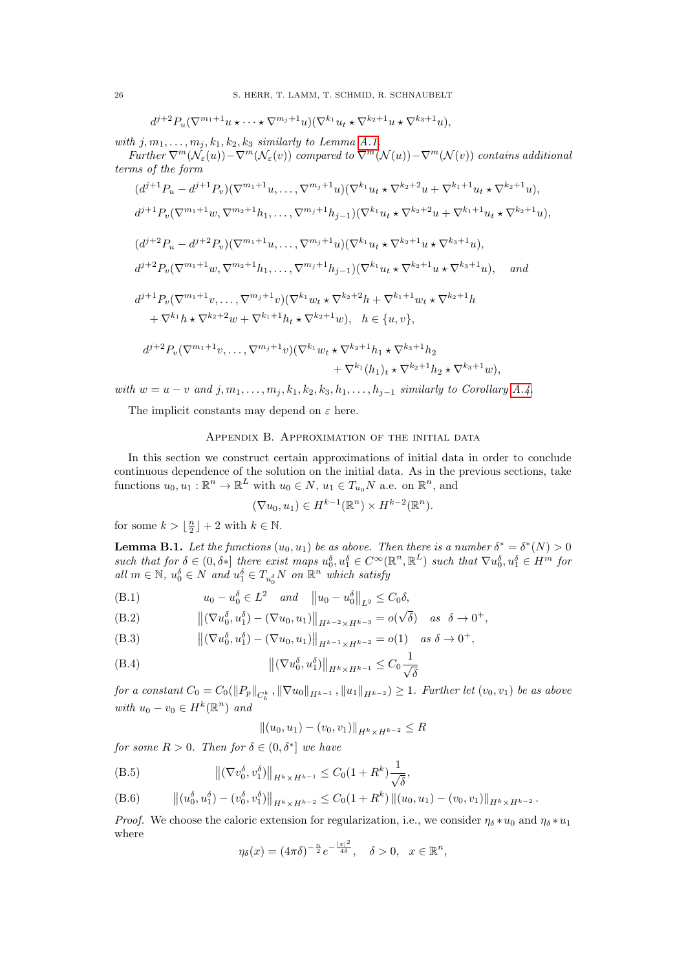$$
d^{j+2}P_u(\nabla^{m_1+1}u\star\cdots\star\nabla^{m_j+1}u)(\nabla^{k_1}u_t\star\nabla^{k_2+1}u\star\nabla^{k_3+1}u),
$$

with  $j, m_1, \ldots, m_j, k_1, k_2, k_3$  similarly to Lemma [A.1.](#page-22-1)

Further  $\nabla^m(\mathcal{N}_{\varepsilon}(u))-\nabla^m(\mathcal{N}_{\varepsilon}(v))$  compared to  $\nabla^m(\mathcal{N}(u))-\nabla^m(\mathcal{N}(v))$  contains additional terms of the form

$$
(d^{j+1}P_u - d^{j+1}P_v)(\nabla^{m_1+1}u, \dots, \nabla^{m_j+1}u)(\nabla^{k_1}u_t \star \nabla^{k_2+2}u + \nabla^{k_1+1}u_t \star \nabla^{k_2+1}u),
$$
  
\n
$$
d^{j+1}P_v(\nabla^{m_1+1}w, \nabla^{m_2+1}h_1, \dots, \nabla^{m_j+1}h_{j-1})(\nabla^{k_1}u_t \star \nabla^{k_2+2}u + \nabla^{k_1+1}u_t \star \nabla^{k_2+1}u),
$$
  
\n
$$
(d^{j+2}P_u - d^{j+2}P_v)(\nabla^{m_1+1}u, \dots, \nabla^{m_j+1}u)(\nabla^{k_1}u_t \star \nabla^{k_2+1}u \star \nabla^{k_3+1}u),
$$
  
\n
$$
d^{j+2}P_v(\nabla^{m_1+1}w, \nabla^{m_2+1}h_1, \dots, \nabla^{m_j+1}h_{j-1})(\nabla^{k_1}u_t \star \nabla^{k_2+1}u \star \nabla^{k_3+1}u),
$$
 and  
\n
$$
d^{j+1}P_v(\nabla^{m_1+1}v, \dots, \nabla^{m_j+1}v)(\nabla^{k_1}w_t \star \nabla^{k_2+2}h + \nabla^{k_1+1}w_t \star \nabla^{k_2+1}h + \nabla^{k_1}h \star \nabla^{k_2+2}w + \nabla^{k_1+1}h_t \star \nabla^{k_2+1}w), \quad h \in \{u, v\},
$$
  
\n
$$
d^{j+2}P_v(\nabla^{m_1+1}v, \dots, \nabla^{m_j+1}v)(\nabla^{k_1}w_t \star \nabla^{k_2+1}h_1 \star \nabla^{k_3+1}h_2 + \nabla^{k_1}(h_1)_t \star \nabla^{k_2+1}h_2 \star \nabla^{k_3+1}w),
$$

with  $w = u - v$  and  $j, m_1, \ldots, m_j, k_1, k_2, k_3, h_1, \ldots, h_{j-1}$  similarly to Corollary [A.4.](#page-24-0)

The implicit constants may depend on  $\varepsilon$  here.

## Appendix B. Approximation of the initial data

<span id="page-25-1"></span>In this section we construct certain approximations of initial data in order to conclude continuous dependence of the solution on the initial data. As in the previous sections, take functions  $u_0, u_1 : \mathbb{R}^n \to \mathbb{R}^L$  with  $u_0 \in N$ ,  $u_1 \in T_{u_0}N$  a.e. on  $\mathbb{R}^n$ , and

$$
(\nabla u_0, u_1) \in H^{k-1}(\mathbb{R}^n) \times H^{k-2}(\mathbb{R}^n).
$$

for some  $k > \lfloor \frac{n}{2} \rfloor + 2$  with  $k \in \mathbb{N}$ .

<span id="page-25-0"></span>**Lemma B.1.** Let the functions  $(u_0, u_1)$  be as above. Then there is a number  $\delta^* = \delta^*(N) > 0$ such that for  $\delta \in (0, \delta^*]$  there exist maps  $u_0^{\delta}, u_1^{\delta} \in C^{\infty}(\mathbb{R}^n, \mathbb{R}^L)$  such that  $\nabla u_0^{\delta}, u_1^{\delta} \in H^m$  for all  $m \in \mathbb{N}$ ,  $u_0^{\delta} \in N$  and  $u_1^{\delta} \in T_{u_0^{\delta}}N$  on  $\mathbb{R}^n$  which satisfy

<span id="page-25-3"></span>
$$
(B.1) \t u_0 - u_0^{\delta} \in L^2 \quad and \quad ||u_0 - u_0^{\delta}||_{L^2} \leq C_0 \delta,
$$

<span id="page-25-4"></span>(B.2) 
$$
\left\|(\nabla u_0^{\delta}, u_1^{\delta}) - (\nabla u_0, u_1)\right\|_{H^{k-2} \times H^{k-3}} = o(\sqrt{\delta}) \text{ as } \delta \to 0^+,
$$

<span id="page-25-5"></span>(B.3) 
$$
\left\|(\nabla u_0^{\delta}, u_1^{\delta}) - (\nabla u_0, u_1)\right\|_{H^{k-1} \times H^{k-2}} = o(1) \text{ as } \delta \to 0^+,
$$

<span id="page-25-6"></span>(B.4) 
$$
\left\| (\nabla u_0^{\delta}, u_1^{\delta}) \right\|_{H^k \times H^{k-1}} \leq C_0 \frac{1}{\sqrt{\delta}}
$$

for a constant  $C_0 = C_0(\|P_p\|_{C_b^k}, \|\nabla u_0\|_{H^{k-1}}, \|u_1\|_{H^{k-2}}) \geq 1$ . Further let  $(v_0, v_1)$  be as above with  $u_0 - v_0 \in H^k(\mathbb{R}^n)$  and

$$
||(u_0, u_1) - (v_0, v_1)||_{H^k \times H^{k-2}} \le R
$$

for some  $R > 0$ . Then for  $\delta \in (0, \delta^*]$  we have

<span id="page-25-7"></span>(B.5) 
$$
\|(\nabla v_0^{\delta}, v_1^{\delta})\|_{H^k \times H^{k-1}} \leq C_0 (1 + R^k) \frac{1}{\sqrt{\delta}},
$$

<span id="page-25-2"></span>(B.6) 
$$
\left\| (u_0^{\delta}, u_1^{\delta}) - (v_0^{\delta}, v_1^{\delta}) \right\|_{H^k \times H^{k-2}} \leq C_0 (1 + R^k) \left\| (u_0, u_1) - (v_0, v_1) \right\|_{H^k \times H^{k-2}}.
$$

*Proof.* We choose the caloric extension for regularization, i.e., we consider  $\eta_{\delta} * u_0$  and  $\eta_{\delta} * u_1$ where

$$
\eta_{\delta}(x) = (4\pi\delta)^{-\frac{n}{2}}e^{-\frac{|x|^2}{4\delta}}, \quad \delta > 0, \quad x \in \mathbb{R}^n,
$$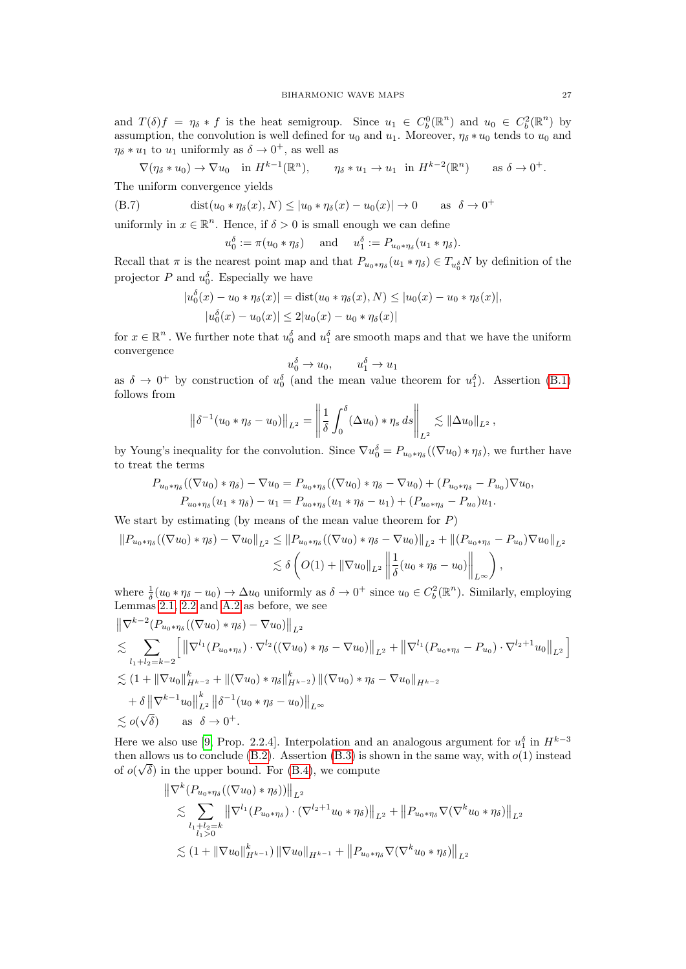and  $T(\delta) f = \eta_{\delta} * f$  is the heat semigroup. Since  $u_1 \in C_b^0(\mathbb{R}^n)$  and  $u_0 \in C_b^2(\mathbb{R}^n)$  by assumption, the convolution is well defined for  $u_0$  and  $u_1$ . Moreover,  $\eta_{\delta} * u_0$  tends to  $u_0$  and  $\eta_{\delta} * u_1$  to  $u_1$  uniformly as  $\delta \to 0^+$ , as well as

$$
\nabla(\eta_{\delta} * u_0) \to \nabla u_0 \quad \text{in } H^{k-1}(\mathbb{R}^n), \qquad \eta_{\delta} * u_1 \to u_1 \quad \text{in } H^{k-2}(\mathbb{R}^n) \qquad \text{as } \delta \to 0^+.
$$

The uniform convergence yields

(B.7) 
$$
\text{dist}(u_0 * \eta_\delta(x), N) \le |u_0 * \eta_\delta(x) - u_0(x)| \to 0 \quad \text{as} \quad \delta \to 0^+
$$

uniformly in  $x \in \mathbb{R}^n$ . Hence, if  $\delta > 0$  is small enough we can define

$$
u_0^{\delta} := \pi(u_0 * \eta_{\delta})
$$
 and  $u_1^{\delta} := P_{u_0 * \eta_{\delta}}(u_1 * \eta_{\delta}).$ 

Recall that  $\pi$  is the nearest point map and that  $P_{u_0*\eta_\delta}(u_1*\eta_\delta) \in T_{u_0^\delta}N$  by definition of the projector P and  $u_0^{\delta}$ . Especially we have

$$
|u_0^{\delta}(x) - u_0 * \eta_{\delta}(x)| = \text{dist}(u_0 * \eta_{\delta}(x), N) \le |u_0(x) - u_0 * \eta_{\delta}(x)|,
$$
  

$$
|u_0^{\delta}(x) - u_0(x)| \le 2|u_0(x) - u_0 * \eta_{\delta}(x)|
$$

for  $x \in \mathbb{R}^n$ . We further note that  $u_0^{\delta}$  and  $u_1^{\delta}$  are smooth maps and that we have the uniform convergence

$$
u_0^{\delta} \to u_0, \qquad u_1^{\delta} \to u_1
$$

as  $\delta \to 0^+$  by construction of  $u_0^{\delta}$  (and the mean value theorem for  $u_1^{\delta}$ ). Assertion [\(B.1\)](#page-25-3) follows from

$$
\left\|\delta^{-1}(u_0 * \eta_\delta - u_0)\right\|_{L^2} = \left\|\frac{1}{\delta}\int_0^\delta (\Delta u_0) * \eta_s ds\right\|_{L^2} \lesssim \|\Delta u_0\|_{L^2},
$$

by Young's inequality for the convolution. Since  $\nabla u_0^{\delta} = P_{u_0 * \eta_{\delta}}((\nabla u_0) * \eta_{\delta})$ , we further have to treat the terms

$$
P_{u_0*\eta_\delta}((\nabla u_0)*\eta_\delta)-\nabla u_0=P_{u_0*\eta_\delta}((\nabla u_0)*\eta_\delta-\nabla u_0)+(P_{u_0*\eta_\delta}-P_{u_0})\nabla u_0,P_{u_0*\eta_\delta}(u_1*\eta_\delta)-u_1=P_{u_0*\eta_\delta}(u_1*\eta_\delta-u_1)+(P_{u_0*\eta_\delta}-P_{u_0})u_1.
$$

We start by estimating (by means of the mean value theorem for  $P$ )

$$
\|P_{u_0*\eta_\delta}((\nabla u_0)*\eta_\delta) - \nabla u_0\|_{L^2} \le \|P_{u_0*\eta_\delta}((\nabla u_0)*\eta_\delta - \nabla u_0)\|_{L^2} + \|(P_{u_0*\eta_\delta} - P_{u_0})\nabla u_0\|_{L^2}
$$
  

$$
\lesssim \delta \left( O(1) + \|\nabla u_0\|_{L^2} \left\| \frac{1}{\delta} (u_0*\eta_\delta - u_0) \right\|_{L^\infty} \right),
$$

where  $\frac{1}{\delta}(u_0 * \eta_{\delta} - u_0) \to \Delta u_0$  uniformly as  $\delta \to 0^+$  since  $u_0 \in C_b^2(\mathbb{R}^n)$ . Similarly, employing Lemmas [2.1,](#page-4-4) [2.2](#page-4-3) and [A.2](#page-22-2) as before, we see

$$
\|\nabla^{k-2}(P_{u_0*\eta_\delta}((\nabla u_0)*\eta_\delta)-\nabla u_0)\|_{L^2}\n\lesssim \sum_{l_1+l_2=k-2} \left[\|\nabla^{l_1}(P_{u_0*\eta_\delta})\cdot\nabla^{l_2}((\nabla u_0)*\eta_\delta-\nabla u_0)\|_{L^2}+\|\nabla^{l_1}(P_{u_0*\eta_\delta}-P_{u_0})\cdot\nabla^{l_2+1}u_0\|_{L^2}\right]\n\lesssim (1+\|\nabla u_0\|_{H^{k-2}}^k+\|(\nabla u_0)*\eta_\delta\|_{H^{k-2}}^k)\|(\nabla u_0)*\eta_\delta-\nabla u_0\|_{H^{k-2}}\n+\delta\|\nabla^{k-1}u_0\|_{L^2}^k\|\delta^{-1}(u_0*\eta_\delta-u_0)\|_{L^\infty}\n\lesssim o(\sqrt{\delta}) \quad \text{as} \quad \delta \to 0^+.
$$

Here we also use [\[9,](#page-28-9) Prop. 2.2.4]. Interpolation and an analogous argument for  $u_1^{\delta}$  in  $H^{k-3}$ then allows us to conclude [\(B.2\)](#page-25-4). Assertion [\(B.3\)](#page-25-5) is shown in the same way, with  $o(1)$  instead of  $o(\sqrt{\delta})$  in the upper bound. For [\(B.4\)](#page-25-6), we compute

$$
\|\nabla^{k} (P_{u_0 * \eta_{\delta}}((\nabla u_0) * \eta_{\delta}))\|_{L^2}
$$
  
\n
$$
\lesssim \sum_{\substack{l_1 + l_2 = k \\ l_1 > 0}} \|\nabla^{l_1} (P_{u_0 * \eta_{\delta}}) \cdot (\nabla^{l_2 + 1} u_0 * \eta_{\delta})\|_{L^2} + \|P_{u_0 * \eta_{\delta}} \nabla (\nabla^{k} u_0 * \eta_{\delta})\|_{L^2}
$$
  
\n
$$
\lesssim (1 + \|\nabla u_0\|_{H^{k-1}}^k) \|\nabla u_0\|_{H^{k-1}} + \|P_{u_0 * \eta_{\delta}} \nabla (\nabla^{k} u_0 * \eta_{\delta})\|_{L^2}
$$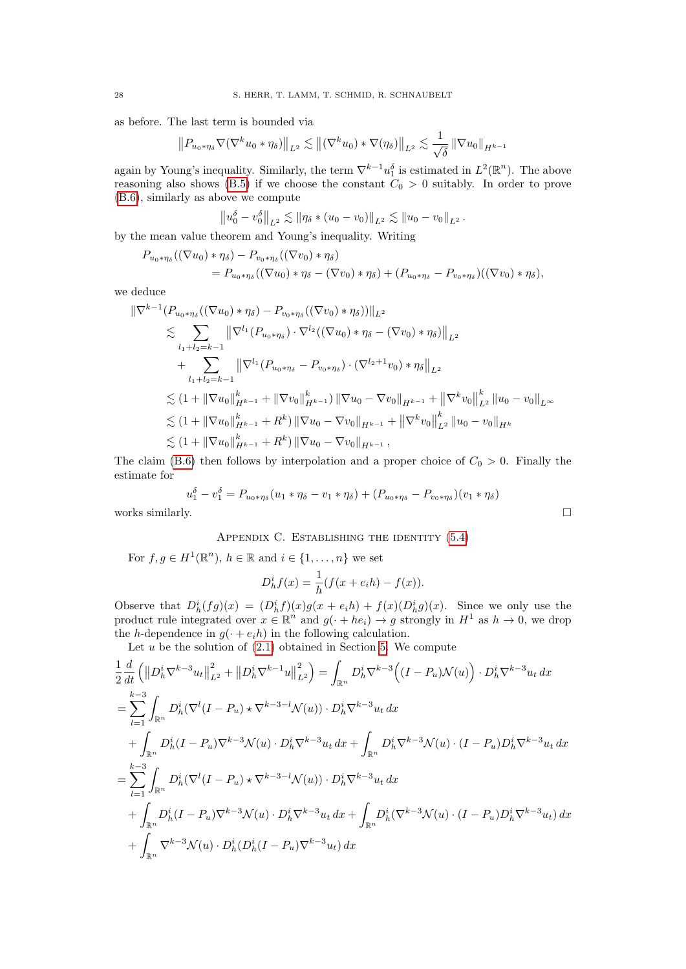as before. The last term is bounded via

$$
||P_{u_0*\eta_\delta}\nabla(\nabla^k u_0*\eta_\delta)||_{L^2}\lesssim ||(\nabla^k u_0)*\nabla(\eta_\delta)||_{L^2}\lesssim \frac{1}{\sqrt{\delta}}||\nabla u_0||_{H^{k-1}}
$$

again by Young's inequality. Similarly, the term  $\nabla^{k-1} u_1^{\delta}$  is estimated in  $L^2(\mathbb{R}^n)$ . The above reasoning also shows [\(B.5\)](#page-25-7) if we choose the constant  $C_0 > 0$  suitably. In order to prove [\(B.6\)](#page-25-2), similarly as above we compute

$$
||u_0^{\delta} - v_0^{\delta}||_{L^2} \lesssim ||\eta_{\delta} * (u_0 - v_0)||_{L^2} \lesssim ||u_0 - v_0||_{L^2}.
$$

by the mean value theorem and Young's inequality. Writing

$$
P_{u_0*\eta_\delta}((\nabla u_0)*\eta_\delta)-P_{v_0*\eta_\delta}((\nabla v_0)*\eta_\delta)
$$
  
=  $P_{u_0*\eta_\delta}((\nabla u_0)*\eta_\delta-(\nabla v_0)*\eta_\delta)+(P_{u_0*\eta_\delta}-P_{v_0*\eta_\delta})((\nabla v_0)*\eta_\delta),$ 

we deduce

$$
\|\nabla^{k-1}(P_{u_0*\eta_\delta}((\nabla u_0)*\eta_\delta)-P_{v_0*\eta_\delta}((\nabla v_0)*\eta_\delta))\|_{L^2}\n\lesssim \sum_{l_1+l_2=k-1} \|\nabla^{l_1}(P_{u_0*\eta_\delta})\cdot\nabla^{l_2}((\nabla u_0)*\eta_\delta-(\nabla v_0)*\eta_\delta)\|_{L^2}\n+\sum_{l_1+l_2=k-1} \|\nabla^{l_1}(P_{u_0*\eta_\delta}-P_{v_0*\eta_\delta})\cdot(\nabla^{l_2+1}v_0)*\eta_\delta\|_{L^2}\n\lesssim (1+\|\nabla u_0\|_{H^{k-1}}^k+\|\nabla v_0\|_{H^{k-1}}^k)\|\nabla u_0-\nabla v_0\|_{H^{k-1}}+\|\nabla^k v_0\|_{L^2}^k\|u_0-v_0\|_{L^\infty}\n\lesssim (1+\|\nabla u_0\|_{H^{k-1}}^k+R^k)\|\nabla u_0-\nabla v_0\|_{H^{k-1}}+\|\nabla^k v_0\|_{L^2}^k\|u_0-v_0\|_{H^k}\n\lesssim (1+\|\nabla u_0\|_{H^{k-1}}^k+R^k)\|\nabla u_0-\nabla v_0\|_{H^{k-1}},
$$

The claim [\(B.6\)](#page-25-2) then follows by interpolation and a proper choice of  $C_0 > 0$ . Finally the estimate for

$$
u_1^{\delta} - v_1^{\delta} = P_{u_0 * \eta_{\delta}}(u_1 * \eta_{\delta} - v_1 * \eta_{\delta}) + (P_{u_0 * \eta_{\delta}} - P_{v_0 * \eta_{\delta}})(v_1 * \eta_{\delta})
$$
  
works similarly.

<span id="page-27-0"></span>

APPENDIX C. ESTABLISHING THE IDENTITY  $(5.4)$ 

For  $f, g \in H^1(\mathbb{R}^n)$ ,  $h \in \mathbb{R}$  and  $i \in \{1, \ldots, n\}$  we set

$$
D_h^i f(x) = \frac{1}{h} (f(x + e_i h) - f(x)).
$$

Observe that  $D_h^i(fg)(x) = (D_h^i f)(x)g(x + e_i h) + f(x)(D_h^i g)(x)$ . Since we only use the product rule integrated over  $x \in \mathbb{R}^n$  and  $g(\cdot + he_i) \to g$  strongly in  $H^1$  as  $h \to 0$ , we drop the *h*-dependence in  $g(\cdot + e_i h)$  in the following calculation.

Let  $u$  be the solution of  $(2.1)$  obtained in Section [5.](#page-14-0) We compute

$$
\frac{1}{2} \frac{d}{dt} \left( \left\| D_h^i \nabla^{k-3} u_t \right\|_{L^2}^2 + \left\| D_h^i \nabla^{k-1} u \right\|_{L^2}^2 \right) = \int_{\mathbb{R}^n} D_h^i \nabla^{k-3} \left( (I - P_u) \mathcal{N}(u) \right) \cdot D_h^i \nabla^{k-3} u_t \, dx \n= \sum_{l=1}^{k-3} \int_{\mathbb{R}^n} D_h^i (\nabla^l (I - P_u) \star \nabla^{k-3-l} \mathcal{N}(u)) \cdot D_h^i \nabla^{k-3} u_t \, dx \n+ \int_{\mathbb{R}^n} D_h^i (I - P_u) \nabla^{k-3} \mathcal{N}(u) \cdot D_h^i \nabla^{k-3} u_t \, dx + \int_{\mathbb{R}^n} D_h^i \nabla^{k-3} \mathcal{N}(u) \cdot (I - P_u) D_h^i \nabla^{k-3} u_t \, dx \n= \sum_{l=1}^{k-3} \int_{\mathbb{R}^n} D_h^i (\nabla^l (I - P_u) \star \nabla^{k-3-l} \mathcal{N}(u)) \cdot D_h^i \nabla^{k-3} u_t \, dx \n+ \int_{\mathbb{R}^n} D_h^i (I - P_u) \nabla^{k-3} \mathcal{N}(u) \cdot D_h^i \nabla^{k-3} u_t \, dx + \int_{\mathbb{R}^n} D_h^i (\nabla^{k-3} \mathcal{N}(u) \cdot (I - P_u) D_h^i \nabla^{k-3} u_t) \, dx \n+ \int_{\mathbb{R}^n} \nabla^{k-3} \mathcal{N}(u) \cdot D_h^i (D_h^i (I - P_u) \nabla^{k-3} u_t) \, dx
$$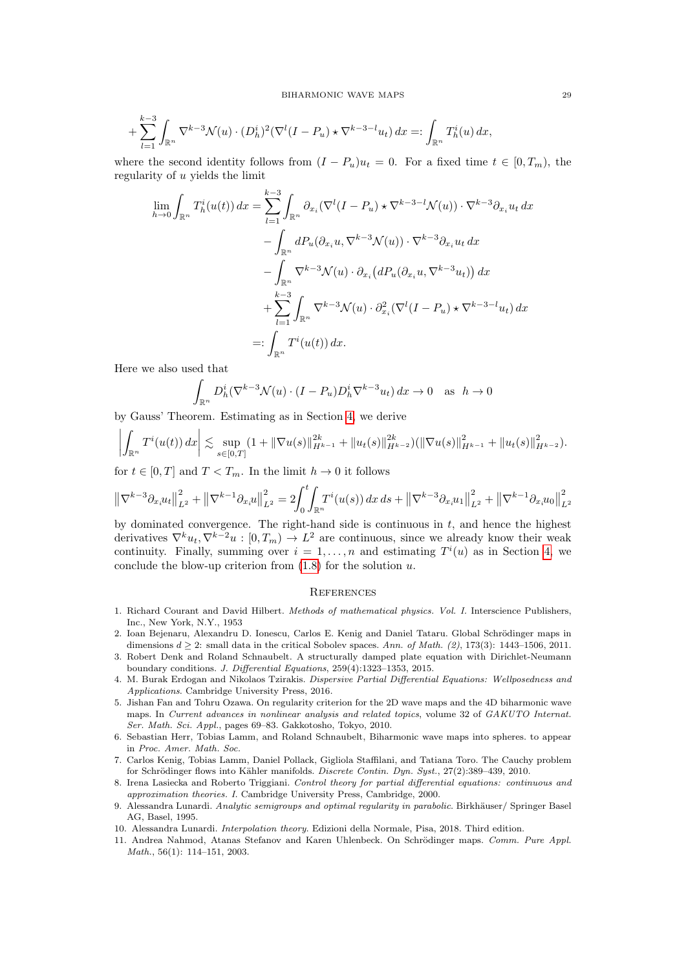$$
+\sum_{l=1}^{k-3}\int_{\mathbb{R}^n}\nabla^{k-3}\mathcal{N}(u)\cdot(D_h^i)^2(\nabla^l(I-P_u)\star\nabla^{k-3-l}u_t)\,dx=:\int_{\mathbb{R}^n}T_h^i(u)\,dx,
$$

where the second identity follows from  $(I - P_u)u_t = 0$ . For a fixed time  $t \in [0, T_m)$ , the regularity of u yields the limit

$$
\lim_{h \to 0} \int_{\mathbb{R}^n} T_h^i(u(t)) dx = \sum_{l=1}^{k-3} \int_{\mathbb{R}^n} \partial_{x_i} (\nabla^l (I - P_u) \star \nabla^{k-3-l} \mathcal{N}(u)) \cdot \nabla^{k-3} \partial_{x_i} u_t dx \n- \int_{\mathbb{R}^n} dP_u(\partial_{x_i} u, \nabla^{k-3} \mathcal{N}(u)) \cdot \nabla^{k-3} \partial_{x_i} u_t dx \n- \int_{\mathbb{R}^n} \nabla^{k-3} \mathcal{N}(u) \cdot \partial_{x_i} (dP_u(\partial_{x_i} u, \nabla^{k-3} u_t)) dx \n+ \sum_{l=1}^{k-3} \int_{\mathbb{R}^n} \nabla^{k-3} \mathcal{N}(u) \cdot \partial_{x_i}^2 (\nabla^l (I - P_u) \star \nabla^{k-3-l} u_t) dx \n=: \int_{\mathbb{R}^n} T^i(u(t)) dx.
$$

Here we also used that

$$
\int_{\mathbb{R}^n} D_h^i (\nabla^{k-3} \mathcal{N}(u) \cdot (I - P_u) D_h^i \nabla^{k-3} u_t) dx \to 0 \quad \text{as} \quad h \to 0
$$

by Gauss' Theorem. Estimating as in Section [4,](#page-9-0) we derive

$$
\left| \int_{\mathbb{R}^n} T^i(u(t)) dx \right| \lesssim \sup_{s \in [0,T]} (1 + \|\nabla u(s)\|_{H^{k-1}}^{2k} + \|u_t(s)\|_{H^{k-2}}^{2k}) (\|\nabla u(s)\|_{H^{k-1}}^2 + \|u_t(s)\|_{H^{k-2}}^2).
$$

for  $t \in [0, T]$  and  $T < T_m$ . In the limit  $h \to 0$  it follows

$$
\left\|\nabla^{k-3}\partial_{x_i}u_t\right\|_{L^2}^2 + \left\|\nabla^{k-1}\partial_{x_i}u\right\|_{L^2}^2 = 2\int_0^t \int_{\mathbb{R}^n} T^i(u(s)) \, dx \, ds + \left\|\nabla^{k-3}\partial_{x_i}u_1\right\|_{L^2}^2 + \left\|\nabla^{k-1}\partial_{x_i}u_0\right\|_{L^2}^2
$$

by dominated convergence. The right-hand side is continuous in  $t$ , and hence the highest derivatives  $\nabla^k u_t, \nabla^{k-2} u : [0, T_m) \to L^2$  are continuous, since we already know their weak continuity. Finally, summing over  $i = 1, ..., n$  and estimating  $T^{i}(u)$  as in Section [4,](#page-9-0) we conclude the blow-up criterion from  $(1.8)$  for the solution  $u$ .

#### **REFERENCES**

- <span id="page-28-1"></span>1. Richard Courant and David Hilbert. Methods of mathematical physics. Vol. I. Interscience Publishers, Inc., New York, N.Y., 1953
- <span id="page-28-2"></span>2. Ioan Bejenaru, Alexandru D. Ionescu, Carlos E. Kenig and Daniel Tataru. Global Schrödinger maps in dimensions  $d \geq 2$ : small data in the critical Sobolev spaces. Ann. of Math. (2), 173(3): 1443–1506, 2011.
- <span id="page-28-5"></span>3. Robert Denk and Roland Schnaubelt. A structurally damped plate equation with Dirichlet-Neumann boundary conditions. J. Differential Equations, 259(4):1323–1353, 2015.
- <span id="page-28-10"></span>4. M. Burak Erdogan and Nikolaos Tzirakis. Dispersive Partial Differential Equations: Wellposedness and Applications. Cambridge University Press, 2016.
- <span id="page-28-4"></span>5. Jishan Fan and Tohru Ozawa. On regularity criterion for the 2D wave maps and the 4D biharmonic wave maps. In Current advances in nonlinear analysis and related topics, volume 32 of GAKUTO Internat. Ser. Math. Sci. Appl., pages 69–83. Gakkotosho, Tokyo, 2010.
- <span id="page-28-0"></span>6. Sebastian Herr, Tobias Lamm, and Roland Schnaubelt, Biharmonic wave maps into spheres. to appear in Proc. Amer. Math. Soc.
- <span id="page-28-8"></span>7. Carlos Kenig, Tobias Lamm, Daniel Pollack, Gigliola Staffilani, and Tatiana Toro. The Cauchy problem for Schrödinger flows into Kähler manifolds. Discrete Contin. Dyn. Syst., 27(2):389-439, 2010.
- <span id="page-28-6"></span>8. Irena Lasiecka and Roberto Triggiani. Control theory for partial differential equations: continuous and approximation theories. I. Cambridge University Press, Cambridge, 2000.
- <span id="page-28-9"></span>9. Alessandra Lunardi. Analytic semigroups and optimal regularity in parabolic. Birkhäuser/ Springer Basel AG, Basel, 1995.
- <span id="page-28-7"></span>10. Alessandra Lunardi. Interpolation theory. Edizioni della Normale, Pisa, 2018. Third edition.
- <span id="page-28-3"></span>11. Andrea Nahmod, Atanas Stefanov and Karen Uhlenbeck. On Schrödinger maps. Comm. Pure Appl. Math., 56(1): 114–151, 2003.